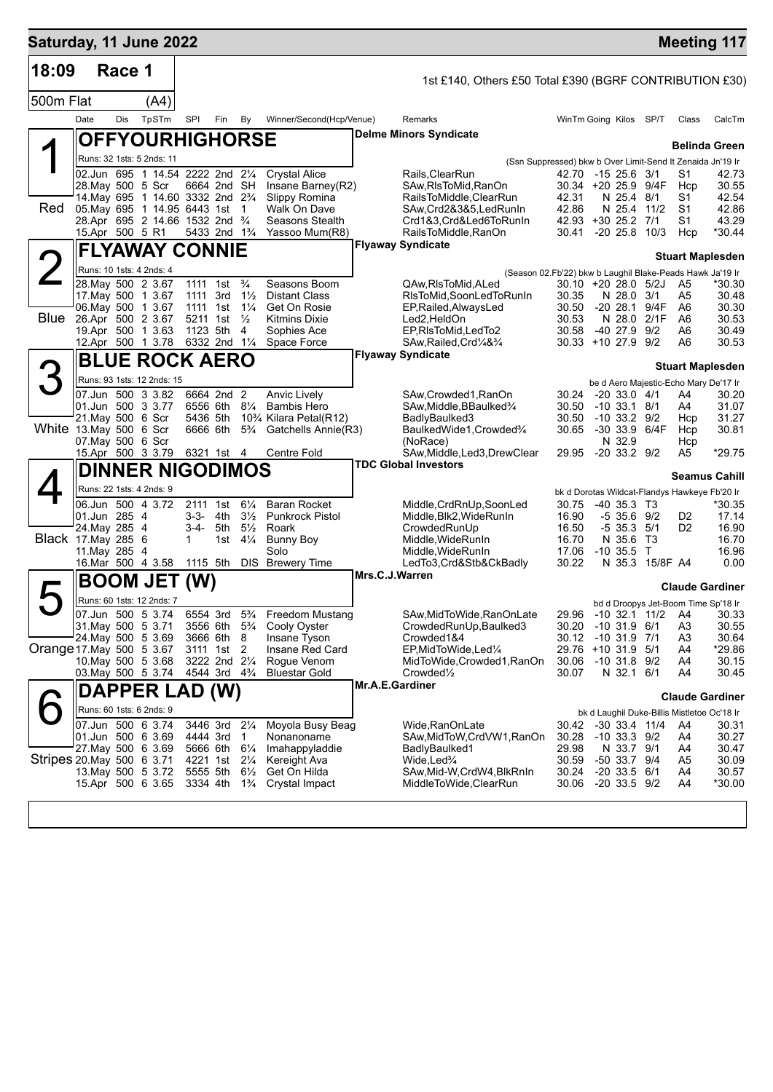| Saturday, 11 June 2022    |                 |        |                                                                                              |                      |                                                                                  |                                      |                                             |                 |                                                               |                |                                                                                  |       |                | <b>Meeting 117</b>      |
|---------------------------|-----------------|--------|----------------------------------------------------------------------------------------------|----------------------|----------------------------------------------------------------------------------|--------------------------------------|---------------------------------------------|-----------------|---------------------------------------------------------------|----------------|----------------------------------------------------------------------------------|-------|----------------|-------------------------|
| 18:09                     |                 | Race 1 |                                                                                              |                      |                                                                                  |                                      |                                             |                 | 1st £140, Others £50 Total £390 (BGRF CONTRIBUTION £30)       |                |                                                                                  |       |                |                         |
| 500m Flat                 |                 |        | (A4)                                                                                         |                      |                                                                                  |                                      |                                             |                 |                                                               |                |                                                                                  |       |                |                         |
|                           | Date            | Dis    | TpSTm                                                                                        | SPI                  | Fin                                                                              | By                                   | Winner/Second(Hcp/Venue)                    |                 | Remarks                                                       |                | WinTm Going Kilos SP/T                                                           |       | Class          | CalcTm                  |
|                           |                 |        | <b>OFFYOURHIGHORSE</b>                                                                       |                      |                                                                                  |                                      |                                             |                 | <b>Delme Minors Syndicate</b>                                 |                |                                                                                  |       |                |                         |
|                           |                 |        | Runs: 32 1sts: 5 2nds: 11                                                                    |                      |                                                                                  |                                      |                                             |                 |                                                               |                |                                                                                  |       |                | <b>Belinda Green</b>    |
|                           |                 |        | 02.Jun 695 1 14.54 2222 2nd 21/4                                                             |                      |                                                                                  |                                      | <b>Crystal Alice</b>                        |                 | Rails, ClearRun                                               |                | (Ssn Suppressed) bkw b Over Limit-Send It Zenaida Jn'19 Ir<br>42.70 -15 25.6 3/1 |       | S1             | 42.73                   |
|                           |                 |        | 28. May 500 5 Scr                                                                            |                      | 6664 2nd SH                                                                      |                                      | Insane Barney(R2)                           |                 | SAw, RIs To Mid, RanOn                                        |                | 30.34 +20 25.9 9/4F                                                              |       | Hcp            | 30.55                   |
| Red                       |                 |        | 14. May 695 1 14.60 3332 2nd 2 <sup>3</sup> / <sub>4</sub><br>05. May 695 1 14.95 6443 1st 1 |                      |                                                                                  |                                      | Slippy Romina<br>Walk On Dave               |                 | RailsToMiddle, ClearRun<br>SAw,Crd2&3&5,LedRunIn              | 42.31<br>42.86 | N 25.4 8/1<br>N 25.4 11/2                                                        |       | S1<br>S1       | 42.54<br>42.86          |
|                           |                 |        | 28.Apr 695 2 14.66 1532 2nd 3/4                                                              |                      |                                                                                  |                                      | Seasons Stealth                             |                 | Crd1&3,Crd&Led6ToRunIn                                        |                | 42.93 +30 25.2 7/1                                                               |       | S1             | 43.29                   |
|                           | 15.Apr 500 5 R1 |        |                                                                                              |                      | 5433 2nd 1 <sup>3</sup> / <sub>4</sub>                                           |                                      | Yassoo Mum(R8)                              |                 | RailsToMiddle, RanOn<br><b>Flyaway Syndicate</b>              |                | 30.41 -20 25.8 10/3                                                              |       | Hcp            | *30.44                  |
|                           |                 |        | <b>FLYAWAY CONNIE</b>                                                                        |                      |                                                                                  |                                      |                                             |                 |                                                               |                |                                                                                  |       |                | <b>Stuart Maplesden</b> |
|                           |                 |        | Runs: 10 1sts: 4 2nds: 4<br>28. May 500 2 3.67                                               | 1111 1st             |                                                                                  | $\frac{3}{4}$                        | Seasons Boom                                |                 |                                                               |                | (Season 02.Fb'22) bkw b Laughil Blake-Peads Hawk Ja'19 Ir<br>30.10 +20 28.0 5/2J |       | A5             | *30.30                  |
|                           |                 |        | 17 May 500 1 3.67                                                                            | 1111 3rd             |                                                                                  | $1\frac{1}{2}$                       | <b>Distant Class</b>                        |                 | QAw,RIsToMid,ALed<br>RIsToMid, SoonLedToRunIn                 | 30.35          | N 28.0 3/1                                                                       |       | A5             | 30.48                   |
| Blue                      |                 |        | 06. May 500 1 3.67                                                                           | 1111 1st             |                                                                                  | $1\frac{1}{4}$                       | Get On Rosie                                |                 | EP, Railed, Always Led                                        | 30.50          | $-2028.1$                                                                        | 9/4F  | A6             | 30.30                   |
|                           |                 |        | 26.Apr 500 2 3.67<br>19.Apr 500 1 3.63                                                       | 5211 1st             | 1123 5th                                                                         | $\frac{1}{2}$<br>$\overline{4}$      | <b>Kitmins Dixie</b><br>Sophies Ace         |                 | Led2,HeldOn<br>EP, RIsToMid, LedTo2                           | 30.53<br>30.58 | N 28.0 2/1F<br>-40 27.9                                                          | 9/2   | A6<br>A6       | 30.53<br>30.49          |
|                           |                 |        | 12.Apr 500 1 3.78 6332 2nd 11/4                                                              |                      |                                                                                  |                                      | Space Force                                 |                 | SAw, Railed, Crd1/4&3/4                                       |                | 30.33 +10 27.9 9/2                                                               |       | A6             | 30.53                   |
|                           |                 |        | <b>BLUE ROCK AERO</b>                                                                        |                      |                                                                                  |                                      |                                             |                 | <b>Flyaway Syndicate</b>                                      |                |                                                                                  |       |                | <b>Stuart Maplesden</b> |
| 3                         |                 |        | Runs: 93 1sts: 12 2nds: 15                                                                   |                      |                                                                                  |                                      |                                             |                 |                                                               |                | be d Aero Majestic-Echo Mary De'17 Ir                                            |       |                |                         |
|                           |                 |        | 07.Jun 500 3 3.82                                                                            |                      | 6664 2nd 2                                                                       |                                      | Anvic Lively                                |                 | SAw,Crowded1,RanOn                                            | 30.24          | $-20$ 33.0 $4/1$                                                                 |       | A4             | 30.20                   |
|                           |                 |        | 01.Jun 500 3 3.77<br>21. May 500 6 Scr                                                       | 5436 5th             | 6556 6th                                                                         | $8\frac{1}{4}$                       | <b>Bambis Hero</b><br>10% Kilara Petal(R12) |                 | SAw,Middle,BBaulked3⁄4<br>BadlyBaulked3                       | 30.50<br>30.50 | -10 33.1 8/1<br>$-10$ 33.2 $9/2$                                                 |       | A4<br>Hcp      | 31.07<br>31.27          |
| White 13.May 500 6 Scr    |                 |        |                                                                                              |                      | 6666 6th                                                                         | $5\frac{3}{4}$                       | Gatchells Annie(R3)                         |                 | BaulkedWide1, Crowded%                                        | 30.65          | -30 33.9 6/4F                                                                    |       | Hcp            | 30.81                   |
|                           |                 |        | 07. May 500 6 Scr<br>15.Apr 500 3 3.79                                                       |                      | 6321 1st 4                                                                       |                                      | Centre Fold                                 |                 | (NoRace)<br>SAw, Middle, Led3, DrewClear                      | 29.95          | N 32.9<br>$-20$ 33.2 $9/2$                                                       |       | Hcp<br>A5      | *29.75                  |
|                           |                 |        | <b>DINNER NIGODIMOS</b>                                                                      |                      |                                                                                  |                                      |                                             |                 | <b>TDC Global Investors</b>                                   |                |                                                                                  |       |                |                         |
|                           |                 |        | Runs: 22 1sts: 4 2nds: 9                                                                     |                      |                                                                                  |                                      |                                             |                 |                                                               |                |                                                                                  |       |                | <b>Seamus Cahill</b>    |
|                           |                 |        | 06.Jun 500 4 3.72                                                                            |                      | 2111 1st                                                                         | $6\frac{1}{4}$                       | <b>Baran Rocket</b>                         |                 | Middle, CrdRnUp, SoonLed                                      | 30.75          | bk d Dorotas Wildcat-Flandys Hawkeye Fb'20 Ir<br>$-40, 35.3, 13$                 |       |                | *30.35                  |
|                           | 01.Jun 285 4    |        |                                                                                              | 3-3-                 |                                                                                  | 4th $3\frac{1}{2}$                   | <b>Punkrock Pistol</b>                      |                 | Middle, Blk2, WideRunIn                                       | 16.90          | $-535.69/2$                                                                      |       | D2             | 17.14                   |
| Black 17. May 285 6       | 24. May 285 4   |        |                                                                                              | 3-4-<br>$\mathbf 1$  | 5th                                                                              | $5\frac{1}{2}$<br>1st $4\frac{1}{4}$ | Roark<br>Bunny Boy                          |                 | CrowdedRunUp<br>Middle,WideRunIn                              | 16.50<br>16.70 | $-5$ 35.3 $5/1$<br>N 35.6                                                        | - T3  | D <sub>2</sub> | 16.90<br>16.70          |
|                           | 11. May 285 4   |        |                                                                                              |                      |                                                                                  |                                      | Solo                                        |                 | Middle, WideRunIn                                             | 17.06          | $-10,35.5$ T                                                                     |       |                | 16.96                   |
|                           |                 |        | 16.Mar 500 4 3.58                                                                            |                      | 1115 5th                                                                         |                                      | <b>DIS</b> Brewery Time                     | Mrs.C.J.Warren  | LedTo3,Crd&Stb&CkBadly                                        | 30.22          | N 35.3 15/8F A4                                                                  |       |                | 0.00                    |
|                           |                 |        | <b>BOOM JE</b>                                                                               | (W)                  |                                                                                  |                                      |                                             |                 |                                                               |                |                                                                                  |       |                | <b>Claude Gardiner</b>  |
|                           |                 |        | Runs: 60 1sts: 12 2nds: 7                                                                    |                      |                                                                                  |                                      |                                             |                 |                                                               |                | bd d Droopys Jet-Boom Time Sp'18 Ir<br>29.96 -10 32.1 11/2 A4                    |       |                |                         |
|                           |                 |        | 07.Jun 500 5 3.74<br>31. May 500 5 3.71                                                      |                      | 6554 3rd 5 <sup>3</sup> / <sub>4</sub><br>3556 6th 5 <sup>3</sup> / <sub>4</sub> |                                      | <b>Freedom Mustang</b><br>Cooly Oyster      |                 | SAw, MidToWide, RanOnLate<br>CrowdedRunUp, Baulked3           |                | 30.20 -10 31.9 6/1                                                               |       | A <sub>3</sub> | 30.33<br>30.55          |
|                           |                 |        | 24. May 500 5 3.69                                                                           |                      | 3666 6th 8                                                                       |                                      | Insane Tyson                                |                 | Crowded1&4                                                    | 30.12          | -10 31.9 7/1                                                                     |       | A <sub>3</sub> | 30.64                   |
| Orange 17. May 500 5 3.67 |                 |        | 10. May 500 5 3.68                                                                           |                      | 3111 1st 2<br>3222 2nd 21/4                                                      |                                      | Insane Red Card<br>Rogue Venom              |                 | EP, MidToWide, Led <sup>1/4</sup><br>MidToWide,Crowded1,RanOn | 30.06          | 29.76 +10 31.9<br>-10 31.8 9/2                                                   | - 5/1 | A4<br>A4       | *29.86<br>30.15         |
|                           |                 |        | 03. May 500 5 3.74                                                                           |                      | 4544 3rd 4 <sup>3</sup> / <sub>4</sub>                                           |                                      | Bluestar Gold                               |                 | Crowded <sup>1</sup> / <sub>2</sub>                           | 30.07          | N 32.1 6/1                                                                       |       | A4             | 30.45                   |
|                           |                 |        | <b>DAPPER LAD (W)</b>                                                                        |                      |                                                                                  |                                      |                                             | Mr.A.E.Gardiner |                                                               |                |                                                                                  |       |                | <b>Claude Gardiner</b>  |
|                           |                 |        | Runs: 60 1sts: 6 2nds: 9                                                                     |                      |                                                                                  |                                      |                                             |                 |                                                               |                | bk d Laughil Duke-Billis Mistletoe Oc'18 Ir                                      |       |                |                         |
|                           |                 |        | 07.Jun 500 6 3.74                                                                            |                      | 3446 3rd                                                                         | $2\frac{1}{4}$                       | Moyola Busy Beag                            |                 | Wide,RanOnLate                                                | 30.42          | $-30$ 33.4 $11/4$                                                                |       | A4             | 30.31                   |
|                           |                 |        | 01.Jun 500 6 3.69<br>27. May 500 6 3.69                                                      | 4444 3rd             | 5666 6th                                                                         | 1<br>$6\frac{1}{4}$                  | Nonanoname<br>Imahappyladdie                |                 | SAw, MidToW, CrdVW1, RanOn<br>BadlyBaulked1                   | 30.28<br>29.98 | $-10$ 33.3 $9/2$<br>N 33.7 9/1                                                   |       | A4<br>A4       | 30.27<br>30.47          |
| Stripes 20 May 500 6 3.71 |                 |        |                                                                                              | 4221 1st             |                                                                                  | $2\frac{1}{4}$                       | Kereight Ava                                |                 | Wide,Led¾                                                     | 30.59          | -50 33.7 9/4                                                                     |       | A5             | 30.09                   |
|                           |                 |        | 13. May 500 5 3.72<br>15.Apr 500 6 3.65                                                      | 5555 5th<br>3334 4th |                                                                                  | $6\frac{1}{2}$<br>$1\frac{3}{4}$     | Get On Hilda<br>Crystal Impact              |                 | SAw,Mid-W,CrdW4,BlkRnIn<br>MiddleToWide,ClearRun              | 30.24<br>30.06 | $-20$ 33.5 $6/1$<br>$-20$ 33.5 $9/2$                                             |       | A4<br>A4       | 30.57<br>*30.00         |
|                           |                 |        |                                                                                              |                      |                                                                                  |                                      |                                             |                 |                                                               |                |                                                                                  |       |                |                         |
|                           |                 |        |                                                                                              |                      |                                                                                  |                                      |                                             |                 |                                                               |                |                                                                                  |       |                |                         |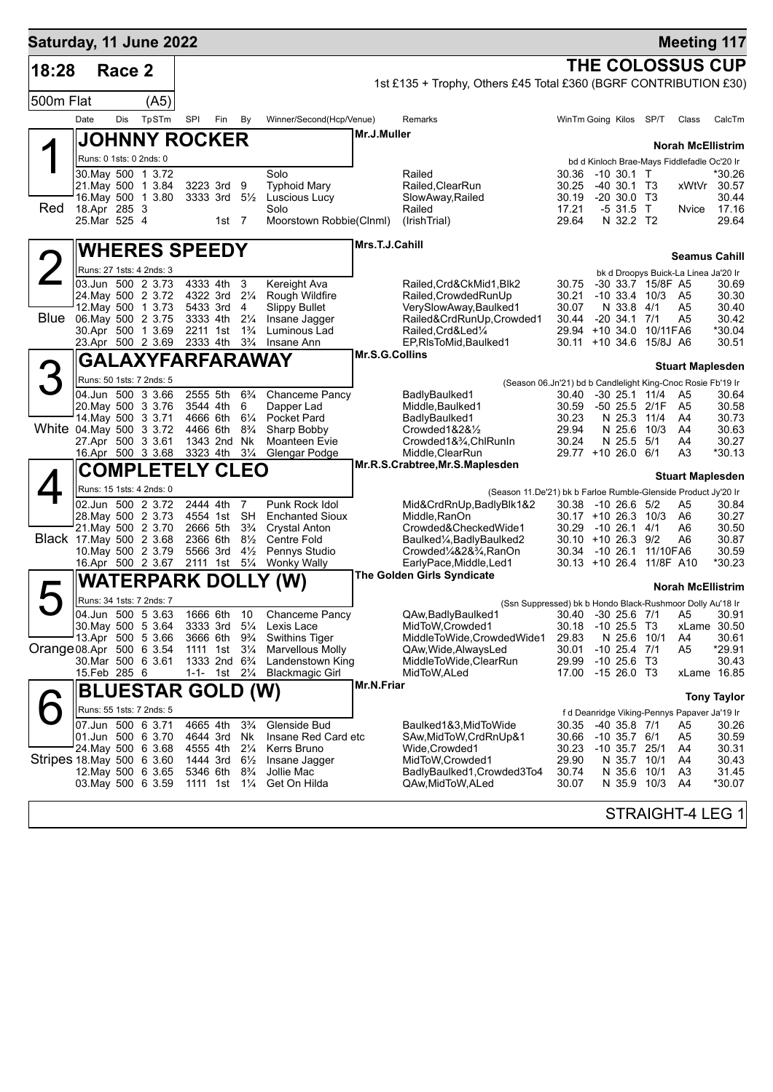| Saturday, 11 June 2022    |      |                              |                                               |                      |                                                                   |                                  |                                                |                |                                                                  |                |                                                                                          |           | <b>Meeting 117</b>       |                      |
|---------------------------|------|------------------------------|-----------------------------------------------|----------------------|-------------------------------------------------------------------|----------------------------------|------------------------------------------------|----------------|------------------------------------------------------------------|----------------|------------------------------------------------------------------------------------------|-----------|--------------------------|----------------------|
| 18:28                     |      | Race 2                       |                                               |                      |                                                                   |                                  |                                                |                |                                                                  |                | <b>THE COLOSSUS CUP</b>                                                                  |           |                          |                      |
|                           |      |                              |                                               |                      |                                                                   |                                  |                                                |                | 1st £135 + Trophy, Others £45 Total £360 (BGRF CONTRIBUTION £30) |                |                                                                                          |           |                          |                      |
| 500m Flat                 |      |                              | (A5)                                          |                      |                                                                   |                                  |                                                |                |                                                                  |                |                                                                                          |           |                          |                      |
|                           | Date | Dis                          | TpSTm                                         | SPI                  | Fin                                                               | By                               | Winner/Second(Hcp/Venue)                       |                | Remarks                                                          |                | WinTm Going Kilos                                                                        | SP/T      | Class                    | CalcTm               |
|                           |      |                              | <b>JOHNNY ROCKER</b>                          |                      |                                                                   |                                  |                                                | Mr.J.Muller    |                                                                  |                |                                                                                          |           | <b>Norah McEllistrim</b> |                      |
|                           |      |                              | Runs: 0 1sts: 0 2nds: 0                       |                      |                                                                   |                                  |                                                |                |                                                                  |                | bd d Kinloch Brae-Mays Fiddlefadle Oc'20 Ir                                              |           |                          |                      |
|                           |      |                              | 30. May 500 1 3.72<br>21. May 500 1 3.84      |                      | 3223 3rd                                                          | 9                                | Solo<br><b>Typhoid Mary</b>                    |                | Railed<br>Railed, ClearRun                                       | 30.36<br>30.25 | $-10,30.1$ T<br>$-40,30.1$ T <sub>3</sub>                                                |           | xWtVr                    | *30.26<br>30.57      |
|                           |      |                              | 16. May 500 1 3.80                            |                      | 3333 3rd $5\frac{1}{2}$                                           |                                  | Luscious Lucy                                  |                | SlowAway, Railed                                                 | 30.19          | $-20, 30.0, T3$                                                                          |           |                          | 30.44                |
| Red                       |      | 18.Apr 285 3<br>25.Mar 525 4 |                                               |                      | 1st $7$                                                           |                                  | Solo<br>Moorstown Robbie(Clnml)                |                | Railed<br>(IrishTrial)                                           | 17.21<br>29.64 | -5 31.5 T<br>N 32.2 T2                                                                   |           | Nvice                    | 17.16<br>29.64       |
|                           |      |                              |                                               |                      |                                                                   |                                  |                                                |                |                                                                  |                |                                                                                          |           |                          |                      |
|                           |      |                              | <b>WHERES SPEEDY</b>                          |                      |                                                                   |                                  |                                                | Mrs.T.J.Cahill |                                                                  |                |                                                                                          |           | <b>Seamus Cahill</b>     |                      |
|                           |      |                              | Runs: 27 1sts: 4 2nds: 3                      |                      |                                                                   |                                  |                                                |                |                                                                  |                | bk d Droopys Buick-La Linea Ja'20 Ir                                                     |           |                          |                      |
|                           |      |                              | 03.Jun 500 2 3.73                             | 4333 4th             |                                                                   | 3                                | Kereight Ava                                   |                | Railed, Crd&CkMid1, Blk2                                         | 30.75          | -30 33.7 15/8F A5                                                                        |           |                          | 30.69                |
|                           |      |                              | 24. May 500 2 3.72<br>12. May 500 1 3.73      | 4322 3rd             | 5433 3rd                                                          | $2\frac{1}{4}$<br>4              | Rough Wildfire<br><b>Slippy Bullet</b>         |                | Railed, Crowded RunUp<br>VerySlowAway,Baulked1                   | 30.21<br>30.07 | -10 33.4 10/3 A5<br>N 33.8 4/1                                                           |           | A5                       | 30.30<br>30.40       |
| Blue                      |      |                              | 06. May 500 2 3.75                            | 3333 4th             |                                                                   | $2\frac{1}{4}$                   | Insane Jagger                                  |                | Railed&CrdRunUp,Crowded1                                         | 30.44          | $-20, 34.1, 7/1$                                                                         |           | A5                       | 30.42                |
|                           |      |                              | 30.Apr 500 1 3.69<br>23.Apr 500 2 3.69        | 2211 1st<br>2333 4th |                                                                   | $1\frac{3}{4}$<br>$3\frac{3}{4}$ | Luminous Lad<br>Insane Ann                     |                | Railed, Crd&Led1/4<br>EP, RIsToMid, Baulked1                     |                | 29.94 +10 34.0 10/11 FA6<br>30.11 +10 34.6 15/8J A6                                      |           |                          | *30.04<br>30.51      |
|                           |      |                              | GALAXYFARFARAWAY                              |                      |                                                                   |                                  |                                                | Mr.S.G.Collins |                                                                  |                |                                                                                          |           | <b>Stuart Maplesden</b>  |                      |
| З                         |      |                              | Runs: 50 1sts: 7 2nds: 5                      |                      |                                                                   |                                  |                                                |                |                                                                  |                | (Season 06.Jn'21) bd b Candlelight King-Cnoc Rosie Fb'19 Ir                              |           |                          |                      |
|                           |      |                              | 04.Jun 500 3 3.66                             | 2555 5th             |                                                                   | $6\frac{3}{4}$                   | <b>Chanceme Pancy</b>                          |                | BadlyBaulked1                                                    | 30.40          | $-30$ 25.1 11/4                                                                          |           | A5                       | 30.64                |
|                           |      |                              | 20. May 500 3 3.76<br>14 May 500 3 3.71       | 4666 6th             | 3544 4th                                                          | 6<br>$6\frac{1}{4}$              | Dapper Lad<br>Pocket Pard                      |                | Middle, Baulked 1<br>BadlyBaulked1                               | 30.59<br>30.23 | $-5025.5$<br>N 25.3 11/4                                                                 | 2/1F      | A5<br>A4                 | 30.58<br>30.73       |
|                           |      |                              | White 04.May 500 3 3.72                       | 4466 6th             |                                                                   | $8\frac{3}{4}$                   | Sharp Bobby                                    |                | Crowded1&2&1/2                                                   | 29.94          | N 25.6                                                                                   | 10/3      | A4                       | 30.63                |
|                           |      |                              | 27.Apr 500 3 3.61<br>16.Apr 500 3 3.68        | 3323 4th             | 1343 2nd Nk                                                       | $3\frac{1}{4}$                   | Moanteen Evie<br>Glengar Podge                 |                | Crowded1&3/4, ChlRunIn<br>Middle, ClearRun                       | 30.24          | N 25.5<br>29.77 +10 26.0 6/1                                                             | 5/1       | A4<br>A3                 | 30.27<br>$*30.13$    |
|                           |      |                              | <b>COMPLETELY CLEO</b>                        |                      |                                                                   |                                  |                                                |                | Mr.R.S.Crabtree, Mr.S.Maplesden                                  |                |                                                                                          |           |                          |                      |
|                           |      |                              | Runs: 15 1sts: 4 2nds: 0                      |                      |                                                                   |                                  |                                                |                | (Season 11.De'21) bk b Farloe Rumble-Glenside Product Jy'20 Ir   |                |                                                                                          |           | <b>Stuart Maplesden</b>  |                      |
|                           |      |                              | 02.Jun 500 2 3.72                             | 2444 4th             |                                                                   | $\overline{7}$                   | Punk Rock Idol                                 |                | Mid&CrdRnUp,BadlyBlk1&2                                          |                | 30.38 -10 26.6 5/2                                                                       |           | A5                       | 30.84                |
|                           |      |                              | 28. May 500 2 3.73<br>21. May 500 2 3.70      |                      | 4554 1st<br>2666 5th                                              | <b>SH</b><br>$3\frac{3}{4}$      | <b>Enchanted Sioux</b><br><b>Crystal Anton</b> |                | Middle, RanOn<br>Crowded&CheckedWide1                            | 30.29          | 30.17 +10 26.3 10/3<br>-10 26.1 4/1                                                      |           | A6<br>A6                 | 30.27<br>30.50       |
|                           |      |                              | Black 17 May 500 2 3.68                       |                      | 2366 6th                                                          | $8\frac{1}{2}$                   | Centre Fold                                    |                | Baulked1/ <sub>4</sub> , Badly Baulked2                          |                | $30.10 + 1026.39/2$                                                                      |           | A6                       | 30.87                |
|                           |      |                              | 10. May 500 2 3.79<br>16.Apr 500 2 3.67       |                      | 5566 3rd<br>2111 1st 51/4                                         | $4\frac{1}{2}$                   | Pennys Studio<br><b>Wonky Wally</b>            |                | Crowded¼&2&¾RanOn<br>EarlyPace,Middle,Led1                       |                | 30.34 -10 26.1 11/10FA6<br>$30.13 + 10.26.4$                                             | 11/8F A10 |                          | 30.59<br>*30.23      |
|                           |      |                              | WATERPARK DOLLY                               |                      |                                                                   |                                  | (W)                                            |                | <b>The Golden Girls Syndicate</b>                                |                |                                                                                          |           |                          |                      |
|                           |      |                              | Runs: 34 1sts: 7 2nds: 7                      |                      |                                                                   |                                  |                                                |                |                                                                  |                |                                                                                          |           | <b>Norah McEllistrim</b> |                      |
|                           |      |                              | 04.Jun 500 5 3.63                             |                      | 1666 6th                                                          | 10                               | <b>Chanceme Pancy</b>                          |                | QAw, Badly Baulked 1                                             |                | (Ssn Suppressed) bk b Hondo Black-Rushmoor Dolly Au'18 Ir<br>30.40 -30 25.6 7/1 A5 30.91 |           |                          |                      |
|                           |      |                              | 30. May 500 5 3.64<br>13.Apr 500 5 3.66       |                      | 3333 3rd 51/4                                                     |                                  | Lexis Lace<br><b>Swithins Tiger</b>            |                | MidToW, Crowded1<br>MiddleToWide,CrowdedWide1                    | 30.18          | $-10$ 25.5 T3                                                                            |           |                          | xLame 30.50<br>30.61 |
| Orange 08.Apr 500 6 3.54  |      |                              |                                               |                      | 3666 6th 9 <sup>3</sup> / <sub>4</sub><br>1111 1st                | $3\frac{1}{4}$                   | <b>Marvellous Molly</b>                        |                | QAw, Wide, Always Led                                            | 29.83<br>30.01 | N 25.6 10/1<br>$-10$ 25.4 $7/1$                                                          |           | A4<br>A5                 | *29.91               |
|                           |      | 15.Feb 285 6                 | 30.Mar 500 6 3.61                             |                      | 1333 2nd 6 <sup>3</sup> / <sub>4</sub><br>1-1- 1st $2\frac{1}{4}$ |                                  | Landenstown King<br><b>Blackmagic Girl</b>     |                | MiddleToWide,ClearRun<br>MidToW, ALed                            | 29.99          | $-10$ 25.6 T3<br>17.00 -15 26.0 T3                                                       |           |                          | 30.43<br>xLame 16.85 |
|                           |      |                              |                                               |                      |                                                                   |                                  |                                                | Mr.N.Friar     |                                                                  |                |                                                                                          |           |                          |                      |
|                           |      |                              | <b>BLUESTAR GOLD (W)</b>                      |                      |                                                                   |                                  |                                                |                |                                                                  |                |                                                                                          |           |                          | <b>Tony Taylor</b>   |
|                           |      |                              | Runs: 55 1sts: 7 2nds: 5<br>07.Jun 500 6 3.71 |                      | 4665 4th                                                          | $3\frac{3}{4}$                   | Glenside Bud                                   |                | Baulked1&3,MidToWide                                             | 30.35          | f d Deanridge Viking-Pennys Papaver Ja'19 Ir<br>-40 35.8 7/1                             |           | A5                       | 30.26                |
|                           |      |                              | 01.Jun 500 6 3.70                             | 4644 3rd             |                                                                   | Nk                               | Insane Red Card etc                            |                | SAw,MidToW,CrdRnUp&1                                             | 30.66          | $-10$ 35.7 $6/1$                                                                         |           | A5                       | 30.59                |
| Stripes 18 May 500 6 3.60 |      |                              | 24 May 500 6 3.68                             | 4555 4th<br>1444 3rd |                                                                   | $2\frac{1}{4}$<br>$6\frac{1}{2}$ | Kerrs Bruno<br>Insane Jagger                   |                | Wide,Crowded1<br>MidToW, Crowded1                                | 30.23<br>29.90 | $-10$ 35.7 25/1<br>N 35.7                                                                | 10/1      | A4<br>A4                 | 30.31<br>30.43       |
|                           |      |                              | 12. May 500 6 3.65                            | 5346 6th             |                                                                   | $8\frac{3}{4}$                   | Jollie Mac                                     |                | BadlyBaulked1, Crowded3To4                                       | 30.74          | N 35.6                                                                                   | 10/1      | A <sub>3</sub>           | 31.45                |
|                           |      |                              | 03 May 500 6 3.59                             |                      | 1111 1st 11/ <sub>4</sub>                                         |                                  | Get On Hilda                                   |                | QAw,MidToW,ALed                                                  | 30.07          | N 35.9 10/3                                                                              |           | A4                       | *30.07               |
|                           |      |                              |                                               |                      |                                                                   |                                  |                                                |                |                                                                  |                |                                                                                          |           | STRAIGHT-4 LEG 1         |                      |
|                           |      |                              |                                               |                      |                                                                   |                                  |                                                |                |                                                                  |                |                                                                                          |           |                          |                      |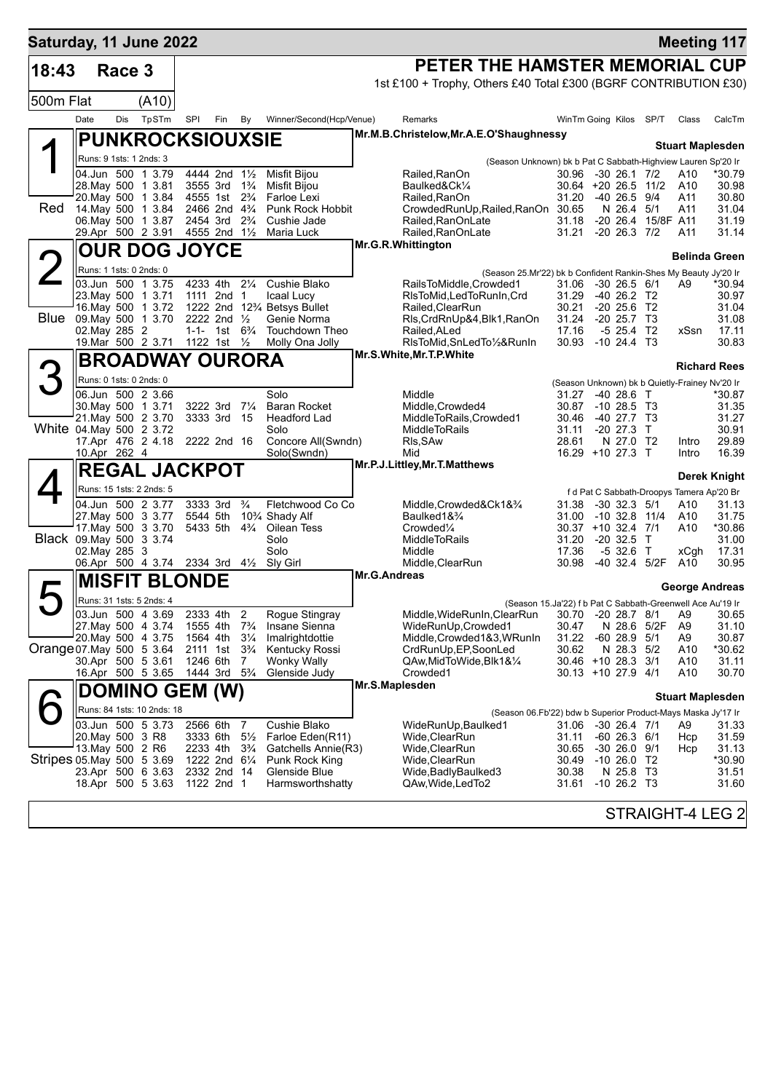| Saturday, 11 June 2022     |                                          |        |                            |          |                                                                                  |                     |                                          |                |                                                                                           |                                          |                                            |                    |                | <b>Meeting 117</b>                                 |
|----------------------------|------------------------------------------|--------|----------------------------|----------|----------------------------------------------------------------------------------|---------------------|------------------------------------------|----------------|-------------------------------------------------------------------------------------------|------------------------------------------|--------------------------------------------|--------------------|----------------|----------------------------------------------------|
| 18:43                      |                                          | Race 3 |                            |          |                                                                                  |                     |                                          |                | PETER THE HAMSTER MEMORIAL CUP                                                            |                                          |                                            |                    |                |                                                    |
|                            |                                          |        |                            |          |                                                                                  |                     |                                          |                | 1st £100 + Trophy, Others £40 Total £300 (BGRF CONTRIBUTION £30)                          |                                          |                                            |                    |                |                                                    |
| 500m Flat                  |                                          |        | (A10)                      |          |                                                                                  |                     |                                          |                |                                                                                           |                                          |                                            |                    |                |                                                    |
|                            | Date                                     | Dis    | TpSTm                      | SPI      | Fin By                                                                           |                     | Winner/Second(Hcp/Venue)                 |                | Remarks                                                                                   | WinTm Going Kilos                        |                                            | SP/T               | Class          | CalcTm                                             |
|                            |                                          |        | <b>PUNKROCKSIOUXSIE</b>    |          |                                                                                  |                     |                                          |                | Mr.M.B.Christelow, Mr.A.E.O'Shaughnessy                                                   |                                          |                                            |                    |                | <b>Stuart Maplesden</b>                            |
|                            | Runs: 9 1sts: 1 2nds: 3                  |        |                            |          |                                                                                  |                     |                                          |                | (Season Unknown) bk b Pat C Sabbath-Highview Lauren Sp'20 Ir                              |                                          |                                            |                    |                |                                                    |
|                            | 04.Jun 500 1 3.79                        |        |                            |          | 4444 2nd 1 <sup>1</sup> / <sub>2</sub>                                           |                     | Misfit Bijou                             |                | Railed, RanOn                                                                             | 30.96 -30 26.1 7/2                       |                                            |                    | A10            | *30.79                                             |
|                            | 28. May 500 1 3.81<br>20. May 500 1 3.84 |        |                            |          | 3555 3rd 1 <sup>3</sup> / <sub>4</sub><br>4555 1st 2 <sup>3</sup> / <sub>4</sub> |                     | Misfit Bijou<br>Farloe Lexi              |                | Baulked&Ck1⁄4<br>Railed, RanOn                                                            | $30.64$ +20 26.5 11/2<br>31.20           | -40 26.5 9/4                               |                    | A10<br>A11     | 30.98<br>30.80                                     |
| Red                        | 14. May 500 1 3.84                       |        |                            |          | 2466 2nd 4 <sup>3</sup> / <sub>4</sub>                                           |                     | Punk Rock Hobbit                         |                | CrowdedRunUp, Railed, RanOn 30.65                                                         |                                          | N 26.4 5/1                                 |                    | A11            | 31.04                                              |
|                            | 06. May 500 1 3.87<br>29.Apr 500 2 3.91  |        |                            |          | 2454 3rd 2 <sup>3</sup> / <sub>4</sub><br>4555 2nd 1½                            |                     | Cushie Jade<br>Maria Luck                |                | Railed, RanOnLate<br>Railed, RanOnLate                                                    | 31.18<br>31.21 -20 26.3 7/2              |                                            | -20 26.4 15/8F A11 | A11            | 31.19<br>31.14                                     |
|                            |                                          |        | <b>OUR DOG JOYCE</b>       |          |                                                                                  |                     |                                          |                | Mr.G.R.Whittington                                                                        |                                          |                                            |                    |                |                                                    |
|                            | Runs: 1 1sts: 0 2nds: 0                  |        |                            |          |                                                                                  |                     |                                          |                |                                                                                           |                                          |                                            |                    |                | <b>Belinda Green</b>                               |
|                            | 03.Jun 500 1 3.75                        |        |                            |          | 4233 4th 21/4                                                                    |                     | Cushie Blako                             |                | (Season 25.Mr'22) bk b Confident Rankin-Shes My Beauty Jy'20 Ir<br>RailsToMiddle,Crowded1 | 31.06 -30 26.5 6/1                       |                                            |                    | A9             | *30.94                                             |
|                            | 23. May 500 1 3.71                       |        |                            |          | 1111 2nd 1                                                                       |                     | Icaal Lucy                               |                | RIsToMid, LedToRunIn, Crd                                                                 | 31.29                                    | -40 26.2 T2                                |                    |                | 30.97                                              |
| <b>Blue</b>                | 16. May 500 1 3.72                       |        |                            |          | 2222 2nd 1/2                                                                     |                     | 1222 2nd 123⁄4 Betsys Bullet             |                | Railed, ClearRun                                                                          | 30.21<br>31.24                           | $-20$ 25.6 T <sub>2</sub><br>$-20$ 25.7 T3 |                    |                | 31.04<br>31.08                                     |
|                            | 09. May 500 1 3.70<br>02. May 285 2      |        |                            |          | 1-1- 1st $6\frac{3}{4}$                                                          |                     | Genie Norma<br>Touchdown Theo            |                | Rls, CrdRnUp&4, Blk1, RanOn<br>Railed, ALed                                               | 17.16                                    | $-5$ 25.4 T2                               |                    | xSsn           | 17.11                                              |
|                            | 19.Mar 500 2 3.71                        |        |                            |          | 1122 1st 1/2                                                                     |                     | Molly Ona Jolly                          |                | RIsToMid, SnLedTo1/2&RunIn                                                                | 30.93 -10 24.4 T3                        |                                            |                    |                | 30.83                                              |
|                            |                                          |        | <b>BROADWAY OURORA</b>     |          |                                                                                  |                     |                                          |                | Mr.S.White, Mr.T.P.White                                                                  |                                          |                                            |                    |                | <b>Richard Rees</b>                                |
| 3                          | Runs: 0 1sts: 0 2nds: 0                  |        |                            |          |                                                                                  |                     |                                          |                |                                                                                           |                                          |                                            |                    |                | (Season Unknown) bk b Quietly-Frainey Nv'20 Ir     |
|                            | 06.Jun 500 2 3.66                        |        |                            |          |                                                                                  |                     | Solo                                     |                | Middle                                                                                    | 31.27                                    | $-4028.6$ T                                |                    |                | *30.87                                             |
|                            | 30. May 500 1 3.71<br>21. May 500 2 3.70 |        |                            |          | 3222 3rd 71/4<br>3333 3rd 15                                                     |                     | <b>Baran Rocket</b><br>Headford Lad      |                | Middle, Crowded4<br>MiddleToRails, Crowded1                                               | 30.87 -10 28.5 T3<br>30.46               | $-40$ 27.7 T3                              |                    |                | 31.35<br>31.27                                     |
| White 04 May 500 2 3.72    |                                          |        |                            |          |                                                                                  |                     | Solo                                     |                | <b>MiddleToRails</b>                                                                      | 31.11                                    | $-20$ 27.3                                 | $\top$             |                | 30.91                                              |
|                            | 17.Apr 476 2 4.18<br>10.Apr 262 4        |        |                            |          | 2222 2nd 16                                                                      |                     | Concore All(Swndn)<br>Solo(Swndn)        |                | Rls, SAw<br>Mid                                                                           | 28.61<br>16.29 +10 27.3 T                | N 27.0 T2                                  |                    | Intro<br>Intro | 29.89<br>16.39                                     |
|                            |                                          |        | <b>REGAL JACKPOT</b>       |          |                                                                                  |                     |                                          |                | Mr.P.J.Littley, Mr.T.Matthews                                                             |                                          |                                            |                    |                |                                                    |
|                            |                                          |        | Runs: 15 1sts: 2 2nds: 5   |          |                                                                                  |                     |                                          |                |                                                                                           |                                          |                                            |                    |                | Derek Knight                                       |
|                            | 04.Jun 500 2 3.77                        |        |                            |          | 3333 3rd                                                                         | $\frac{3}{4}$       | Fletchwood Co Co                         |                | Middle, Crowded&Ck1&3/4                                                                   | 31.38                                    | $-30$ 32.3 $5/1$                           |                    | A10            | f d Pat C Sabbath-Droopys Tamera Ap'20 Br<br>31.13 |
|                            | 27. May 500 3 3.77                       |        |                            |          | 5544 5th                                                                         |                     | 10 <sup>3</sup> / <sub>4</sub> Shady Alf |                | Baulked1& <sup>3</sup> /4                                                                 | 31.00                                    | -10 32.8 11/4                              |                    | A10            | 31.75                                              |
| Black 09. May 500 3 3.74   | 17. May 500 3 3.70                       |        |                            |          | 5433 5th 4 <sup>3</sup> / <sub>4</sub>                                           |                     | Oilean Tess<br>Solo                      |                | Crowded <sup>1/4</sup><br><b>MiddleToRails</b>                                            | $30.37 + 10.32.4$ 7/1<br>31.20           | $-20.32.5$                                 | $\top$             | A10            | *30.86<br>31.00                                    |
|                            | 02. May 285 3                            |        |                            |          |                                                                                  |                     | Solo                                     |                | Middle                                                                                    | 17.36                                    | $-532.6$ T                                 |                    | xCgh           | 17.31                                              |
|                            | 06.Apr 500 4 3.74 2334 3rd 41/2          |        |                            |          |                                                                                  |                     | Sly Girl                                 |                | Middle, ClearRun                                                                          | 30.98                                    | -40 32.4 5/2F                              |                    | A10            | 30.95                                              |
|                            |                                          |        | <b>MISFIT BLONDE</b>       |          |                                                                                  |                     |                                          | Mr.G.Andreas   |                                                                                           |                                          |                                            |                    |                | George Andreas                                     |
|                            |                                          |        | Runs: 31 1sts: 5 2nds: 4   |          |                                                                                  |                     |                                          |                | (Season 15.Ja'22) f b Pat C Sabbath-Greenwell Ace Au'19 Ir                                |                                          |                                            |                    |                |                                                    |
|                            | 03.Jun 500 4 3.69<br>27. May 500 4 3.74  |        |                            | 1555 4th | 2333 4th                                                                         | 2<br>$7\frac{3}{4}$ | Rogue Stingray<br>Insane Sienna          |                | Middle, WideRunIn, ClearRun<br>WideRunUp, Crowded1                                        | 30.70 -20 28.7 8/1 A9<br>30.47           | N 28.6                                     | 5/2F               | A <sub>9</sub> | 30.65<br>31.10                                     |
|                            | 20. May 500 4 3.75                       |        |                            |          | 1564 4th                                                                         | $3\frac{1}{4}$      | Imalrightdottie                          |                | Middle, Crowded 1&3, WRunIn                                                               | 31.22                                    | $-6028.95/1$                               |                    | A <sub>9</sub> | 30.87                                              |
| Orange 07 May 500 5 3.64   |                                          |        |                            |          | 2111 1st                                                                         | $3\frac{3}{4}$      | Kentucky Rossi                           |                | CrdRunUp, EP, SoonLed                                                                     | 30.62                                    | N 28.3                                     | 5/2                | A10            | *30.62                                             |
|                            | 30.Apr 500 5 3.61<br>16.Apr 500 5 3.65   |        |                            |          | 1246 6th 7<br>1444 3rd 5 <sup>3</sup> / <sub>4</sub>                             |                     | Wonky Wally<br>Glenside Judy             |                | QAw,MidToWide,Blk1&¼<br>Crowded1                                                          | 30.46 +10 28.3 3/1<br>30.13 +10 27.9 4/1 |                                            |                    | A10<br>A10     | 31.11<br>30.70                                     |
|                            |                                          |        | <b>DOMINO GEM (W)</b>      |          |                                                                                  |                     |                                          | Mr.S.Maplesden |                                                                                           |                                          |                                            |                    |                |                                                    |
|                            |                                          |        | Runs: 84 1sts: 10 2nds: 18 |          |                                                                                  |                     |                                          |                |                                                                                           |                                          |                                            |                    |                | <b>Stuart Maplesden</b>                            |
|                            | 03.Jun 500 5 3.73                        |        |                            |          | 2566 6th                                                                         | 7                   | Cushie Blako                             |                | (Season 06.Fb'22) bdw b Superior Product-Mays Maska Jy'17 Ir<br>WideRunUp,Baulked1        | 31.06                                    | $-30$ 26.4 $7/1$                           |                    | A9             | 31.33                                              |
|                            | 20. May 500 3 R8                         |        |                            |          | 3333 6th                                                                         | $5\frac{1}{2}$      | Farloe Eden(R11)                         |                | Wide,ClearRun                                                                             | 31.11                                    | $-60$ 26.3 $6/1$                           |                    | Hcp            | 31.59                                              |
|                            | 13. May 500 2 R6                         |        |                            |          | 2233 4th                                                                         | $3\frac{3}{4}$      | Gatchells Annie(R3)                      |                | Wide,ClearRun                                                                             | 30.65                                    | $-30$ 26.0 $9/1$                           |                    | Hcp            | 31.13                                              |
| Stripes 05. May 500 5 3.69 | 23.Apr 500 6 3.63                        |        |                            |          | 1222 2nd 61/4<br>2332 2nd 14                                                     |                     | Punk Rock King<br>Glenside Blue          |                | Wide,ClearRun<br>Wide,BadlyBaulked3                                                       | 30.49<br>30.38                           | $-1026.0$ T2<br>N 25.8 T3                  |                    |                | *30.90<br>31.51                                    |
|                            | 18.Apr 500 5 3.63                        |        |                            |          | 1122 2nd 1                                                                       |                     | Harmsworthshatty                         |                | QAw, Wide, Led To 2                                                                       | 31.61                                    | $-10$ 26.2 T3                              |                    |                | 31.60                                              |
|                            |                                          |        |                            |          |                                                                                  |                     |                                          |                |                                                                                           |                                          |                                            |                    |                |                                                    |
|                            |                                          |        |                            |          |                                                                                  |                     |                                          |                |                                                                                           |                                          |                                            |                    |                | STRAIGHT-4 LEG 2                                   |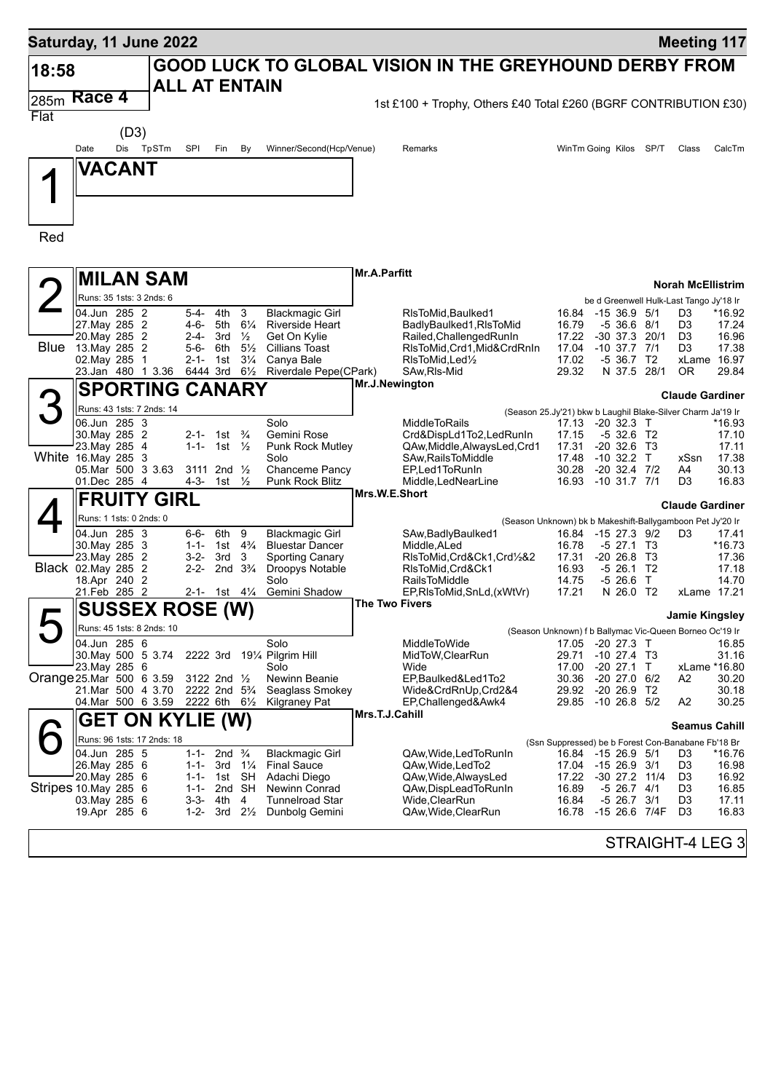|       | Saturday, 11 June 2022                        |           |                                                                  |                                |                                  |                                                  |                     |                                                                          |                |                                                                             |        | <b>Meeting 117</b>       |                      |
|-------|-----------------------------------------------|-----------|------------------------------------------------------------------|--------------------------------|----------------------------------|--------------------------------------------------|---------------------|--------------------------------------------------------------------------|----------------|-----------------------------------------------------------------------------|--------|--------------------------|----------------------|
| 18:58 |                                               |           | <b>ALL AT ENTAIN</b>                                             |                                |                                  |                                                  |                     | <b>GOOD LUCK TO GLOBAL VISION IN THE GREYHOUND DERBY FROM</b>            |                |                                                                             |        |                          |                      |
| 285m  | Race 4                                        |           |                                                                  |                                |                                  |                                                  |                     | 1st £100 + Trophy, Others £40 Total £260 (BGRF CONTRIBUTION £30)         |                |                                                                             |        |                          |                      |
| Flat  |                                               |           |                                                                  |                                |                                  |                                                  |                     |                                                                          |                |                                                                             |        |                          |                      |
|       | (D3)                                          |           |                                                                  |                                |                                  |                                                  |                     |                                                                          |                |                                                                             |        |                          |                      |
|       | Date                                          | Dis TpSTm | SPI                                                              | Fin                            | By                               | Winner/Second(Hcp/Venue)                         |                     | Remarks                                                                  |                | WinTm Going Kilos SP/T                                                      |        | Class                    | CalcTm               |
|       | VACANT                                        |           |                                                                  |                                |                                  |                                                  |                     |                                                                          |                |                                                                             |        |                          |                      |
|       |                                               |           |                                                                  |                                |                                  |                                                  |                     |                                                                          |                |                                                                             |        |                          |                      |
|       |                                               |           |                                                                  |                                |                                  |                                                  |                     |                                                                          |                |                                                                             |        |                          |                      |
| Red   |                                               |           |                                                                  |                                |                                  |                                                  |                     |                                                                          |                |                                                                             |        |                          |                      |
|       |                                               |           |                                                                  |                                |                                  |                                                  |                     |                                                                          |                |                                                                             |        |                          |                      |
|       |                                               |           |                                                                  |                                |                                  |                                                  | <b>Mr.A.Parfitt</b> |                                                                          |                |                                                                             |        |                          |                      |
|       | <b>MILAN SAM</b>                              |           |                                                                  |                                |                                  |                                                  |                     |                                                                          |                |                                                                             |        | <b>Norah McEllistrim</b> |                      |
|       | Runs: 35 1sts: 3 2nds: 6<br>04.Jun 285 2      |           | $5-4-$                                                           | 3<br>4th                       |                                  | <b>Blackmagic Girl</b>                           |                     | RIsToMid, Baulked1                                                       | 16.84          | be d Greenwell Hulk-Last Tango Jy'18 Ir<br>-15 36.9                         | 5/1    | D3                       | *16.92               |
|       | 27. May 285 2                                 |           | 4-6-                                                             | 5th                            | $6\frac{1}{4}$                   | <b>Riverside Heart</b>                           |                     | BadlyBaulked1, RIsToMid                                                  | 16.79          | -5 36.6                                                                     | 8/1    | D3                       | 17.24                |
|       | 20. May 285 2                                 |           | $2 - 4 -$                                                        | 3rd<br>$\frac{1}{2}$           |                                  | Get On Kylie                                     |                     | Railed, Challenged RunIn                                                 | 17.22          | $-30$ 37.3                                                                  | 20/1   | D <sub>3</sub>           | 16.96                |
| Blue  | 13. May 285 2<br>02. May 285 1                |           | 5-6-<br>2-1-                                                     | 6th<br>1st                     | $5\frac{1}{2}$<br>$3\frac{1}{4}$ | <b>Cillians Toast</b><br>Canya Bale              |                     | RIsToMid, Crd1, Mid&CrdRnIn<br>RIsToMid, Led <sup>1</sup> / <sub>2</sub> | 17.04<br>17.02 | $-10$ 37.7<br>$-536.7$ T2                                                   | 7/1    | D3                       | 17.38<br>xLame 16.97 |
|       | 23.Jan 480 1 3.36                             |           | 6444 3rd                                                         |                                | $6\frac{1}{2}$                   | Riverdale Pepe(CPark)                            |                     | SAw, RIs-Mid                                                             | 29.32          | N 37.5                                                                      | 28/1   | 0R                       | 29.84                |
|       | <b>SPORTING CANARY</b>                        |           |                                                                  |                                |                                  |                                                  | Mr.J.Newington      |                                                                          |                |                                                                             |        | <b>Claude Gardiner</b>   |                      |
|       | Runs: 43 1sts: 7 2nds: 14                     |           |                                                                  |                                |                                  |                                                  |                     |                                                                          |                | (Season 25.Jy'21) bkw b Laughil Blake-Silver Charm Ja'19 Ir                 |        |                          |                      |
|       | 06.Jun 285 3                                  |           |                                                                  |                                |                                  | Solo                                             |                     | <b>MiddleToRails</b>                                                     | 17.13          | -20 32.3 T                                                                  |        |                          | *16.93               |
|       | 30. May 285 2                                 |           | 2-1- 1st <sup>3</sup> / <sub>4</sub>                             |                                |                                  | Gemini Rose                                      |                     | Crd&DispLd1To2,LedRunIn                                                  | 17.15          | $-532.6$ T2                                                                 |        |                          | 17.10                |
|       | 23. May 285 4<br>White 16. May 285 3          |           | 1-1- 1st $\frac{1}{2}$                                           |                                |                                  | <b>Punk Rock Mutley</b><br>Solo                  |                     | QAw, Middle, Always Led, Crd1<br>SAw, Rails To Middle                    | 17.31<br>17.48 | $-20, 32.6$<br>$-10$ 32.2 T                                                 | - ТЗ   | xSsn                     | 17.11<br>17.38       |
|       | 05.Mar 500 3 3.63                             |           | 3111 2nd $\frac{1}{2}$                                           |                                |                                  | Chanceme Pancy                                   |                     | EP, Led 1 To Run In                                                      | 30.28          | $-20$ 32.4 $7/2$                                                            |        | A4                       | 30.13                |
|       | 01.Dec 285 4                                  |           | 4-3-                                                             | 1st $\frac{1}{2}$              |                                  | <b>Punk Rock Blitz</b>                           | Mrs.W.E.Short       | Middle, LedNearLine                                                      |                | 16.93 -10 31.7 7/1                                                          |        | D3                       | 16.83                |
|       | <b>FRUITY GIRL</b>                            |           |                                                                  |                                |                                  |                                                  |                     |                                                                          |                |                                                                             |        | <b>Claude Gardiner</b>   |                      |
|       | Runs: 1 1sts: 0 2nds: 0                       |           |                                                                  |                                |                                  |                                                  |                     |                                                                          |                | (Season Unknown) bk b Makeshift-Ballygamboon Pet Jy'20 Ir                   |        |                          |                      |
|       | 04.Jun 285 3<br>30. May 285 3                 |           | 6-6-<br>1-1-                                                     | 6th<br>9<br>1st $4\frac{3}{4}$ |                                  | <b>Blackmagic Girl</b><br><b>Bluestar Dancer</b> |                     | SAw, Badly Baulked 1<br>Middle, ALed                                     | 16.78          | 16.84 -15 27.3 9/2<br>$-5$ 27.1 T3                                          |        | D3                       | 17.41<br>*16.73      |
|       | 23. May 285 2                                 |           | 3-2-                                                             | 3rd<br>3                       |                                  | <b>Sporting Canary</b>                           |                     | RIsToMid,Crd&Ck1,Crd½&2                                                  | 17.31          | $-20, 26.8$                                                                 | - тз   |                          | 17.36                |
|       | Black 02. May 285 2                           |           | $2 - 2 -$                                                        | 2nd $3\frac{3}{4}$             |                                  | Droopys Notable                                  |                     | RIsToMid, Crd&Ck1                                                        | 16.93          | -5 26.1 T2                                                                  |        |                          | 17.18                |
|       | 18.Apr 240 2<br>21.Feb 285 2                  |           | 2-1- 1st 4¼                                                      |                                |                                  | Solo<br>Gemini Shadow                            |                     | <b>RailsToMiddle</b><br>EP, RIs To Mid, SnLd, (x WtVr)                   | 14.75<br>17.21 | -5 26.6<br>N 26.0 T2                                                        | $\top$ |                          | 14.70<br>xLame 17.21 |
|       | <b>SUSSEX ROSE (W)</b>                        |           |                                                                  |                                |                                  |                                                  | The Two Fivers      |                                                                          |                |                                                                             |        |                          |                      |
|       | Runs: 45 1sts: 8 2nds: 10                     |           |                                                                  |                                |                                  |                                                  |                     |                                                                          |                |                                                                             |        | <b>Jamie Kingsley</b>    |                      |
|       | 04.Jun 285 6                                  |           |                                                                  |                                |                                  | Solo                                             |                     | MiddleToWide                                                             |                | (Season Unknown) f b Ballymac Vic-Queen Borneo Oc'19 Ir<br>17.05 -20 27.3 T |        |                          | 16.85                |
|       | 30. May 500 5 3.74                            |           | 2222 3rd                                                         |                                |                                  | 191⁄4 Pilgrim Hill                               |                     | MidToW, ClearRun                                                         | 29.71          | -10 27.4 T3                                                                 |        |                          | 31.16                |
|       | 23. May 285 6                                 |           |                                                                  |                                |                                  | Solo                                             |                     | Wide                                                                     | 17.00          | $-20$ 27.1                                                                  | $\top$ |                          | xLame *16.80         |
|       | Orange 25.Mar 500 6 3.59<br>21.Mar 500 4 3.70 |           | 3122 2nd $\frac{1}{2}$<br>2222 2nd 5 <sup>3</sup> / <sub>4</sub> |                                |                                  | Newinn Beanie<br>Seaglass Smokey                 |                     | EP, Baulked&Led1To2<br>Wide&CrdRnUp,Crd2&4                               | 30.36<br>29.92 | $-20$ 27.0 $6/2$<br>$-20, 26.9, T2$                                         |        | A2                       | 30.20<br>30.18       |
|       | 04. Mar 500 6 3.59                            |           | 2222 6th 61/2                                                    |                                |                                  | <b>Kilgraney Pat</b>                             |                     | EP, Challenged&Awk4                                                      |                | 29.85 -10 26.8 5/2                                                          |        | A2                       | 30.25                |
|       | <b>GET ON KYLIE (W)</b>                       |           |                                                                  |                                |                                  |                                                  | Mrs.T.J.Cahill      |                                                                          |                |                                                                             |        | <b>Seamus Cahill</b>     |                      |
|       | Runs: 96 1sts: 17 2nds: 18                    |           |                                                                  |                                |                                  |                                                  |                     |                                                                          |                | (Ssn Suppressed) be b Forest Con-Banabane Fb'18 Br                          |        |                          |                      |
|       | 04.Jun 285 5                                  |           | 1-1-                                                             | 2nd $\frac{3}{4}$              |                                  | <b>Blackmagic Girl</b>                           |                     | QAw, Wide, Led To Run In                                                 |                | 16.84 -15 26.9 5/1                                                          |        | D3                       | *16.76               |
|       | 26. May 285 6<br>20. May 285 6                |           | 1-1-<br>1-1-                                                     | $3rd \frac{1}{4}$<br>1st SH    |                                  | <b>Final Sauce</b><br>Adachi Diego               |                     | QAw, Wide, Led To 2<br>QAw, Wide, Always Led                             | 17.22          | 17.04 -15 26.9 3/1<br>-30 27.2 11/4                                         |        | D3<br>D3                 | 16.98<br>16.92       |
|       | Stripes 10. May 285 6                         |           | 1-1-                                                             | 2nd SH                         |                                  | Newinn Conrad                                    |                     | QAw,DispLeadToRunIn                                                      | 16.89          | $-5$ 26.7 $4/1$                                                             |        | D3                       | 16.85                |
|       | 03. May 285 6                                 |           | 3-3- 4th                                                         | 4                              |                                  | <b>Tunnelroad Star</b>                           |                     | Wide, Clear Run                                                          | 16.84          | $-5$ 26.7 $3/1$                                                             |        | D3                       | 17.11                |
|       | 19.Apr 285 6                                  |           | $1 - 2 -$                                                        | $3rd \t 2\frac{1}{2}$          |                                  | Dunbolg Gemini                                   |                     | QAw, Wide, Clear Run                                                     | 16.78          | -15 26.6 7/4F                                                               |        | D <sub>3</sub>           | 16.83                |
|       |                                               |           |                                                                  |                                |                                  |                                                  |                     |                                                                          |                |                                                                             |        | STRAIGHT-4 LEG 3         |                      |
|       |                                               |           |                                                                  |                                |                                  |                                                  |                     |                                                                          |                |                                                                             |        |                          |                      |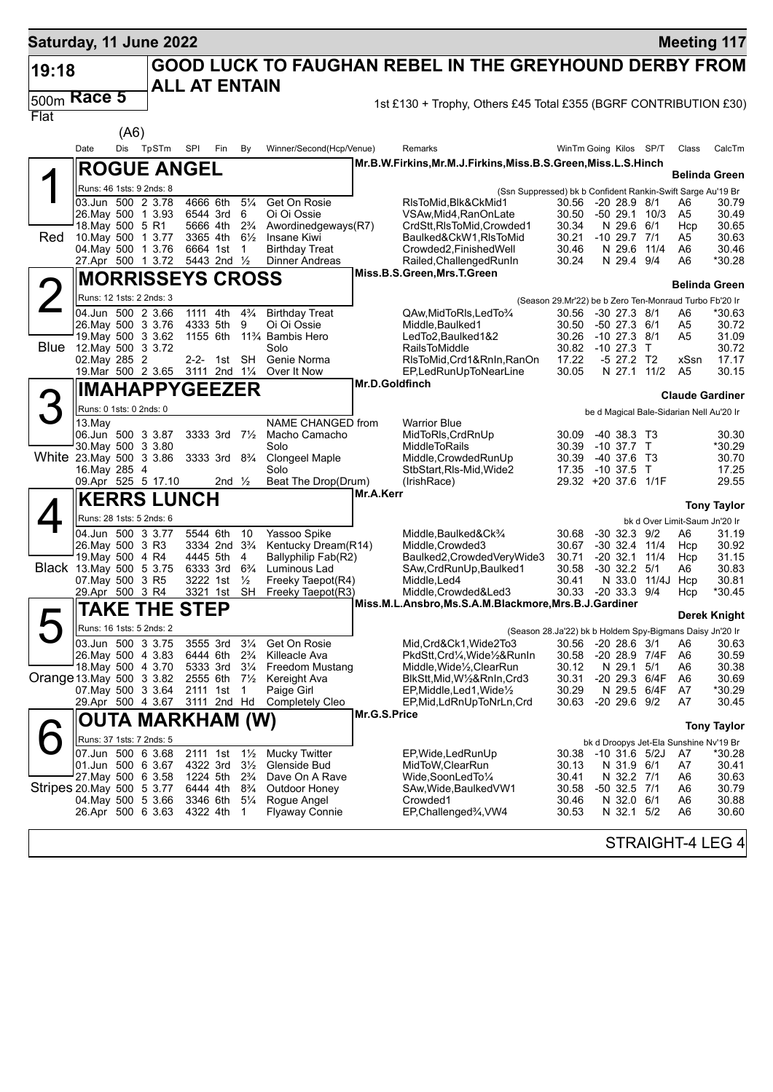| Saturday, 11 June 2022    |                                          |      |                          |                         |                                        |                                  |                                            |                |                                                                                |                                                                 |                                 |                  |                                          | <b>Meeting 117</b>                               |
|---------------------------|------------------------------------------|------|--------------------------|-------------------------|----------------------------------------|----------------------------------|--------------------------------------------|----------------|--------------------------------------------------------------------------------|-----------------------------------------------------------------|---------------------------------|------------------|------------------------------------------|--------------------------------------------------|
| 19:18                     |                                          |      |                          | <b>ALL AT ENTAIN</b>    |                                        |                                  |                                            |                | <b>GOOD LUCK TO FAUGHAN REBEL IN THE GREYHOUND DERBY FROM</b>                  |                                                                 |                                 |                  |                                          |                                                  |
| 500m                      | Race 5                                   |      |                          |                         |                                        |                                  |                                            |                |                                                                                |                                                                 |                                 |                  |                                          |                                                  |
| Flat                      |                                          |      |                          |                         |                                        |                                  |                                            |                | 1st £130 + Trophy, Others £45 Total £355 (BGRF CONTRIBUTION £30)               |                                                                 |                                 |                  |                                          |                                                  |
|                           |                                          | (A6) |                          |                         |                                        |                                  |                                            |                |                                                                                |                                                                 |                                 |                  |                                          |                                                  |
|                           | Date                                     | Dis  | TpSTm                    | SPI                     | Fin                                    | By                               | Winner/Second(Hcp/Venue)                   |                | Remarks                                                                        | WinTm Going Kilos SP/T                                          |                                 |                  | Class                                    | CalcTm                                           |
|                           |                                          |      |                          |                         |                                        |                                  |                                            |                | Mr.B.W.Firkins,Mr.M.J.Firkins,Miss.B.S.Green,Miss.L.S.Hinch                    |                                                                 |                                 |                  |                                          |                                                  |
| ◢                         |                                          |      | <b>ROGUE ANGEL</b>       |                         |                                        |                                  |                                            |                |                                                                                |                                                                 |                                 |                  |                                          | Belinda Green                                    |
|                           |                                          |      | Runs: 46 1sts: 9 2nds: 8 |                         |                                        |                                  |                                            |                | (Ssn Suppressed) bk b Confident Rankin-Swift Sarge Au'19 Br                    |                                                                 |                                 |                  |                                          |                                                  |
|                           | 26. May 500 1 3.93                       |      | 03.Jun 500 2 3.78        | 4666 6th<br>6544 3rd    |                                        | $5\frac{1}{4}$<br>6              | Get On Rosie<br>Oi Oi Ossie                |                | RIsToMid, BIk&CkMid1<br>VSAw, Mid4, RanOnLate                                  | 30.56<br>30.50                                                  | -20 28.9 8/1                    | -50 29.1 10/3    | A6<br>A <sub>5</sub>                     | 30.79<br>30.49                                   |
|                           | 18. May 500 5 R1                         |      |                          | 5666 4th                |                                        | $2\frac{3}{4}$                   | Awordinedgeways(R7)                        |                | CrdStt, RIsToMid, Crowded1                                                     | 30.34                                                           | N 29.6 6/1                      |                  | Hcp                                      | 30.65                                            |
| Red                       | 10. May 500 1 3.77<br>04 May 500 1 3.76  |      |                          | 3365 4th<br>6664 1st    |                                        | $6\frac{1}{2}$<br>$\overline{1}$ | Insane Kiwi<br><b>Birthday Treat</b>       |                | Baulked&CkW1, RIsToMid<br>Crowded2, Finished Well                              | 30.21<br>30.46                                                  | $-10$ 29.7 $7/1$<br>N 29.6 11/4 |                  | A5                                       | 30.63<br>30.46                                   |
|                           |                                          |      | 27.Apr 500 1 3.72        | 5443 2nd $\frac{1}{2}$  |                                        |                                  | <b>Dinner Andreas</b>                      |                | Railed, Challenged RunIn                                                       | 30.24                                                           | N 29.4 9/4                      |                  | A6<br>A6                                 | *30.28                                           |
|                           |                                          |      | <b>MORRISSEYS CROSS</b>  |                         |                                        |                                  |                                            |                | Miss.B.S.Green, Mrs.T.Green                                                    |                                                                 |                                 |                  |                                          |                                                  |
|                           | Runs: 12 1sts: 2 2nds: 3                 |      |                          |                         |                                        |                                  |                                            |                |                                                                                |                                                                 |                                 |                  |                                          | <b>Belinda Green</b>                             |
|                           | 04.Jun 500 2 3.66                        |      |                          | 1111 4th                |                                        | $4\frac{3}{4}$                   | <b>Birthday Treat</b>                      |                | QAw, MidToRIs, LedTo3/4                                                        | (Season 29.Mr'22) be b Zero Ten-Monraud Turbo Fb'20 Ir<br>30.56 | $-30$ 27.3 $8/1$                |                  | A6                                       | *30.63                                           |
|                           | 26. May 500 3 3.76                       |      |                          | 4333 5th                |                                        | 9                                | Oi Oi Ossie                                |                | Middle, Baulked1                                                               | 30.50                                                           | $-50$ 27.3 $6/1$                |                  | A5                                       | 30.72                                            |
|                           | 19. May 500 3 3.62                       |      |                          | 1155 6th                |                                        |                                  | 11 <sup>3</sup> / <sub>4</sub> Bambis Hero |                | LedTo2, Baulked1&2                                                             | 30.26                                                           | $-10$ 27.3 $8/1$                |                  | A5                                       | 31.09                                            |
|                           | Blue 12. May 500 3 3.72<br>02. May 285 2 |      |                          | 2-2- 1st                |                                        | SH                               | Solo<br>Genie Norma                        |                | <b>RailsToMiddle</b><br>RIsToMid, Crd1&RnIn, RanOn                             | 30.82<br>17.22                                                  | $-10$ 27.3<br>$-5$ 27.2 T2      | $\top$           | xSsn                                     | 30.72<br>17.17                                   |
|                           |                                          |      | 19. Mar 500 2 3.65       | 3111 2nd 11/4           |                                        |                                  | Over It Now                                |                | EP,LedRunUpToNearLine                                                          | 30.05                                                           | N 27.1                          | 11/2             | A5                                       | 30.15                                            |
|                           |                                          |      | <b>IMAHAPPYGEEZER</b>    |                         |                                        |                                  |                                            | Mr.D.Goldfinch |                                                                                |                                                                 |                                 |                  |                                          | <b>Claude Gardiner</b>                           |
|                           | Runs: 0 1sts: 0 2nds: 0                  |      |                          |                         |                                        |                                  |                                            |                |                                                                                |                                                                 |                                 |                  | be d Magical Bale-Sidarian Nell Au'20 Ir |                                                  |
|                           | 13.May                                   |      |                          |                         |                                        |                                  | NAME CHANGED from                          |                | <b>Warrior Blue</b>                                                            |                                                                 |                                 |                  |                                          |                                                  |
|                           | 06.Jun 500 3 3.87                        |      |                          |                         | 3333 3rd $7\frac{1}{2}$                |                                  | Macho Camacho                              |                | MidToRIs, CrdRnUp                                                              | 30.09                                                           | -40 38.3 T3                     |                  |                                          | 30.30                                            |
| White 23. May 500 3 3.86  | 30. May 500 3 3.80                       |      |                          |                         | 3333 3rd 8 <sup>3</sup> / <sub>4</sub> |                                  | Solo<br>Clongeel Maple                     |                | <b>MiddleToRails</b><br>Middle, Crowded RunUp                                  | 30.39<br>30.39                                                  | $-10,37.7$ T<br>-40 37.6 T3     |                  |                                          | *30.29<br>30.70                                  |
|                           | 16. May 285 4                            |      |                          |                         |                                        |                                  | Solo                                       |                | StbStart, RIs-Mid, Wide2                                                       | 17.35                                                           | -10 37.5 T                      |                  |                                          | 17.25                                            |
|                           |                                          |      | 09.Apr 525 5 17.10       |                         | 2nd $\frac{1}{2}$                      |                                  | Beat The Drop(Drum)                        | Mr.A.Kerr      | (IrishRace)                                                                    | 29.32 +20 37.6                                                  |                                 | 1/1F             |                                          | 29.55                                            |
|                           |                                          |      | <b>KERRS LUNCH</b>       |                         |                                        |                                  |                                            |                |                                                                                |                                                                 |                                 |                  |                                          | <b>Tony Taylor</b>                               |
|                           |                                          |      | Runs: 28 1sts: 5 2nds: 6 |                         |                                        |                                  |                                            |                |                                                                                |                                                                 |                                 |                  | bk d Over Limit-Saum Jn'20 Ir            |                                                  |
|                           | 04.Jun 500 3 3.77                        |      |                          | 5544 6th                |                                        | 10                               | Yassoo Spike                               |                | Middle.Baulked&Ck <sup>3</sup> /4                                              | 30.68                                                           | $-30$ 32.3 $9/2$                |                  | A6                                       | 31.19                                            |
|                           | 26. May 500 3 R3<br>19. May 500 4 R4     |      |                          | 4445 5th                | 3334 2nd 3 <sup>3</sup> / <sub>4</sub> | 4                                | Kentucky Dream(R14)<br>Ballyphilip Fab(R2) |                | Middle, Crowded 3<br>Baulked2, Crowded Very Wide3                              | 30.67<br>30.71                                                  | $-30$ 32.4 11/4<br>$-20, 32.1$  | 11/4             | Hcp<br>Hcp                               | 30.92<br>31.15                                   |
| Black 13 May 500 5 3.75   |                                          |      |                          | 6333 3rd                |                                        | $6\frac{3}{4}$                   | Luminous Lad                               |                | SAw, CrdRunUp, Baulked1                                                        | 30.58                                                           | $-30$ 32.2 $5/1$                |                  | A6                                       | 30.83                                            |
|                           | 07. May 500 3 R5                         |      |                          | 3222 1st                |                                        | $\frac{1}{2}$                    | Freeky Taepot(R4)                          |                | Middle.Led4                                                                    | 30.41                                                           |                                 | N 33.0 11/4J Hcp |                                          | 30.81                                            |
|                           | 29.Apr 500 3 R4                          |      |                          | 3321 1st                |                                        | <b>SH</b>                        | Freeky Taepot(R3)                          |                | Middle, Crowded & Led 3<br>Miss.M.L.Ansbro,Ms.S.A.M.Blackmore,Mrs.B.J.Gardiner | 30.33                                                           | $-20$ 33.3 $9/4$                |                  | Hcp                                      | *30.45                                           |
|                           | <b>TAKE</b>                              |      | <b>THE</b>               | <b>STEP</b>             |                                        |                                  |                                            |                |                                                                                |                                                                 |                                 |                  |                                          | <b>Derek Knight</b>                              |
|                           | Runs: 16 1sts: 5 2nds: 2                 |      |                          |                         |                                        |                                  |                                            |                | (Season 28.Ja'22) bk b Holdem Spy-Bigmans Daisy Jn'20 Ir                       |                                                                 |                                 |                  |                                          |                                                  |
|                           | 03.Jun 500 3 3.75<br>26. May 500 4 3.83  |      |                          | 3555 3rd<br>6444 6th    |                                        | $3\frac{1}{4}$<br>$2\frac{3}{4}$ | Get On Rosie<br>Killeacle Ava              |                | Mid,Crd&Ck1,Wide2To3<br>PkdStt,Crd1/4,Wide1/2&RunIn                            | 30.56<br>30.58                                                  | $-20$ 28.6 $3/1$                | -20 28.9 7/4F    | A6<br>A6                                 | 30.63<br>30.59                                   |
|                           | 18. May 500 4 3.70                       |      |                          | 5333 3rd                |                                        | $3\frac{1}{4}$                   | Freedom Mustang                            |                | Middle, Wide <sup>1</sup> / <sub>2</sub> , Clear Run                           | 30.12                                                           | N 29.1                          | 5/1              | A6                                       | 30.38                                            |
| Orange 13 May 500 3 3.82  |                                          |      |                          | 2555 6th                |                                        | $7\frac{1}{2}$                   | Kereight Ava                               |                | BlkStt, Mid, W1/2&RnIn, Crd3                                                   | 30.31                                                           | -20 29.3 6/4F                   |                  | A6                                       | 30.69                                            |
|                           | 07. May 500 3 3.64<br>29.Apr 500 4 3.67  |      |                          | 2111 1st<br>3111 2nd Hd |                                        | $\overline{1}$                   | Paige Girl<br><b>Completely Cleo</b>       |                | EP, Middle, Led 1, Wide 1/2<br>EP, Mid, LdRnUpToNrLn, Crd                      | 30.29<br>30.63                                                  | $-20$ 29.6 $9/2$                | N 29.5 6/4F      | A7<br>A7                                 | *30.29<br>30.45                                  |
|                           |                                          |      | <b>OUTA MARKHAM (W)</b>  |                         |                                        |                                  |                                            | Mr.G.S.Price   |                                                                                |                                                                 |                                 |                  |                                          |                                                  |
|                           |                                          |      |                          |                         |                                        |                                  |                                            |                |                                                                                |                                                                 |                                 |                  |                                          | <b>Tony Taylor</b>                               |
|                           | 07.Jun 500 6 3.68                        |      | Runs: 37 1sts: 7 2nds: 5 | 2111 1st                |                                        | $1\frac{1}{2}$                   | <b>Mucky Twitter</b>                       |                | EP, Wide, Led Run Up                                                           | 30.38                                                           | $-10$ 31.6 5/2J                 |                  | A7                                       | bk d Droopys Jet-Ela Sunshine Nv'19 Br<br>*30.28 |
|                           | 01.Jun 500 6 3.67                        |      |                          | 4322 3rd                |                                        | $3\frac{1}{2}$                   | Glenside Bud                               |                | MidToW, ClearRun                                                               | 30.13                                                           | N 31.9 6/1                      |                  | A7                                       | 30.41                                            |
|                           | 27. May 500 6 3.58                       |      |                          | 1224 5th                |                                        | $2\frac{3}{4}$                   | Dave On A Rave                             |                | Wide,SoonLedTo1/4                                                              | 30.41                                                           | N 32.2 7/1                      |                  | A6                                       | 30.63                                            |
| Stripes 20 May 500 5 3.77 | 04. May 500 5 3.66                       |      |                          | 6444 4th<br>3346 6th    |                                        | $8\frac{3}{4}$<br>$5\frac{1}{4}$ | Outdoor Honey<br>Rogue Angel               |                | SAw, Wide, Baulked VW1<br>Crowded1                                             | 30.58<br>30.46                                                  | -50 32.5 7/1<br>N 32.0 6/1      |                  | A6<br>A6                                 | 30.79<br>30.88                                   |
|                           | 26.Apr 500 6 3.63                        |      |                          | 4322 4th                |                                        | $\mathbf{1}$                     | <b>Flyaway Connie</b>                      |                | EP, Challenged <sup>3</sup> / <sub>4</sub> , VW4                               | 30.53                                                           | N 32.1 5/2                      |                  | A6                                       | 30.60                                            |
|                           |                                          |      |                          |                         |                                        |                                  |                                            |                |                                                                                |                                                                 |                                 |                  |                                          |                                                  |
|                           |                                          |      |                          |                         |                                        |                                  |                                            |                |                                                                                |                                                                 |                                 |                  |                                          | STRAIGHT-4 LEG 4                                 |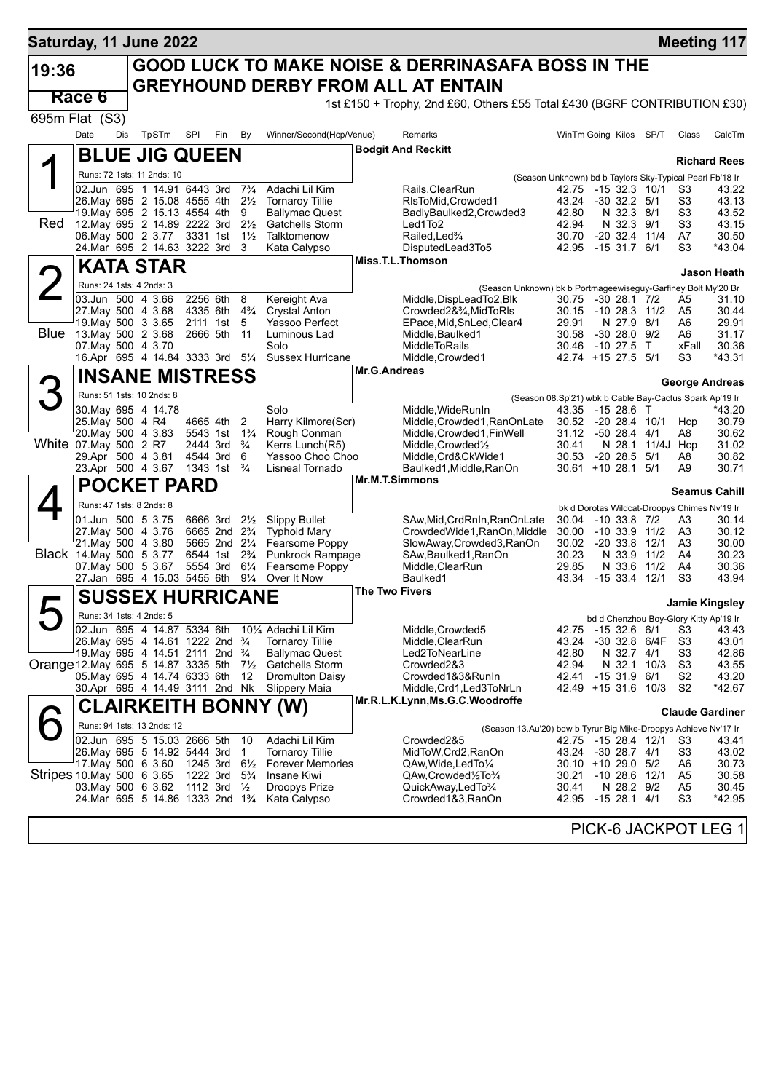| Saturday, 11 June 2022                   |                  |     |                                                            |     |                                        |                       |                                           |                       |                                                                                                           |                |                                                                           |              |                      | <b>Meeting 117</b>     |
|------------------------------------------|------------------|-----|------------------------------------------------------------|-----|----------------------------------------|-----------------------|-------------------------------------------|-----------------------|-----------------------------------------------------------------------------------------------------------|----------------|---------------------------------------------------------------------------|--------------|----------------------|------------------------|
| 19:36                                    |                  |     |                                                            |     |                                        |                       |                                           |                       | <b>GOOD LUCK TO MAKE NOISE &amp; DERRINASAFA BOSS IN THE</b><br><b>GREYHOUND DERBY FROM ALL AT ENTAIN</b> |                |                                                                           |              |                      |                        |
|                                          | Race 6           |     |                                                            |     |                                        |                       |                                           |                       | 1st £150 + Trophy, 2nd £60, Others £55 Total £430 (BGRF CONTRIBUTION £30)                                 |                |                                                                           |              |                      |                        |
| 695m Flat (S3)                           |                  |     |                                                            |     |                                        |                       |                                           |                       |                                                                                                           |                |                                                                           |              |                      |                        |
|                                          | Date             | Dis | TpSTm                                                      | SPI | Fin                                    | By                    | Winner/Second(Hcp/Venue)                  |                       | Remarks                                                                                                   |                | WinTm Going Kilos SP/T                                                    |              | Class                | CalcTm                 |
|                                          |                  |     | <b>BLUE JIG QUEEN</b>                                      |     |                                        |                       |                                           |                       | <b>Bodgit And Reckitt</b>                                                                                 |                |                                                                           |              |                      |                        |
|                                          |                  |     | Runs: 72 1sts: 11 2nds: 10                                 |     |                                        |                       |                                           |                       |                                                                                                           |                |                                                                           |              |                      | <b>Richard Rees</b>    |
|                                          |                  |     | 02.Jun 695 1 14.91 6443 3rd                                |     |                                        | $7\frac{3}{4}$        | Adachi Lil Kim                            |                       | Rails, ClearRun                                                                                           | 42.75          | (Season Unknown) bd b Taylors Sky-Typical Pearl Fb'18 Ir<br>-15 32.3 10/1 |              | S3                   | 43.22                  |
|                                          |                  |     | 26. May 695 2 15.08 4555 4th                               |     |                                        | $2\frac{1}{2}$        | <b>Tornaroy Tillie</b>                    |                       | RIsToMid, Crowded1                                                                                        | 43.24          | $-30$ 32.2 $5/1$                                                          |              | S <sub>3</sub>       | 43.13                  |
|                                          |                  |     | 19. May 695 2 15.13 4554 4th                               |     |                                        | 9                     | <b>Ballymac Quest</b>                     |                       | BadlyBaulked2,Crowded3                                                                                    | 42.80          | N 32.3 8/1                                                                |              | S <sub>3</sub>       | 43.52                  |
| Red                                      |                  |     | 12. May 695 2 14.89 2222 3rd                               |     |                                        | $2\frac{1}{2}$        | Gatchells Storm                           |                       | Led1To2                                                                                                   | 42.94          | N 32.3 9/1                                                                |              | S <sub>3</sub>       | 43.15<br>30.50         |
|                                          |                  |     | 06. May 500 2 3.77 3331 1st<br>24.Mar 695 2 14.63 3222 3rd |     |                                        | $1\frac{1}{2}$<br>- 3 | Talktomenow<br>Kata Calypso               |                       | Railed, Led <sup>3</sup> / <sub>4</sub><br>DisputedLead3To5                                               | 30.70<br>42.95 | $-20$ 32.4 11/4<br>$-15$ 31.7 6/1                                         |              | A7<br>S <sub>3</sub> | *43.04                 |
|                                          |                  |     | <b>KATA STAR</b>                                           |     |                                        |                       |                                           |                       | Miss.T.L.Thomson                                                                                          |                |                                                                           |              |                      |                        |
|                                          |                  |     |                                                            |     |                                        |                       |                                           |                       |                                                                                                           |                |                                                                           |              |                      | Jason Heath            |
|                                          |                  |     | Runs: 24 1sts: 4 2nds: 3<br>03.Jun 500 4 3.66              |     | 2256 6th 8                             |                       |                                           |                       | (Season Unknown) bk b Portmageewiseguy-Garfiney Bolt My'20 Br<br>Middle, DispLead To 2, Blk               |                |                                                                           |              |                      |                        |
|                                          |                  |     | 27. May 500 4 3.68                                         |     | 4335 6th 4 <sup>3</sup> / <sub>4</sub> |                       | Kereight Ava<br><b>Crystal Anton</b>      |                       | Crowded2&3⁄4.MidToRIs                                                                                     | 30.75<br>30.15 | $-30$ 28.1 $7/2$<br>-10 28.3 11/2                                         |              | A5<br>A5             | 31.10<br>30.44         |
|                                          |                  |     | 19. May 500 3 3.65                                         |     | 2111 1st 5                             |                       | Yassoo Perfect                            |                       | EPace, Mid, SnLed, Clear4                                                                                 | 29.91          | N 27.9 8/1                                                                |              | A6                   | 29.91                  |
| Blue                                     |                  |     | 13. May 500 2 3.68                                         |     | 2666 5th                               | - 11                  | Luminous Lad                              |                       | Middle, Baulked1                                                                                          | 30.58          | $-3028.09/2$                                                              |              | A6                   | 31.17                  |
|                                          |                  |     | 07 May 500 4 3.70                                          |     |                                        |                       | Solo<br>Sussex Hurricane                  |                       | <b>MiddleToRails</b><br>Middle, Crowded1                                                                  | 30.46          | -10 27.5 T<br>42.74 +15 27.5 5/1                                          |              | xFall<br>S3          | 30.36<br>*43.31        |
|                                          |                  |     | 16.Apr 695 4 14.84 3333 3rd 51/4                           |     |                                        |                       |                                           | <b>Mr.G.Andreas</b>   |                                                                                                           |                |                                                                           |              |                      |                        |
|                                          |                  |     | <b>INSANE MISTRESS</b>                                     |     |                                        |                       |                                           |                       |                                                                                                           |                |                                                                           |              |                      | George Andreas         |
|                                          |                  |     | Runs: 51 1sts: 10 2nds: 8                                  |     |                                        |                       |                                           |                       |                                                                                                           |                | (Season 08.Sp'21) wbk b Cable Bay-Cactus Spark Ap'19 Ir                   |              |                      |                        |
|                                          |                  |     | 30. May 695 4 14.78                                        |     |                                        |                       | Solo                                      |                       | Middle, WideRunIn                                                                                         | 43.35          | -15 28.6 T                                                                |              |                      | *43.20                 |
|                                          | 25. May 500 4 R4 |     | 20. May 500 4 3.83                                         |     | 4665 4th<br>5543 1st                   | 2<br>$1\frac{3}{4}$   | Harry Kilmore(Scr)<br>Rough Conman        |                       | Middle, Crowded1, RanOnLate<br>Middle, Crowded1, Fin Well                                                 | 31.12          | 30.52 -20 28.4 10/1<br>$-50$ 28.4 $4/1$                                   |              | Hcp<br>A8            | 30.79<br>30.62         |
| White 07 May 500 2 R7                    |                  |     |                                                            |     | 2444 3rd                               | $\frac{3}{4}$         | Kerrs Lunch(R5)                           |                       | Middle, Crowded <sup>1</sup> / <sub>2</sub>                                                               | 30.41          | N 28.1                                                                    |              | 11/4J Hcp            | 31.02                  |
|                                          |                  |     | 29.Apr 500 4 3.81                                          |     | 4544 3rd                               | 6                     | Yassoo Choo Choo                          |                       | Middle, Crd&CkWide1                                                                                       | 30.53          | $-20$ 28.5 $5/1$                                                          |              | A8                   | 30.82                  |
|                                          |                  |     | 23.Apr 500 4 3.67                                          |     | 1343 1st                               | $\frac{3}{4}$         | Lisneal Tornado                           | <b>Mr.M.T.Simmons</b> | Baulked1, Middle, RanOn                                                                                   |                | $30.61 + 10.28.1$ 5/1                                                     |              | A9                   | 30.71                  |
|                                          |                  |     | <b>POCKET PARD</b>                                         |     |                                        |                       |                                           |                       |                                                                                                           |                |                                                                           |              |                      | <b>Seamus Cahill</b>   |
|                                          |                  |     | Runs: 47 1sts: 8 2nds: 8                                   |     |                                        |                       |                                           |                       |                                                                                                           |                | bk d Dorotas Wildcat-Droopys Chimes Nv'19 Ir                              |              |                      |                        |
|                                          |                  |     | 01.Jun 500 5 3.75                                          |     | 6666 3rd                               | $2\frac{1}{2}$        | <b>Slippy Bullet</b>                      |                       | SAw, Mid, CrdRnIn, RanOnLate                                                                              | 30.04          | $-10$ 33.8 $7/2$                                                          |              | A3                   | 30.14                  |
|                                          |                  |     | 27. May 500 4 3.76<br>21. May 500 4 3.80                   |     | 6665 2nd 23/4<br>5665 2nd 21/4         |                       | <b>Typhoid Mary</b><br>Fearsome Poppy     |                       | CrowdedWide1, RanOn, Middle<br>SlowAway,Crowded3,RanOn                                                    | 30.00<br>30.02 | $-10, 33.9$<br>$-20, 33.8$                                                | 11/2<br>12/1 | A3<br>A <sub>3</sub> | 30.12<br>30.00         |
| Black 14 May 500 5 3.77                  |                  |     |                                                            |     | 6544 1st                               | $2\frac{3}{4}$        | Punkrock Rampage                          |                       | SAw, Baulked 1, RanOn                                                                                     | 30.23          | N 33.9                                                                    | 11/2         | A4                   | 30.23                  |
|                                          |                  |     | 07. May 500 5 3.67                                         |     | 5554 3rd                               | $6\frac{1}{4}$        | Fearsome Poppy                            |                       | Middle, ClearRun                                                                                          | 29.85          | N 33.6                                                                    | 11/2         | A4                   | 30.36                  |
|                                          |                  |     | 27.Jan 695 4 15.03 5455 6th                                |     |                                        | $9\frac{1}{4}$        | Over It Now                               |                       | Baulked1                                                                                                  | 43.34          | $-1533.4$ 12/1                                                            |              | S <sub>3</sub>       | 43.94                  |
|                                          |                  |     | <b>SUSSEX HURRICANE</b>                                    |     |                                        |                       |                                           | The Two Fivers        |                                                                                                           |                |                                                                           |              |                      | <b>Jamie Kingsley</b>  |
|                                          |                  |     | Runs: 34 1sts: 4 2nds: 5                                   |     |                                        |                       |                                           |                       |                                                                                                           |                | bd d Chenzhou Boy-Glory Kitty Ap'19 Ir                                    |              |                      |                        |
| ┕                                        |                  |     | 02.Jun 695 4 14.87 5334 6th                                |     |                                        |                       | 10% Adachi Lil Kim                        |                       | Middle, Crowded 5                                                                                         | 42.75          | -15 32.6 6/1                                                              |              | S3                   | 43.43                  |
|                                          |                  |     | 26. May 695 4 14.61 1222 2nd 3/4                           |     |                                        |                       | Tornaroy Tillie                           |                       | Middle, ClearRun                                                                                          | 43.24          | -30 32.8 6/4F                                                             |              | S <sub>3</sub>       | 43.01                  |
|                                          |                  |     | 19. May 695 4 14.51 2111 2nd 3/4                           |     |                                        |                       | <b>Ballymac Quest</b>                     |                       | Led2ToNearLine                                                                                            | 42.80          | N 32.7 4/1                                                                |              | S3                   | 42.86                  |
| Orange 12. May 695 5 14.87 3335 5th 71/2 |                  |     | 05. May 695 4 14.74 6333 6th                               |     |                                        | -12                   | Gatchells Storm<br><b>Dromulton Daisy</b> |                       | Crowded2&3<br>Crowded1&3&RunIn                                                                            | 42.94<br>42.41 | $-1531.96/1$                                                              | N 32.1 10/3  | S <sub>3</sub><br>S2 | 43.55<br>43.20         |
|                                          |                  |     | 30.Apr 695 4 14.49 3111 2nd Nk                             |     |                                        |                       | Slippery Maia                             |                       | Middle, Crd1, Led3ToNrLn                                                                                  |                | 42.49 +15 31.6 10/3                                                       |              | S2                   | *42.67                 |
|                                          |                  |     |                                                            |     |                                        |                       | <b>CLAIRKEITH BONNY (W)</b>               |                       | Mr.R.L.K.Lynn,Ms.G.C.Woodroffe                                                                            |                |                                                                           |              |                      |                        |
|                                          |                  |     | Runs: 94 1sts: 13 2nds: 12                                 |     |                                        |                       |                                           |                       |                                                                                                           |                |                                                                           |              |                      | <b>Claude Gardiner</b> |
|                                          |                  |     | 02.Jun 695 5 15.03 2666 5th                                |     |                                        | - 10                  | Adachi Lil Kim                            |                       | (Season 13.Au'20) bdw b Tyrur Big Mike-Droopys Achieve Nv'17 Ir<br>Crowded2&5                             |                | 42.75 -15 28.4 12/1                                                       |              | S3                   | 43.41                  |
|                                          |                  |     | 26. May 695 5 14.92 5444 3rd                               |     |                                        | $\overline{1}$        | <b>Tornaroy Tillie</b>                    |                       | MidToW, Crd2, RanOn                                                                                       | 43.24          | $-30$ 28.7 $4/1$                                                          |              | S3                   | 43.02                  |
|                                          |                  |     | 17. May 500 6 3.60                                         |     | 1245 3rd                               | $6\frac{1}{2}$        | <b>Forever Memories</b>                   |                       | QAw,Wide,LedTo¼                                                                                           |                | 30.10 +10 29.0 5/2                                                        |              | A6                   | 30.73                  |
| Stripes 10 May 500 6 3.65                |                  |     |                                                            |     | 1222 3rd                               | $5\frac{3}{4}$        | Insane Kiwi                               |                       | QAw,Crowded1/2To3/4                                                                                       | 30.21          | $-10$ 28.6 $12/1$                                                         |              | A5                   | 30.58                  |
|                                          |                  |     | 03. May 500 6 3.62<br>24. Mar 695 5 14.86 1333 2nd 13/4    |     | 1112 3rd                               | $\frac{1}{2}$         | Droopys Prize<br>Kata Calypso             |                       | QuickAway,LedTo3/4<br>Crowded1&3, RanOn                                                                   | 30.41<br>42.95 | N 28.2 9/2<br>$-1528.14/1$                                                |              | A5<br>S3             | 30.45<br>*42.95        |
|                                          |                  |     |                                                            |     |                                        |                       |                                           |                       |                                                                                                           |                |                                                                           |              |                      |                        |
|                                          |                  |     |                                                            |     |                                        |                       |                                           |                       |                                                                                                           |                | PICK-6 JACKPOT LEG 1                                                      |              |                      |                        |
|                                          |                  |     |                                                            |     |                                        |                       |                                           |                       |                                                                                                           |                |                                                                           |              |                      |                        |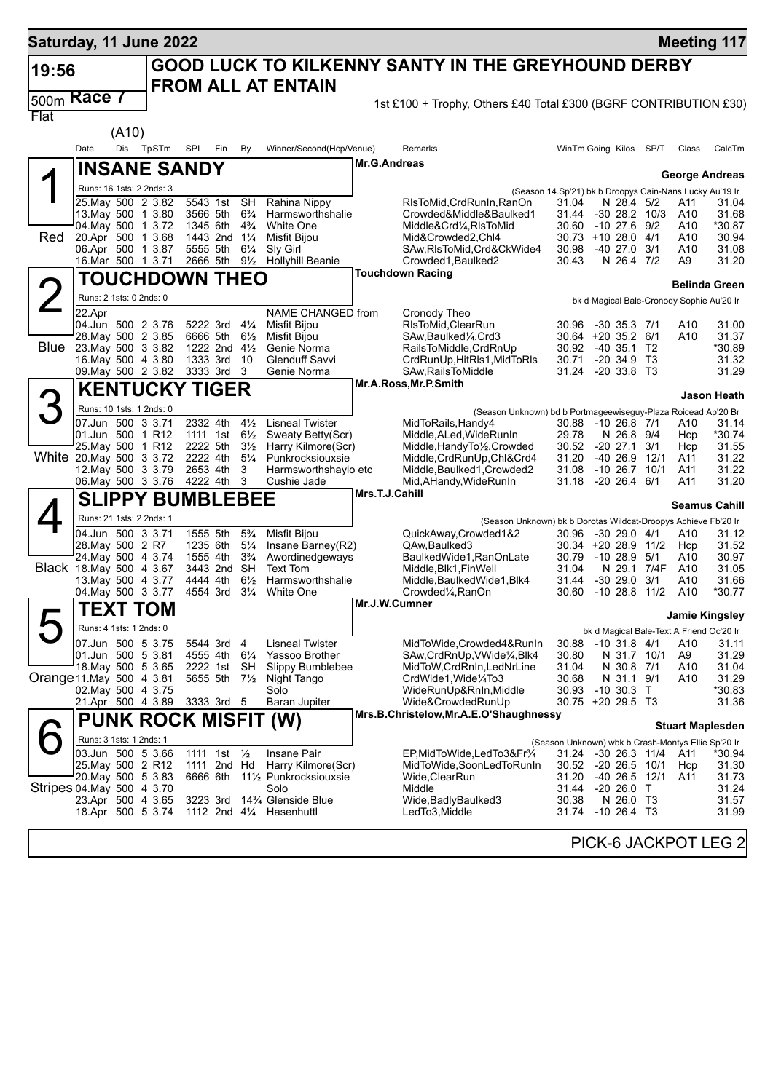| Saturday, 11 June 2022    |                                                |       |           |                             |                                  |                |                                         |                     |                                                                                        |                                                                  |                                       |      |                        | <b>Meeting 117</b>                                |
|---------------------------|------------------------------------------------|-------|-----------|-----------------------------|----------------------------------|----------------|-----------------------------------------|---------------------|----------------------------------------------------------------------------------------|------------------------------------------------------------------|---------------------------------------|------|------------------------|---------------------------------------------------|
| 19:56                     |                                                |       |           |                             |                                  |                |                                         |                     | <b>GOOD LUCK TO KILKENNY SANTY IN THE GREYHOUND DERBY</b>                              |                                                                  |                                       |      |                        |                                                   |
|                           |                                                |       |           |                             |                                  |                | <b>FROM ALL AT ENTAIN</b>               |                     |                                                                                        |                                                                  |                                       |      |                        |                                                   |
| 500m                      | Race 7                                         |       |           |                             |                                  |                |                                         |                     | 1st £100 + Trophy, Others £40 Total £300 (BGRF CONTRIBUTION £30)                       |                                                                  |                                       |      |                        |                                                   |
| Flat                      |                                                | (A10) |           |                             |                                  |                |                                         |                     |                                                                                        |                                                                  |                                       |      |                        |                                                   |
|                           | Date                                           |       | Dis TpSTm | SPI                         | Fin<br>By                        |                | Winner/Second(Hcp/Venue)                |                     | Remarks                                                                                | WinTm Going Kilos                                                |                                       | SP/T | Class                  | CalcTm                                            |
|                           |                                                |       |           |                             |                                  |                |                                         | <b>Mr.G.Andreas</b> |                                                                                        |                                                                  |                                       |      |                        |                                                   |
| А                         |                                                |       |           | <b>INSANE SANDY</b>         |                                  |                |                                         |                     |                                                                                        |                                                                  |                                       |      |                        | George Andreas                                    |
|                           | Runs: 16 1sts: 2 2nds: 3<br>25. May 500 2 3.82 |       |           | 5543 1st                    | <b>SH</b>                        |                | Rahina Nippy                            |                     | RIsToMid, CrdRunIn, RanOn                                                              | (Season 14.Sp'21) bk b Droopys Cain-Nans Lucky Au'19 Ir<br>31.04 | N 28.4 5/2                            |      | A11                    | 31.04                                             |
|                           | 13 May 500 1 3.80                              |       |           | 3566 5th                    | $6\frac{3}{4}$                   |                | Harmsworthshalie                        |                     | Crowded&Middle&Baulked1                                                                | 31.44                                                            | $-30$ 28.2 $10/3$                     |      | A10                    | 31.68                                             |
| Red                       | 04 May 500 1 3.72<br>20.Apr 500 1 3.68         |       |           | 1345 6th<br>1443 2nd        | $4\frac{3}{4}$<br>$1\frac{1}{4}$ |                | White One<br>Misfit Bijou               |                     | Middle&Crd1⁄4, RIsToMid<br>Mid&Crowded2,Chl4                                           | 30.60<br>30.73 +10 28.0 4/1                                      | $-10$ 27.6                            | 9/2  | A10<br>A10             | *30.87<br>30.94                                   |
|                           | 06.Apr 500 1 3.87                              |       |           | 5555 5th                    | $6\frac{1}{4}$                   |                | Sly Girl                                |                     | SAw, RIsToMid, Crd&CkWide4                                                             | 30.98                                                            | -40 27.0 3/1                          |      | A10                    | 31.08                                             |
|                           | 16.Mar 500 1 3.71                              |       |           | 2666 5th                    |                                  | $9\frac{1}{2}$ | <b>Hollyhill Beanie</b>                 |                     | Crowded1, Baulked2                                                                     | 30.43                                                            | N 26.4 7/2                            |      | A9                     | 31.20                                             |
|                           |                                                |       |           | <b>TOUCHDOWN THEO</b>       |                                  |                |                                         |                     | <b>Touchdown Racing</b>                                                                |                                                                  |                                       |      |                        | <b>Belinda Green</b>                              |
|                           | Runs: 2 1sts: 0 2nds: 0                        |       |           |                             |                                  |                |                                         |                     |                                                                                        |                                                                  |                                       |      |                        | bk d Magical Bale-Cronody Sophie Au'20 Ir         |
|                           | 22.Apr<br>04.Jun 500 2 3.76                    |       |           | 5222 3rd 41/4               |                                  |                | NAME CHANGED from<br>Misfit Bijou       |                     | Cronody Theo<br>RIsToMid, ClearRun                                                     | 30.96                                                            | $-30$ 35.3 $7/1$                      |      | A10                    | 31.00                                             |
|                           | 28. May 500 2 3.85                             |       |           |                             | 6666 5th 61/2                    |                | <b>Misfit Bijou</b>                     |                     | SAw, Baulked <sup>1</sup> / <sub>4</sub> , Crd3                                        | $30.64 + 20.35.2$ 6/1                                            |                                       |      | A10                    | 31.37                                             |
| <b>Blue</b>               | 23. May 500 3 3.82<br>16. May 500 4 3.80       |       |           |                             | 1222 2nd 41/2<br>1333 3rd 10     |                | Genie Norma<br><b>Glenduff Savvi</b>    |                     | RailsToMiddle, CrdRnUp<br>CrdRunUp, HitRIs1, MidToRIs                                  | 30.92 -40 35.1 T2<br>30.71                                       | $-20, 34.9, T3$                       |      |                        | *30.89<br>31.32                                   |
|                           | 09. May 500 2 3.82                             |       |           | 3333 3rd 3                  |                                  |                | Genie Norma                             |                     | SAw, Rails To Middle                                                                   | 31.24                                                            | $-2033.8$ T3                          |      |                        | 31.29                                             |
|                           |                                                |       |           | <b>KENTUCKY TIGER</b>       |                                  |                |                                         |                     | Mr.A.Ross, Mr.P.Smith                                                                  |                                                                  |                                       |      |                        | <b>Jason Heath</b>                                |
|                           | Runs: 10 1sts: 1 2nds: 0                       |       |           |                             |                                  |                |                                         |                     | (Season Unknown) bd b Portmageewiseguy-Plaza Roicead Ap'20 Br                          |                                                                  |                                       |      |                        |                                                   |
|                           | 07.Jun 500 3 3.71                              |       |           | 2332 4th                    |                                  | $4\frac{1}{2}$ | <b>Lisneal Twister</b>                  |                     | MidToRails, Handy4                                                                     | 30.88                                                            | $-10$ 26.8 $7/1$                      |      | A10                    | 31.14                                             |
|                           | 01.Jun 500 1 R12<br>25. May 500 1 R12          |       |           | 1111 1st<br>2222 5th        | $6\frac{1}{2}$                   | $3\frac{1}{2}$ | Sweaty Betty(Scr)<br>Harry Kilmore(Scr) |                     | Middle, ALed, WideRunIn<br>Middle, Handy To <sup>1</sup> / <sub>2</sub> , Crowded      | 29.78<br>30.52                                                   | N 26.8 9/4<br>-20 27.1                | 3/1  | Hcp<br>Hcp             | $*30.74$<br>31.55                                 |
| White 20. May 500 3 3.72  |                                                |       |           | 2222 4th                    |                                  | $5\frac{1}{4}$ | Punkrocksiouxsie                        |                     | Middle, CrdRunUp, Chl&Crd4                                                             | 31.20                                                            | $-4026.9$                             | 12/1 | A11                    | 31.22                                             |
|                           | 12. May 500 3 3.79<br>06. May 500 3 3.76       |       |           | 2653 4th<br>4222 4th        | 3<br>3                           |                | Harmsworthshaylo etc<br>Cushie Jade     |                     | Middle, Baulked1, Crowded2<br>Mid, AHandy, WideRunIn                                   | 31.08<br>31.18                                                   | $-1026.7$<br>$-20$ 26.4 6/1           | 10/1 | A11<br>A11             | 31.22<br>31.20                                    |
|                           |                                                |       |           | <b>SLIPPY BUMBLEBEE</b>     |                                  |                |                                         | Mrs.T.J.Cahill      |                                                                                        |                                                                  |                                       |      |                        |                                                   |
|                           | Runs: 21 1sts: 2 2nds: 1                       |       |           |                             |                                  |                |                                         |                     |                                                                                        |                                                                  |                                       |      |                        | <b>Seamus Cahill</b>                              |
|                           | 04.Jun 500 3 3.71                              |       |           | 1555 5th                    | $5\frac{3}{4}$                   |                | <b>Misfit Bijou</b>                     |                     | (Season Unknown) bk b Dorotas Wildcat-Droopys Achieve Fb'20 Ir<br>QuickAway.Crowded1&2 | 30.96                                                            | -30 29.0 4/1                          |      | A10                    | 31.12                                             |
|                           | 28. May 500 2 R7<br>24. May 500 4 3.74         |       |           | 1235 6th<br>1555 4th        | $3\frac{3}{4}$                   | $5\frac{1}{4}$ | Insane Barney(R2)<br>Awordinedgeways    |                     | QAw, Baulked 3<br>BaulkedWide1, RanOnLate                                              | 30.34 +20 28.9 11/2<br>30.79                                     | $-1028.9$                             | 5/1  | Hcp<br>A10             | 31.52<br>30.97                                    |
|                           | Black 18. May 500 4 3.67                       |       |           | 3443 2nd                    | SH                               |                | Text Tom                                |                     | Middle, Blk1, FinWell                                                                  | 31.04                                                            | N 29.1 7/4F                           |      | A10                    | 31.05                                             |
|                           | 13. May 500 4 3.77                             |       |           | 4444 4th<br>4554 3rd        | $6\frac{1}{2}$                   | $3\frac{1}{4}$ | Harmsworthshalie<br>White One           |                     | Middle, Baulked Wide 1, Blk4                                                           | 31.44<br>30.60                                                   | $-30$ 29.0 $3/1$<br>$-10$ 28.8 $11/2$ |      | A10<br>A <sub>10</sub> | 31.66<br>*30.77                                   |
|                           | 04 May 500 3 3.77<br><b>TEXT TOM</b>           |       |           |                             |                                  |                |                                         | Mr.J.W.Cumner       | Crowded¼,RanOn                                                                         |                                                                  |                                       |      |                        |                                                   |
|                           |                                                |       |           |                             |                                  |                |                                         |                     |                                                                                        |                                                                  |                                       |      |                        | Jamie Kingsley                                    |
|                           | Runs: 4 1sts: 1 2nds: 0<br>07.Jun 500 5 3.75   |       |           |                             | 5544 3rd 4                       |                | <b>Lisneal Twister</b>                  |                     | MidToWide, Crowded4&RunIn                                                              | 30.88                                                            | $-10$ 31.8 4/1                        |      | A10                    | bk d Magical Bale-Text A Friend Oc'20 Ir<br>31.11 |
|                           | 01.Jun 500 5 3.81                              |       |           |                             | 4555 4th 61/4                    |                | Yassoo Brother                          |                     | SAw, CrdRnUp, VWide <sup>1</sup> / <sub>4</sub> , Blk4                                 | 30.80                                                            | N 31.7 10/1                           |      | A9                     | 31.29                                             |
| Orange 11 May 500 4 3.81  | 18. May 500 5 3.65                             |       |           |                             | 2222 1st SH<br>5655 5th 7½       |                | Slippy Bumblebee<br>Night Tango         |                     | MidToW, CrdRnIn, LedNrLine<br>CrdWide1, Wide1/4To3                                     | 31.04<br>30.68                                                   | N 30.8 7/1<br>N 31.1 9/1              |      | A10<br>A10             | 31.04<br>31.29                                    |
|                           | 02. May 500 4 3.75                             |       |           |                             |                                  |                | Solo                                    |                     | WideRunUp&RnIn, Middle                                                                 | 30.93                                                            | $-10,30.3$ T                          |      |                        | *30.83                                            |
|                           | 21.Apr 500 4 3.89                              |       |           | 3333 3rd 5                  |                                  |                | <b>Baran Jupiter</b>                    |                     | Wide&CrowdedRunUp<br>Mrs.B.Christelow, Mr.A.E.O'Shaughnessy                            | 30.75 +20 29.5 T3                                                |                                       |      |                        | 31.36                                             |
|                           |                                                |       |           | <b>PUNK ROCK MISFIT (W)</b> |                                  |                |                                         |                     |                                                                                        |                                                                  |                                       |      |                        | <b>Stuart Maplesden</b>                           |
|                           | Runs: 3 1sts: 1 2nds: 1                        |       |           |                             |                                  |                |                                         |                     |                                                                                        | (Season Unknown) wbk b Crash-Montys Ellie Sp'20 Ir               |                                       |      |                        |                                                   |
|                           | 03.Jun 500 5 3.66<br>25. May 500 2 R12         |       |           |                             | 1111 1st 1/2<br>1111 2nd Hd      |                | Insane Pair<br>Harry Kilmore(Scr)       |                     | EP,MidToWide,LedTo3&Fr¾<br>MidToWide,SoonLedToRunIn                                    | 31.24 -30 26.3 11/4<br>30.52 -20 26.5 10/1                       |                                       |      | A11<br>Hcp             | *30.94<br>31.30                                   |
|                           | 20. May 500 5 3.83                             |       |           |                             |                                  |                | 6666 6th 111/2 Punkrocksiouxsie         |                     | Wide, ClearRun                                                                         | 31.20                                                            | -40 26.5 12/1                         |      | A11                    | 31.73                                             |
| Stripes 04 May 500 4 3 70 | 23.Apr 500 4 3.65                              |       |           | 3223 3rd                    |                                  |                | Solo<br>14% Glenside Blue               |                     | Middle<br>Wide, Badly Baulked 3                                                        | 31.44<br>30.38                                                   | $-2026.0$ T<br>N 26.0 T3              |      |                        | 31.24<br>31.57                                    |
|                           | 18.Apr 500 5 3.74                              |       |           |                             |                                  |                | 1112 2nd 41/4 Hasenhuttl                |                     | LedTo3,Middle                                                                          | 31.74 - 10 26.4 T3                                               |                                       |      |                        | 31.99                                             |
|                           |                                                |       |           |                             |                                  |                |                                         |                     |                                                                                        |                                                                  |                                       |      |                        |                                                   |
|                           |                                                |       |           |                             |                                  |                |                                         |                     |                                                                                        |                                                                  |                                       |      |                        | PICK-6 JACKPOT LEG 2                              |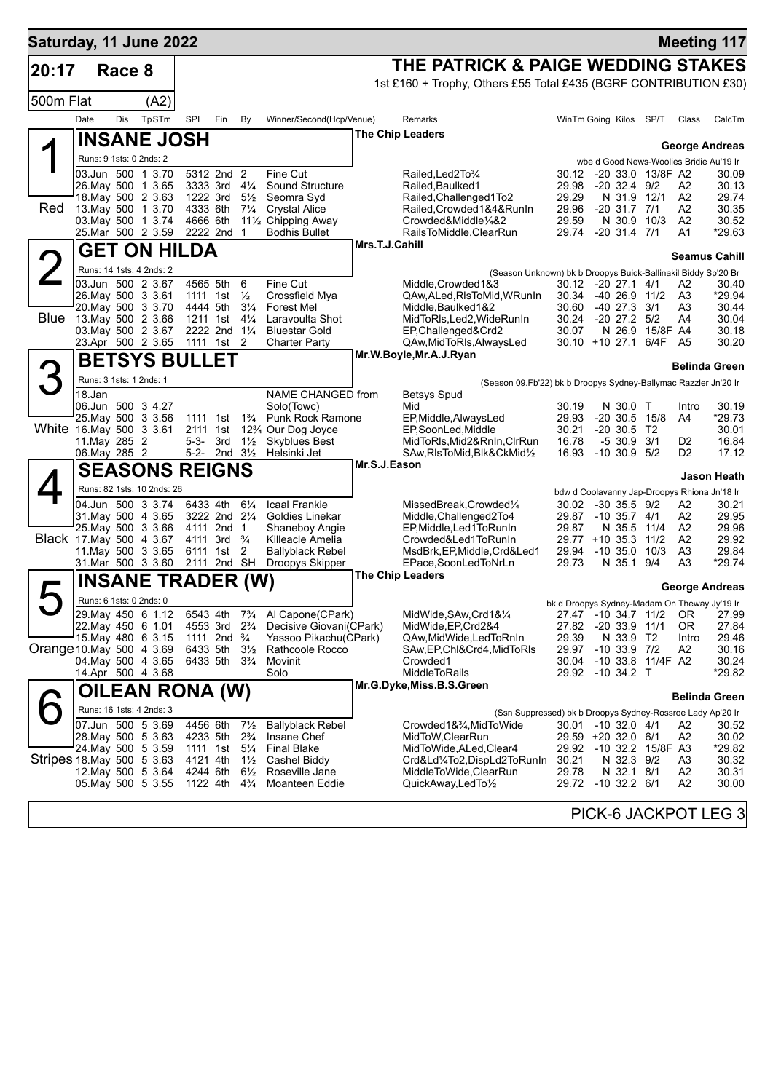| Saturday, 11 June 2022    |                                          |        |                                               |                                                    |                                                    |                                  |                                                                                                               |                |                                                                                      |                                               |                                      |                   |                                  | <b>Meeting 117</b>                                    |
|---------------------------|------------------------------------------|--------|-----------------------------------------------|----------------------------------------------------|----------------------------------------------------|----------------------------------|---------------------------------------------------------------------------------------------------------------|----------------|--------------------------------------------------------------------------------------|-----------------------------------------------|--------------------------------------|-------------------|----------------------------------|-------------------------------------------------------|
| 20:17                     |                                          | Race 8 |                                               |                                                    |                                                    |                                  |                                                                                                               |                | THE PATRICK & PAIGE WEDDING STAKES                                                   |                                               |                                      |                   |                                  |                                                       |
|                           |                                          |        |                                               |                                                    |                                                    |                                  |                                                                                                               |                | 1st £160 + Trophy, Others £55 Total £435 (BGRF CONTRIBUTION £30)                     |                                               |                                      |                   |                                  |                                                       |
| 500m Flat                 |                                          |        | (A2)                                          |                                                    |                                                    |                                  |                                                                                                               |                |                                                                                      |                                               |                                      |                   |                                  |                                                       |
|                           | Date                                     | Dis    | TpSTm                                         | SPI                                                | Fin                                                | By                               | Winner/Second(Hcp/Venue)                                                                                      |                | Remarks                                                                              | WinTm Going Kilos SP/T                        |                                      |                   | Class                            | CalcTm                                                |
|                           |                                          |        | <b>INSANE JOSH</b>                            |                                                    |                                                    |                                  |                                                                                                               |                | <b>The Chip Leaders</b>                                                              |                                               |                                      |                   |                                  | <b>George Andreas</b>                                 |
|                           | Runs: 9 1sts: 0 2nds: 2                  |        |                                               |                                                    |                                                    |                                  |                                                                                                               |                |                                                                                      |                                               |                                      |                   |                                  | wbe d Good News-Woolies Bridie Au'19 Ir               |
|                           |                                          |        | 03.Jun 500 1 3.70                             |                                                    | 5312 2nd 2                                         |                                  | Fine Cut                                                                                                      |                | Railed, Led 2To 3/4                                                                  | 30.12                                         |                                      | -20 33.0 13/8F A2 |                                  | 30.09                                                 |
|                           | 26. May 500 1 3.65                       |        | 18. May 500 2 3.63                            | 1222 3rd                                           | 3333 3rd $4\frac{1}{4}$                            | $5\frac{1}{2}$                   | <b>Sound Structure</b><br>Seomra Svd                                                                          |                | Railed, Baulked1<br>Railed, Challenged 1To2                                          | 29.98<br>29.29                                | $-20$ 32.4 $9/2$<br>N 31.9           | 12/1              | A2<br>A <sub>2</sub>             | 30.13<br>29.74                                        |
| Red                       | 13. May 500 1 3.70                       |        |                                               | 4333 6th                                           |                                                    | $7\frac{1}{4}$                   | <b>Crystal Alice</b>                                                                                          |                | Railed, Crowded 1&4& Run In                                                          | 29.96                                         | $-20$ 31.7 $7/1$                     |                   | A2                               | 30.35                                                 |
|                           | 03. May 500 1 3.74                       |        | 25.Mar 500 2 3.59                             | 4666 6th                                           | 2222 2nd 1                                         |                                  | 11½ Chipping Away<br><b>Bodhis Bullet</b>                                                                     |                | Crowded&Middle1/4&2<br>RailsToMiddle, ClearRun                                       | 29.59<br>29.74                                | N 30.9<br>$-20$ 31.4 $7/1$           | 10/3              | A <sub>2</sub><br>A1             | 30.52<br>*29.63                                       |
|                           |                                          |        | <b>GET ON HILDA</b>                           |                                                    |                                                    |                                  |                                                                                                               | Mrs.T.J.Cahill |                                                                                      |                                               |                                      |                   |                                  |                                                       |
|                           |                                          |        |                                               |                                                    |                                                    |                                  |                                                                                                               |                |                                                                                      |                                               |                                      |                   |                                  | Seamus Cahill                                         |
|                           |                                          |        | Runs: 14 1sts: 4 2nds: 2<br>03.Jun 500 2 3.67 | 4565 5th                                           |                                                    | 6                                | Fine Cut                                                                                                      |                | (Season Unknown) bk b Droopys Buick-Ballinakil Biddy Sp'20 Br<br>Middle, Crowded 1&3 | 30.12                                         | $-20$ 27.1 $4/1$                     |                   | A2                               | 30.40                                                 |
|                           | 26. May 500 3 3.61                       |        |                                               | 1111 1st                                           |                                                    | $\frac{1}{2}$                    | Crossfield Mya                                                                                                |                | QAw, ALed, RIsToMid, WRunIn                                                          | 30.34 -40 26.9 11/2                           |                                      |                   | A3                               | *29.94                                                |
| <b>Blue</b>               | 20. May 500 3 3.70<br>13. May 500 2 3.66 |        |                                               | 4444 5th<br>1211 1st                               |                                                    | $3\frac{1}{4}$<br>$4\frac{1}{4}$ | <b>Forest Mel</b><br>Laravoulta Shot                                                                          |                | Middle, Baulked 1&2<br>MidToRIs, Led2, WideRunIn                                     | 30.60<br>30.24                                | $-40$ 27.3 $3/1$<br>$-20$ 27.2 $5/2$ |                   | A3<br>A4                         | 30.44<br>30.04                                        |
|                           | 03. May 500 2 3.67                       |        |                                               |                                                    | 2222 2nd 11/4                                      |                                  | <b>Bluestar Gold</b>                                                                                          |                | EP.Challenged&Crd2                                                                   | 30.07                                         | N 26.9                               | 15/8F A4          |                                  | 30.18                                                 |
|                           |                                          |        | 23.Apr 500 2 3.65                             | 1111 1st                                           |                                                    | $\overline{2}$                   | Charter Party                                                                                                 |                | QAw, MidToRIs, AlwaysLed                                                             | 30.10 +10 27.1 6/4F                           |                                      |                   | A <sub>5</sub>                   | 30.20                                                 |
|                           |                                          |        | <b>BETSYS BULLET</b>                          |                                                    |                                                    |                                  |                                                                                                               |                | Mr.W.Boyle, Mr.A.J.Ryan                                                              |                                               |                                      |                   |                                  | <b>Belinda Green</b>                                  |
|                           | Runs: 3 1sts: 1 2nds: 1                  |        |                                               |                                                    |                                                    |                                  |                                                                                                               |                | (Season 09.Fb'22) bk b Droopys Sydney-Ballymac Razzler Jn'20 Ir                      |                                               |                                      |                   |                                  |                                                       |
|                           | 18.Jan                                   |        |                                               |                                                    |                                                    |                                  | NAME CHANGED from                                                                                             |                | <b>Betsys Spud</b>                                                                   |                                               |                                      |                   |                                  |                                                       |
|                           |                                          |        | 06.Jun 500 3 4.27<br>25. May 500 3 3.56       | 1111 1st                                           |                                                    | $1\frac{3}{4}$                   | Solo(Towc)<br><b>Punk Rock Ramone</b>                                                                         |                | Mid<br>EP, Middle, AlwaysLed                                                         | 30.19<br>29.93                                | N 30.0 T                             | $-20$ 30.5 15/8   | Intro<br>A4                      | 30.19<br>*29.73                                       |
| White 16.May 500 3 3.61   |                                          |        |                                               | 2111 1st                                           |                                                    |                                  | 12% Our Dog Joyce                                                                                             |                | EP,SoonLed,Middle                                                                    | 30.21                                         | $-20, 30.5, T2$                      |                   |                                  | 30.01                                                 |
|                           | 11. May 285 2<br>06. May 285 2           |        |                                               | $5 - 3 -$<br>$5-2-$                                | 3rd<br>2nd $3\frac{1}{2}$                          | $1\frac{1}{2}$                   | <b>Skyblues Best</b><br>Helsinki Jet                                                                          |                | MidToRIs, Mid2&RnIn, CIrRun<br>SAw, RIsToMid, Blk&CkMid1/2                           | 16.78<br>16.93                                | $-5$ 30.9 3/1<br>$-10, 30.9, 5/2$    |                   | D <sub>2</sub><br>D <sub>2</sub> | 16.84<br>17.12                                        |
|                           |                                          |        | <b>SEASONS REIGNS</b>                         |                                                    |                                                    |                                  |                                                                                                               | Mr.S.J.Eason   |                                                                                      |                                               |                                      |                   |                                  |                                                       |
|                           |                                          |        | Runs: 82 1sts: 10 2nds: 26                    |                                                    |                                                    |                                  |                                                                                                               |                |                                                                                      |                                               |                                      |                   |                                  | Jason Heath                                           |
|                           |                                          |        | 04.Jun 500 3 3.74                             | 6433 4th                                           |                                                    | $6\frac{1}{4}$                   | <b>Icaal Frankie</b>                                                                                          |                | MissedBreak,Crowded1/4                                                               | 30.02                                         | $-30$ 35.5 $9/2$                     |                   | A2                               | bdw d Coolavanny Jap-Droopys Rhiona Jn'18 Ir<br>30.21 |
|                           |                                          |        | 31. May 500 4 3.65                            |                                                    | 3222 2nd 21/4                                      |                                  | Goldies Linekar                                                                                               |                | Middle, Challenged2To4                                                               | 29.87                                         | $-10$ 35.7 $4/1$                     |                   | A2                               | 29.95                                                 |
| Black 17. May 500 4 3.67  |                                          |        | 25. May 500 3 3.66                            |                                                    | 4111 2nd 1<br>4111 3rd <sup>3</sup> / <sub>4</sub> |                                  | <b>Shaneboy Angie</b><br>Killeacle Amelia                                                                     |                | EP, Middle, Led 1 To Run In<br>Crowded&Led1ToRunIn                                   | 29.87<br>$29.77 + 10.35.3$                    | N 35.5                               | 11/4<br>11/2      | A <sub>2</sub><br>A2             | 29.96<br>29.92                                        |
|                           | 11 May 500 3 3.65                        |        |                                               |                                                    | 6111 1st                                           | 2                                | <b>Ballyblack Rebel</b>                                                                                       |                | MsdBrk, EP, Middle, Crd&Led1                                                         | 29.94                                         | $-10, 35.0$                          | 10/3              | A3                               | 29.84                                                 |
|                           |                                          |        | 31.Mar 500 3 3.60                             | 2111 2nd SH                                        |                                                    |                                  | Droopys Skipper                                                                                               |                | EPace,SoonLedToNrLn<br><b>The Chip Leaders</b>                                       | 29.73                                         | N 35.1 9/4                           |                   | A3                               | $*29.74$                                              |
|                           |                                          |        | <b>INSANE TRADER (W)</b>                      |                                                    |                                                    |                                  |                                                                                                               |                |                                                                                      |                                               |                                      |                   |                                  | <b>George Andreas</b>                                 |
|                           | Runs: 6 1sts: 0 2nds: 0                  |        |                                               |                                                    |                                                    |                                  |                                                                                                               |                |                                                                                      | bk d Droopys Sydney-Madam On Theway Jy'19 Ir  |                                      |                   |                                  |                                                       |
|                           | 29. May 450 6 1.12                       |        | 22. May 450 6 1.01                            |                                                    |                                                    |                                  | 6543 4th 7 <sup>3</sup> / <sub>4</sub> Al Capone(CPark)<br>4553 3rd 2 <sup>3</sup> /4 Decisive Giovani(CPark) |                | MidWide, SAw, Crd1&1/4<br>MidWide, EP, Crd2&4                                        | 27.82 -20 33.9 11/1                           |                                      |                   | 0R                               | 27.47 -10 34.7 11/2 OR 27.99<br>27.84                 |
|                           |                                          |        | 15 May 480 6 3.15                             | 1111 2nd <sup>3</sup> / <sub>4</sub>               |                                                    |                                  | Yassoo Pikachu(CPark)                                                                                         |                | QAw, Mid Wide, Led To Rn In                                                          | 29.39                                         | N 33.9 T2                            |                   | Intro                            | 29.46                                                 |
| Orange 10 May 500 4 3.69  |                                          |        | 04. May 500 4 3.65                            | 6433 5th<br>6433 5th 3 <sup>3</sup> / <sub>4</sub> |                                                    | $3\frac{1}{2}$                   | Rathcoole Rocco<br>Movinit                                                                                    |                | SAw,EP,Chl&Crd4,MidToRIs<br>Crowded1                                                 | 29.97<br>30.04                                | $-10$ 33.9 $7/2$                     | -10 33.8 11/4F A2 | A <sub>2</sub>                   | 30.16<br>30.24                                        |
|                           | 14.Apr 500 4 3.68                        |        |                                               |                                                    |                                                    |                                  | Solo                                                                                                          |                | MiddleToRails                                                                        | 29.92 -10 34.2 T                              |                                      |                   |                                  | *29.82                                                |
|                           |                                          |        | OILEAN RONA (W)                               |                                                    |                                                    |                                  |                                                                                                               |                | Mr.G.Dyke,Miss.B.S.Green                                                             |                                               |                                      |                   |                                  | <b>Belinda Green</b>                                  |
|                           |                                          |        | Runs: 16 1sts: 4 2nds: 3                      |                                                    |                                                    |                                  |                                                                                                               |                | (Ssn Suppressed) bk b Droopys Sydney-Rossroe Lady Ap'20 Ir                           |                                               |                                      |                   |                                  |                                                       |
|                           |                                          |        | 07.Jun 500 5 3.69                             | 4456 6th                                           |                                                    | $7\frac{1}{2}$                   | <b>Ballyblack Rebel</b>                                                                                       |                | Crowded1&¾,MidToWide                                                                 | 30.01 -10 32.0 4/1                            |                                      |                   | A2                               | 30.52                                                 |
|                           |                                          |        | 28. May 500 5 3.63<br>24. May 500 5 3.59      | 4233 5th<br>1111 1st 51/4                          |                                                    | $2\frac{3}{4}$                   | Insane Chef<br><b>Final Blake</b>                                                                             |                | MidToW, ClearRun<br>MidToWide, ALed, Clear4                                          | 29.59 +20 32.0 6/1<br>29.92 -10 32.2 15/8F A3 |                                      |                   | A2                               | 30.02<br>*29.82                                       |
| Stripes 18 May 500 5 3.63 |                                          |        |                                               | 4121 4th                                           |                                                    | $1\frac{1}{2}$                   | Cashel Biddy                                                                                                  |                | Crd&Ld¼To2,DispLd2ToRunIn                                                            | 30.21                                         | N 32.3 9/2                           |                   | A3                               | 30.32                                                 |
|                           |                                          |        | 12. May 500 5 3.64                            | 4244 6th                                           |                                                    | $6\frac{1}{2}$                   | Roseville Jane                                                                                                |                | MiddleToWide,ClearRun                                                                | 29.78                                         | N 32.1 8/1                           |                   | A2                               | 30.31                                                 |
|                           |                                          |        | 05. May 500 5 3.55                            | 1122 4th 4 <sup>3</sup> / <sub>4</sub>             |                                                    |                                  | Moanteen Eddie                                                                                                |                | QuickAway,LedTo1/2                                                                   | 29.72 -10 32.2 6/1                            |                                      |                   | A2                               | 30.00                                                 |
|                           |                                          |        |                                               |                                                    |                                                    |                                  |                                                                                                               |                |                                                                                      |                                               |                                      |                   |                                  | PICK-6 JACKPOT LEG 3                                  |
|                           |                                          |        |                                               |                                                    |                                                    |                                  |                                                                                                               |                |                                                                                      |                                               |                                      |                   |                                  |                                                       |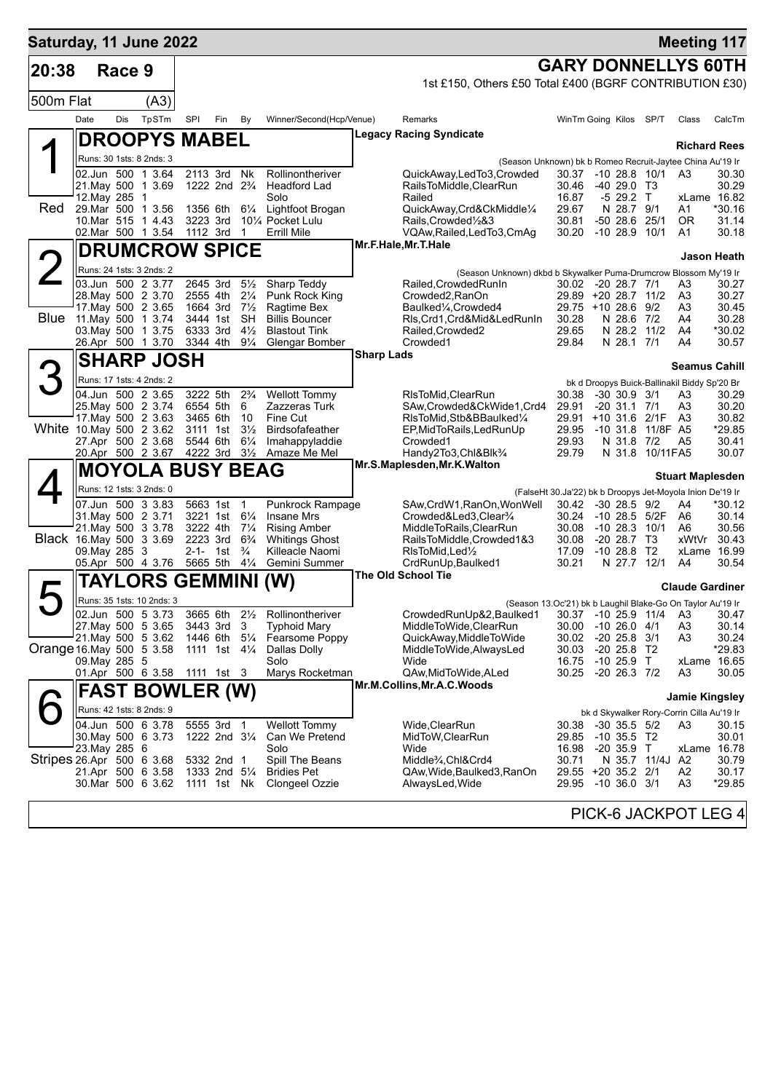| Saturday, 11 June 2022    |               |        |                                                |                       |                                                       |                                  |                                          |                   |                                                                                           |                |                                                           |              | <b>Meeting 117</b>      |                   |
|---------------------------|---------------|--------|------------------------------------------------|-----------------------|-------------------------------------------------------|----------------------------------|------------------------------------------|-------------------|-------------------------------------------------------------------------------------------|----------------|-----------------------------------------------------------|--------------|-------------------------|-------------------|
| 20:38                     |               | Race 9 |                                                |                       |                                                       |                                  |                                          |                   |                                                                                           |                | <b>GARY DONNELLYS 60TH</b>                                |              |                         |                   |
|                           |               |        |                                                |                       |                                                       |                                  |                                          |                   | 1st £150, Others £50 Total £400 (BGRF CONTRIBUTION £30)                                   |                |                                                           |              |                         |                   |
| 500m Flat                 |               |        | (A3)                                           |                       |                                                       |                                  |                                          |                   |                                                                                           |                |                                                           |              |                         |                   |
|                           | Date          | Dis    | TpSTm                                          | SPI                   | Fin                                                   | By                               | Winner/Second(Hcp/Venue)                 |                   | Remarks                                                                                   |                | WinTm Going Kilos                                         | SP/T         | Class                   | CalcTm            |
|                           |               |        | <b>DROOPYS MABEL</b>                           |                       |                                                       |                                  |                                          |                   | Legacy Racing Syndicate                                                                   |                |                                                           |              | <b>Richard Rees</b>     |                   |
|                           |               |        | Runs: 30 1sts: 8 2nds: 3                       |                       |                                                       |                                  |                                          |                   | (Season Unknown) bk b Romeo Recruit-Jaytee China Au'19 Ir                                 |                |                                                           |              |                         |                   |
|                           |               |        | 02.Jun 500 1 3.64<br>21. May 500 1 3.69        |                       | 2113 3rd<br>1222 2nd 2 <sup>3</sup> / <sub>4</sub>    | Nk                               | Rollinontheriver<br>Headford Lad         |                   | QuickAway,LedTo3,Crowded<br>RailsToMiddle,ClearRun                                        | 30.46          | 30.37 -10 28.8 10/1<br>$-4029.0$ T <sub>3</sub>           |              | A3                      | 30.30<br>30.29    |
|                           | 12. May 285 1 |        |                                                |                       |                                                       |                                  | Solo                                     |                   | Railed                                                                                    | 16.87          | -5 29.2 T                                                 |              | xLame 16.82             |                   |
| Red                       |               |        | 29. Mar 500 1 3.56                             | 1356 6th              |                                                       | $6\frac{1}{4}$                   | Lightfoot Brogan                         |                   | QuickAway,Crd&CkMiddle1/4                                                                 | 29.67          | N 28.7 9/1                                                |              | A1                      | *30.16            |
|                           |               |        | 10.Mar 515 1 4.43<br>02.Mar 500 1 3.54         |                       | 3223 3rd<br>1112 3rd                                  | $\mathbf 1$                      | 101/4 Pocket Lulu<br><b>Errill Mile</b>  |                   | Rails, Crowded <sup>1</sup> / <sub>2</sub> &3<br>VQAw, Railed, Led To 3, CmAg             | 30.81<br>30.20 | -50 28.6<br>$-1028.910/1$                                 | 25/1         | 0R<br>A1                | 31.14<br>30.18    |
|                           |               |        | <b>DRUMCROW SPICE</b>                          |                       |                                                       |                                  |                                          |                   | Mr.F.Hale, Mr.T.Hale                                                                      |                |                                                           |              |                         |                   |
|                           |               |        | Runs: 24 1sts: 3 2nds: 2                       |                       |                                                       |                                  |                                          |                   |                                                                                           |                |                                                           |              |                         | Jason Heath       |
|                           |               |        | 03.Jun 500 2 3.77                              | 2645 3rd              |                                                       | $5\frac{1}{2}$                   | Sharp Teddy                              |                   | (Season Unknown) dkbd b Skywalker Puma-Drumcrow Blossom My'19 Ir<br>Railed, Crowded RunIn |                | 30.02 -20 28.7 7/1                                        |              | A3                      | 30.27             |
|                           |               |        | 28. May 500 2 3.70                             | 2555 4th              |                                                       | $2\frac{1}{4}$                   | Punk Rock King                           |                   | Crowded2, RanOn                                                                           |                | 29.89 +20 28.7 11/2                                       |              | A3                      | 30.27             |
| <b>Blue</b>               |               |        | 17. May 500 2 3.65<br>11. May 500 1 3.74       | 1664 3rd<br>3444 1st  |                                                       | $7\frac{1}{2}$<br>SH             | Ragtime Bex<br><b>Billis Bouncer</b>     |                   | Baulked1/ <sub>4</sub> , Crowded4<br>RIs, Crd1, Crd&Mid&LedRunIn                          | 30.28          | 29.75 +10 28.6 9/2<br>N 28.6 7/2                          |              | A3<br>A4                | 30.45<br>30.28    |
|                           |               |        | 03. May 500 1 3.75                             | 6333 3rd              |                                                       | $4\frac{1}{2}$                   | <b>Blastout Tink</b>                     |                   | Railed, Crowded2                                                                          | 29.65          | N 28.2 11/2                                               |              | A4                      | *30.02            |
|                           |               |        | 26.Apr 500 1 3.70                              | 3344 4th              |                                                       | $9\frac{1}{4}$                   | Glengar Bomber                           | <b>Sharp Lads</b> | Crowded1                                                                                  | 29.84          | N 28.1 7/1                                                |              | A4                      | 30.57             |
|                           |               |        | <b>SHARP JOSH</b>                              |                       |                                                       |                                  |                                          |                   |                                                                                           |                |                                                           |              | <b>Seamus Cahill</b>    |                   |
| З                         |               |        | Runs: 17 1sts: 4 2nds: 2                       |                       |                                                       |                                  |                                          |                   |                                                                                           |                | bk d Droopys Buick-Ballinakil Biddy Sp'20 Br              |              |                         |                   |
|                           |               |        | 04.Jun 500 2 3.65<br>25. May 500 2 3.74        | 3222 5th              | 6554 5th                                              | $2\frac{3}{4}$<br>6              | <b>Wellott Tommy</b><br>Zazzeras Turk    |                   | RIsToMid, ClearRun<br>SAw,Crowded&CkWide1,Crd4                                            | 30.38<br>29.91 | $-30$ 30.9 $3/1$<br>$-20$ 31.1 $7/1$                      |              | A3<br>A3                | 30.29<br>30.20    |
|                           |               |        | 17. May 500 2 3.63                             | 3465 6th              |                                                       | 10                               | Fine Cut                                 |                   | RIsToMid, Stb&BBaulked1/4                                                                 |                | 29.91 +10 31.6 2/1F                                       |              | A3                      | 30.82             |
| White 10.May 500 2 3.62   |               |        | 27.Apr 500 2 3.68                              | 3111 1st<br>5544 6th  |                                                       | $3\frac{1}{2}$<br>$6\frac{1}{4}$ | Birdsofafeather<br>Imahappyladdie        |                   | EP, Mid To Rails, Led Run Up<br>Crowded1                                                  | 29.93          | 29.95 -10 31.8<br>N 31.8 7/2                              | 11/8F A5     | A <sub>5</sub>          | *29.85<br>30.41   |
|                           |               |        | 20.Apr 500 2 3.67                              |                       | 4222 3rd                                              | $3\frac{1}{2}$                   | Amaze Me Mel                             |                   | Handy2To3,Chl&Blk3/4                                                                      | 29.79          | N 31.8                                                    | 10/11FA5     |                         | 30.07             |
|                           |               |        | <b>MOYOLA BUSY BEAG</b>                        |                       |                                                       |                                  |                                          |                   | Mr.S.Maplesden, Mr.K. Walton                                                              |                |                                                           |              | <b>Stuart Maplesden</b> |                   |
|                           |               |        | Runs: 12 1sts: 3 2nds: 0                       |                       |                                                       |                                  |                                          |                   |                                                                                           |                | (FalseHt 30.Ja'22) bk b Droopys Jet-Moyola Inion De'19 Ir |              |                         |                   |
|                           |               |        | 07.Jun 500 3 3.83                              |                       | 5663 1st 1                                            |                                  | Punkrock Rampage                         |                   | SAw, CrdW1, RanOn, WonWell                                                                |                | 30.42 -30 28.5 9/2                                        |              | A4                      | *30.12            |
|                           |               |        | 31. May 500 2 3.71<br>21. May 500 3 3.78       | 3222 4th              | 3221 1st 61/4                                         | $7\frac{1}{4}$                   | <b>Insane Mrs</b><br><b>Rising Amber</b> |                   | Crowded&Led3, Clear <sup>3</sup> / <sub>4</sub><br>MiddleToRails, ClearRun                | 30.24<br>30.08 | -10 28.5 5/2F<br>$-10$ 28.3 $10/1$                        |              | A6<br>A6                | 30.14<br>30.56    |
| Black 16. May 500 3 3.69  |               |        |                                                | 2223 3rd              |                                                       | $6\frac{3}{4}$                   | <b>Whitings Ghost</b>                    |                   | RailsToMiddle,Crowded1&3                                                                  | 30.08          | $-20$ 28.7 T <sub>3</sub>                                 |              | xWtVr                   | 30.43             |
|                           | 09. May 285 3 |        | 05.Apr 500 4 3.76                              | $2 - 1 -$<br>5665 5th | 1st                                                   | $\frac{3}{4}$<br>$4\frac{1}{4}$  | Killeacle Naomi<br>Gemini Summer         |                   | RIsToMid, Led <sup>1</sup> / <sub>2</sub><br>CrdRunUp, Baulked1                           | 17.09<br>30.21 | $-1028.8$ T <sub>2</sub><br>N 27.7 12/1                   |              | xLame 16.99<br>A4       | 30.54             |
|                           |               |        |                                                |                       |                                                       |                                  |                                          |                   | The Old School Tie                                                                        |                |                                                           |              |                         |                   |
|                           |               |        | <b>TAYLORS GEMMINI</b>                         |                       |                                                       |                                  | (W)                                      |                   |                                                                                           |                |                                                           |              | <b>Claude Gardiner</b>  |                   |
|                           |               |        | Runs: 35 1sts: 10 2nds: 3<br>02.Jun 500 5 3.73 |                       | 3665 6th                                              | $2\frac{1}{2}$                   | Rollinontheriver                         |                   | (Season 13.Oc'21) bk b Laughil Blake-Go On Taylor Au'19 Ir<br>CrowdedRunUp&2,Baulked1     |                | 30.37 -10 25.9 11/4 A3                                    |              |                         | 30.47             |
|                           |               |        | 27. May 500 5 3.65                             |                       | 3443 3rd                                              | 3                                | <b>Typhoid Mary</b>                      |                   | MiddleToWide,ClearRun                                                                     | 30.00          | $-1026.04/1$                                              |              | A3                      | 30.14             |
| Orange 16. May 500 5 3.58 |               |        | 21. May 500 5 3.62                             |                       | 1446 6th 51/4                                         |                                  | Fearsome Poppy                           |                   | QuickAway, MiddleToWide                                                                   | 30.02          | $-20$ 25.8 $3/1$                                          |              | A3                      | 30.24             |
|                           | 09. May 285 5 |        |                                                |                       | 1111 1st $4\frac{1}{4}$                               |                                  | Dallas Dolly<br>Solo                     |                   | MiddleToWide, AlwaysLed<br>Wide                                                           | 30.03<br>16.75 | $-20$ 25.8 T2<br>$-10, 25.9$ T                            |              | xLame 16.65             | *29.83            |
|                           |               |        | 01.Apr 500 6 3.58                              |                       | 1111 1st 3                                            |                                  | Marys Rocketman                          |                   | QAw, MidToWide, ALed                                                                      | 30.25          | $-20$ 26.3 $7/2$                                          |              | A <sub>3</sub>          | 30.05             |
|                           |               |        | <b>FAST BOWLER (W)</b>                         |                       |                                                       |                                  |                                          |                   | Mr.M.Collins, Mr.A.C. Woods                                                               |                |                                                           |              | <b>Jamie Kingsley</b>   |                   |
|                           |               |        | Runs: 42 1sts: 8 2nds: 9                       |                       |                                                       |                                  |                                          |                   |                                                                                           |                | bk d Skywalker Rory-Corrin Cilla Au'19 Ir                 |              |                         |                   |
|                           |               |        | 04.Jun 500 6 3.78                              |                       | 5555 3rd                                              | -1                               | <b>Wellott Tommy</b>                     |                   | Wide,ClearRun                                                                             | 30.38          | $-30$ 35.5 $5/2$                                          |              | A3                      | 30.15             |
|                           | 23.May 285 6  |        | 30 May 500 6 3.73                              |                       | 1222 2nd 31/4                                         |                                  | Can We Pretend<br>Solo                   |                   | MidToW,ClearRun<br>Wide                                                                   | 29.85<br>16.98 | $-10$ 35.5 T <sub>2</sub><br>$-20$ 35.9 T                 |              | xLame 16.78             | 30.01             |
| Stripes 26 Apr 500 6 3.68 |               |        |                                                |                       | 5332 2nd 1                                            |                                  | Spill The Beans                          |                   | Middle <sup>3</sup> / <sub>4</sub> ,Chl&Crd4                                              | 30.71          |                                                           | N 35.7 11/4J | A2                      | 30.79             |
|                           |               |        | 21.Apr 500 6 3.58<br>30.Mar 500 6 3.62         |                       | 1333 2nd 5 <sup>1</sup> / <sub>4</sub><br>1111 1st Nk |                                  | <b>Bridies Pet</b><br>Clongeel Ozzie     |                   | QAw,Wide,Baulked3,RanOn<br>AlwaysLed, Wide                                                | 29.95          | 29.55 +20 35.2 2/1<br>$-10, 36.0, 3/1$                    |              | A <sub>2</sub><br>A3    | 30.17<br>$*29.85$ |
|                           |               |        |                                                |                       |                                                       |                                  |                                          |                   |                                                                                           |                |                                                           |              |                         |                   |
|                           |               |        |                                                |                       |                                                       |                                  |                                          |                   |                                                                                           |                | PICK-6 JACKPOT LEG 4                                      |              |                         |                   |
|                           |               |        |                                                |                       |                                                       |                                  |                                          |                   |                                                                                           |                |                                                           |              |                         |                   |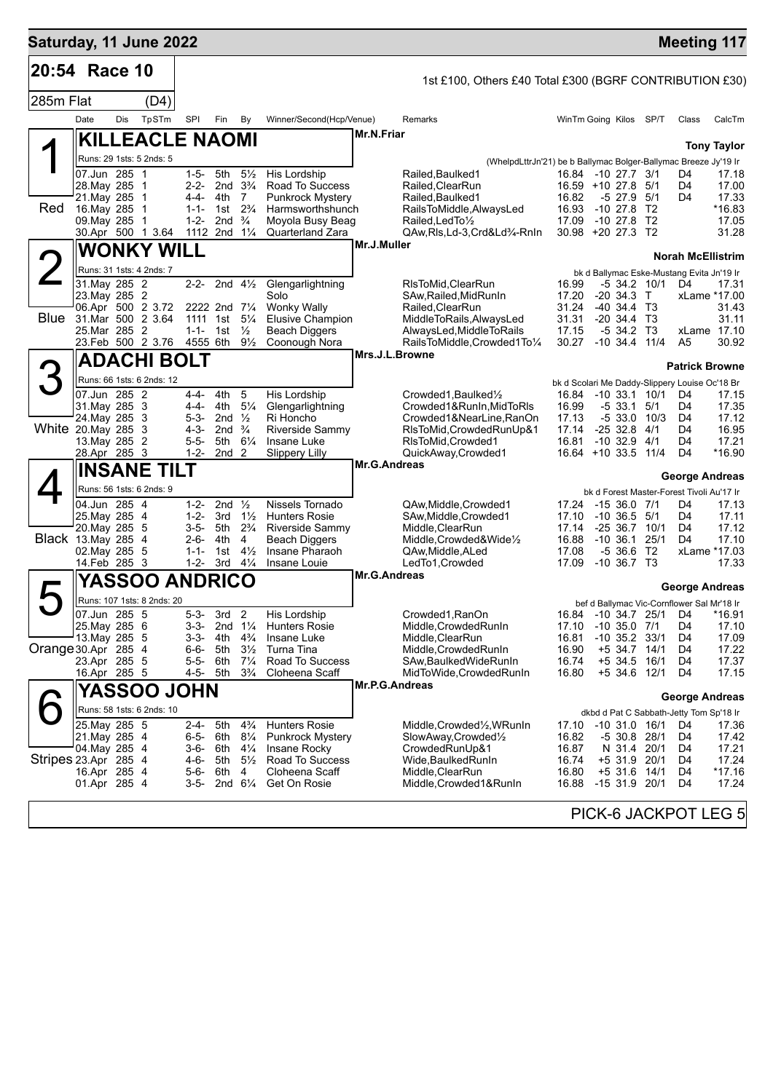| Saturday, 11 June 2022 |                                                                                           |     |                            |                                                                           |                                                                                           |                                                                                        |                                                                                                                      |                     |                                                                                                                                                                               |                                                                   |                                                                                     |             |                                                 |                                                                    | <b>Meeting 117</b>                                        |
|------------------------|-------------------------------------------------------------------------------------------|-----|----------------------------|---------------------------------------------------------------------------|-------------------------------------------------------------------------------------------|----------------------------------------------------------------------------------------|----------------------------------------------------------------------------------------------------------------------|---------------------|-------------------------------------------------------------------------------------------------------------------------------------------------------------------------------|-------------------------------------------------------------------|-------------------------------------------------------------------------------------|-------------|-------------------------------------------------|--------------------------------------------------------------------|-----------------------------------------------------------|
| 20:54 Race 10          |                                                                                           |     |                            |                                                                           |                                                                                           |                                                                                        |                                                                                                                      |                     | 1st £100, Others £40 Total £300 (BGRF CONTRIBUTION £30)                                                                                                                       |                                                                   |                                                                                     |             |                                                 |                                                                    |                                                           |
| 285m Flat              |                                                                                           |     | (D4)                       |                                                                           |                                                                                           |                                                                                        |                                                                                                                      |                     |                                                                                                                                                                               |                                                                   |                                                                                     |             |                                                 |                                                                    |                                                           |
|                        | Date                                                                                      | Dis | TpSTm                      | SPI                                                                       | Fin                                                                                       | By                                                                                     | Winner/Second(Hcp/Venue)                                                                                             |                     | Remarks                                                                                                                                                                       | WinTm Going Kilos SP/T                                            |                                                                                     |             |                                                 | Class                                                              | CalcTm                                                    |
|                        |                                                                                           |     | <b>KILLEACLE NAOMI</b>     |                                                                           |                                                                                           |                                                                                        |                                                                                                                      | <b>Mr.N.Friar</b>   |                                                                                                                                                                               |                                                                   |                                                                                     |             |                                                 |                                                                    | <b>Tony Taylor</b>                                        |
|                        | Runs: 29 1sts: 5 2nds: 5                                                                  |     |                            |                                                                           |                                                                                           |                                                                                        |                                                                                                                      |                     | (WhelpdLttrJn'21) be b Ballymac Bolger-Ballymac Breeze Jy'19 Ir                                                                                                               |                                                                   |                                                                                     |             |                                                 |                                                                    |                                                           |
| Red                    | 07.Jun 285 1<br>28. May 285 1<br>21. May 285 1<br>16. May 285 1<br>09. May 285 1          |     |                            | $1 - 5 -$<br>4-4-<br>$1 - 1 -$<br>$1 - 2 -$                               | 5th<br>2-2- 2nd $3\frac{1}{4}$<br>4th<br>1st $2\frac{3}{4}$<br>2nd                        | $5\frac{1}{2}$<br>7<br>$\frac{3}{4}$                                                   | His Lordship<br>Road To Success<br><b>Punkrock Mystery</b><br>Harmsworthshunch<br>Moyola Busy Beag                   |                     | Railed, Baulked 1<br>Railed.ClearRun<br>Railed.Baulked1<br>RailsToMiddle, AlwaysLed<br>Railed, Led To 1/2                                                                     | 16.84 -10 27.7 3/1<br>$16.59 + 1027.8$<br>16.82<br>16.93<br>17.09 | $-1027.8$<br>$-1027.8$                                                              | $-5$ 27.9   | - 5/1<br>5/1<br>T2<br>T <sub>2</sub>            | D4<br>D4<br>D4                                                     | 17.18<br>17.00<br>17.33<br>*16.83<br>17.05                |
|                        | 30.Apr 500 1 3.64                                                                         |     |                            | 1112 2nd $1\frac{1}{4}$                                                   |                                                                                           |                                                                                        | <b>Quarterland Zara</b>                                                                                              |                     | QAw, RIs, Ld-3, Crd&Ld3/4-RnIn                                                                                                                                                | 30.98 +20 27.3 T2                                                 |                                                                                     |             |                                                 |                                                                    | 31.28                                                     |
|                        |                                                                                           |     | <b>WONKY WILL</b>          |                                                                           |                                                                                           |                                                                                        |                                                                                                                      | Mr.J.Muller         |                                                                                                                                                                               |                                                                   |                                                                                     |             |                                                 | <b>Norah McEllistrim</b>                                           |                                                           |
|                        | Runs: 31 1sts: 4 2nds: 7                                                                  |     |                            |                                                                           |                                                                                           |                                                                                        |                                                                                                                      |                     |                                                                                                                                                                               |                                                                   |                                                                                     |             |                                                 | bk d Ballymac Eske-Mustang Evita Jn'19 Ir                          |                                                           |
| Blue                   | 31. May 285 2<br>23. May 285 2<br>06.Apr 500 2 3.72<br>31.Mar 500 2 3.64<br>25. Mar 285 2 |     |                            | $1 - 1 -$                                                                 | 2-2- 2nd $4\frac{1}{2}$<br>2222 2nd 71/4<br>1111 1st 5 <sup>1</sup> / <sub>4</sub><br>1st | $\frac{1}{2}$                                                                          | Glengarlightning<br>Solo<br><b>Wonky Wally</b><br><b>Elusive Champion</b><br><b>Beach Diggers</b>                    |                     | RIsToMid, ClearRun<br>SAw, Railed, Mid Run In<br>Railed, ClearRun<br>MiddleToRails, AlwaysLed<br>AlwaysLed, Middle To Rails                                                   | 16.99<br>17.20<br>31.24<br>31.31<br>17.15                         | $-20, 34.3$ T<br>$-40, 34.4$ T <sub>3</sub><br>$-20, 34.4, 73$                      | -5 34.2     | -5 34.2 10/1<br>ТЗ                              | D4                                                                 | 17.31<br>xLame *17.00<br>31.43<br>31.11<br>xLame 17.10    |
|                        | 23.Feb 500 2 3.76                                                                         |     |                            | 4555 6th                                                                  |                                                                                           | $9\frac{1}{2}$                                                                         | Coonough Nora                                                                                                        |                     | RailsToMiddle, Crowded1To1/4                                                                                                                                                  | 30.27                                                             | $-10$ 34.4 $11/4$                                                                   |             |                                                 | A <sub>5</sub>                                                     | 30.92                                                     |
|                        |                                                                                           |     | <b>ADACHI BOLT</b>         |                                                                           |                                                                                           |                                                                                        |                                                                                                                      |                     | Mrs.J.L.Browne                                                                                                                                                                |                                                                   |                                                                                     |             |                                                 | <b>Patrick Browne</b>                                              |                                                           |
|                        |                                                                                           |     | Runs: 66 1sts: 6 2nds: 12  |                                                                           |                                                                                           |                                                                                        |                                                                                                                      |                     |                                                                                                                                                                               |                                                                   |                                                                                     |             |                                                 | bk d Scolari Me Daddy-Slippery Louise Oc'18 Br                     |                                                           |
| White 20.May 285 3     | 07.Jun 285 2<br>31. May 285 3<br>24. May 285 3<br>13. May 285 2<br>28.Apr 285 3           |     |                            | 4-4-<br>4-4-<br>$5 - 3 -$<br>$4 - 3 -$<br>$5 - 5 -$<br>$1 - 2 -$          | 4th<br>4th<br>2nd $\frac{1}{2}$<br>2nd $\frac{3}{4}$<br>5th<br>2nd <sub>2</sub>           | 5<br>$5\frac{1}{4}$<br>$6\frac{1}{4}$                                                  | His Lordship<br>Glengarlightning<br>Ri Honcho<br>Riverside Sammy<br>Insane Luke<br><b>Slippery Lilly</b>             |                     | Crowded1, Baulked <sup>1</sup> / <sub>2</sub><br>Crowded1&RunIn, MidToRIs<br>Crowded1&NearLine,RanOn<br>RIsToMid, Crowded RunUp&1<br>RIsToMid, Crowded1<br>QuickAway,Crowded1 | 16.84<br>16.99<br>17.13<br>17.14<br>16.81                         | $-2532.8$<br>$-10$ 32.9 $4/1$<br>16.64 +10 33.5 11/4                                | -5 33.1     | $-10$ 33.1 $10/1$<br>5/1<br>$-533.010/3$<br>4/1 | D4<br>D4<br>D <sub>4</sub><br>D4<br>D4<br>D4                       | 17.15<br>17.35<br>17.12<br>16.95<br>17.21<br>*16.90       |
|                        |                                                                                           |     | <b>INSANE TILT</b>         |                                                                           |                                                                                           |                                                                                        |                                                                                                                      | <b>Mr.G.Andreas</b> |                                                                                                                                                                               |                                                                   |                                                                                     |             |                                                 |                                                                    |                                                           |
|                        | Runs: 56 1sts: 6 2nds: 9                                                                  |     |                            |                                                                           |                                                                                           |                                                                                        |                                                                                                                      |                     |                                                                                                                                                                               |                                                                   |                                                                                     |             |                                                 | <b>George Andreas</b><br>bk d Forest Master-Forest Tivoli Au'17 Ir |                                                           |
| Black 13. May 285 4    | 04.Jun 285 4<br>25. May 285 4<br>20. May 285 5<br>02. May 285 5<br>14.Feb 285 3           |     |                            | $1 - 2 -$<br>$1 - 2 -$<br>3-5- 5th<br>$2 - 6 -$<br>$1 - 1 -$<br>$1 - 2 -$ | 2nd $\frac{1}{2}$<br>3rd<br>4th<br>1st<br>3rd                                             | $1\frac{1}{2}$<br>$2\frac{3}{4}$<br>4<br>$4\frac{1}{2}$<br>$4\frac{1}{4}$              | Nissels Tornado<br><b>Hunters Rosie</b><br>Riverside Sammy<br>Beach Diggers<br>Insane Pharaoh<br>Insane Louie        |                     | QAw, Middle, Crowded1<br>SAw, Middle, Crowded1<br>Middle, ClearRun<br>Middle, Crowded&Wide1/2<br>QAw, Middle, ALed<br>LedTo1, Crowded                                         | 17.24<br>17.10<br>17.14<br>16.88<br>17.08<br>17.09                | $-1536.07/1$<br>$-10, 36.5, 5/1$<br>$-2536.710/1$<br>$-10, 36.1$<br>$-10, 36.7, 73$ | $-536.6$ T2 | 25/1                                            | D4<br>D4<br>D4<br>D <sub>4</sub>                                   | 17.13<br>17.11<br>17.12<br>17.10<br>xLame *17.03<br>17.33 |
|                        |                                                                                           |     | <b>YASSOO ANDRICO</b>      |                                                                           |                                                                                           |                                                                                        |                                                                                                                      | <b>Mr.G.Andreas</b> |                                                                                                                                                                               |                                                                   |                                                                                     |             |                                                 | <b>George Andreas</b>                                              |                                                           |
|                        |                                                                                           |     | Runs: 107 1sts: 8 2nds: 20 |                                                                           |                                                                                           |                                                                                        |                                                                                                                      |                     |                                                                                                                                                                               |                                                                   |                                                                                     |             |                                                 | bef d Ballymac Vic-Cornflower Sal Mr'18 Ir                         |                                                           |
| Orange 30.Apr 285 4    | 07.Jun 285 5<br>25. May 285 6<br>13. May 285 5<br>23.Apr 285 5<br>16.Apr 285 5            |     |                            | $5 - 3 -$<br>3-3-<br>3-3-<br>6-6-<br>5-5-<br>4-5-                         | 3rd<br>2nd 1¼<br>4th<br>5th<br>6th<br>5th                                                 | $\overline{2}$<br>$4\frac{3}{4}$<br>$3\frac{1}{2}$<br>$7\frac{1}{4}$<br>$3\frac{3}{4}$ | His Lordship<br><b>Hunters Rosie</b><br>Insane Luke<br>Turna Tina<br>Road To Success<br>Cloheena Scaff               |                     | Crowded1, RanOn<br>Middle, Crowded RunIn<br>Middle, ClearRun<br>Middle, Crowded Run In<br>SAw, Baulked Wide Run In<br>MidToWide, Crowded Run In                               | 16.81<br>16.90<br>16.74<br>16.80                                  | 17.10 -10 35.0 7/1<br>$-10$ 35.2 33/1<br>+5 34.7                                    |             | 14/1<br>+5 34.5 16/1<br>+5 34.6 12/1            | 16.84 -10 34.7 25/1 D4<br>D4<br>D4<br>D4<br>D4<br>D4               | *16.91<br>17.10<br>17.09<br>17.22<br>17.37<br>17.15       |
|                        |                                                                                           |     | YASSOO JOHN                |                                                                           |                                                                                           |                                                                                        |                                                                                                                      | Mr.P.G.Andreas      |                                                                                                                                                                               |                                                                   |                                                                                     |             |                                                 | <b>George Andreas</b>                                              |                                                           |
|                        |                                                                                           |     | Runs: 58 1sts: 6 2nds: 10  |                                                                           |                                                                                           |                                                                                        |                                                                                                                      |                     |                                                                                                                                                                               |                                                                   |                                                                                     |             |                                                 | dkbd d Pat C Sabbath-Jetty Tom Sp'18 Ir                            |                                                           |
| Stripes 23.Apr 285 4   | 25. May 285 5<br>21. May 285 4<br>04. May 285 4<br>16.Apr 285 4<br>01.Apr 285 4           |     |                            | 2-4-<br>6-5- 6th<br>4-6-                                                  | 5th<br>3-6- 6th<br>5th<br>5-6- 6th<br>$3-5$ - 2nd $6\frac{1}{4}$                          | $4\frac{3}{4}$<br>$8\frac{1}{4}$<br>$4\frac{1}{4}$<br>$5\frac{1}{2}$<br>4              | <b>Hunters Rosie</b><br><b>Punkrock Mystery</b><br>Insane Rocky<br>Road To Success<br>Cloheena Scaff<br>Get On Rosie |                     | Middle,Crowded½,WRunIn<br>SlowAway,Crowded1/2<br>CrowdedRunUp&1<br>Wide, Baulked Run In<br>Middle, ClearRun<br>Middle,Crowded1&RunIn                                          | 17.10<br>16.82<br>16.87<br>16.74<br>16.80<br>16.88                | -10 31.0 16/1<br>$+5$ 31.6<br>$-1531.920/1$                                         | N 31.4      | $-530.828/1$<br>20/1<br>+5 31.9 20/1<br>14/1    | D4<br>D4<br>D4<br>D4<br>D4<br>D4                                   | 17.36<br>17.42<br>17.21<br>17.24<br>$*17.16$<br>17.24     |
|                        |                                                                                           |     |                            |                                                                           |                                                                                           |                                                                                        |                                                                                                                      |                     |                                                                                                                                                                               |                                                                   |                                                                                     |             |                                                 |                                                                    | PICK-6 JACKPOT LEG 5                                      |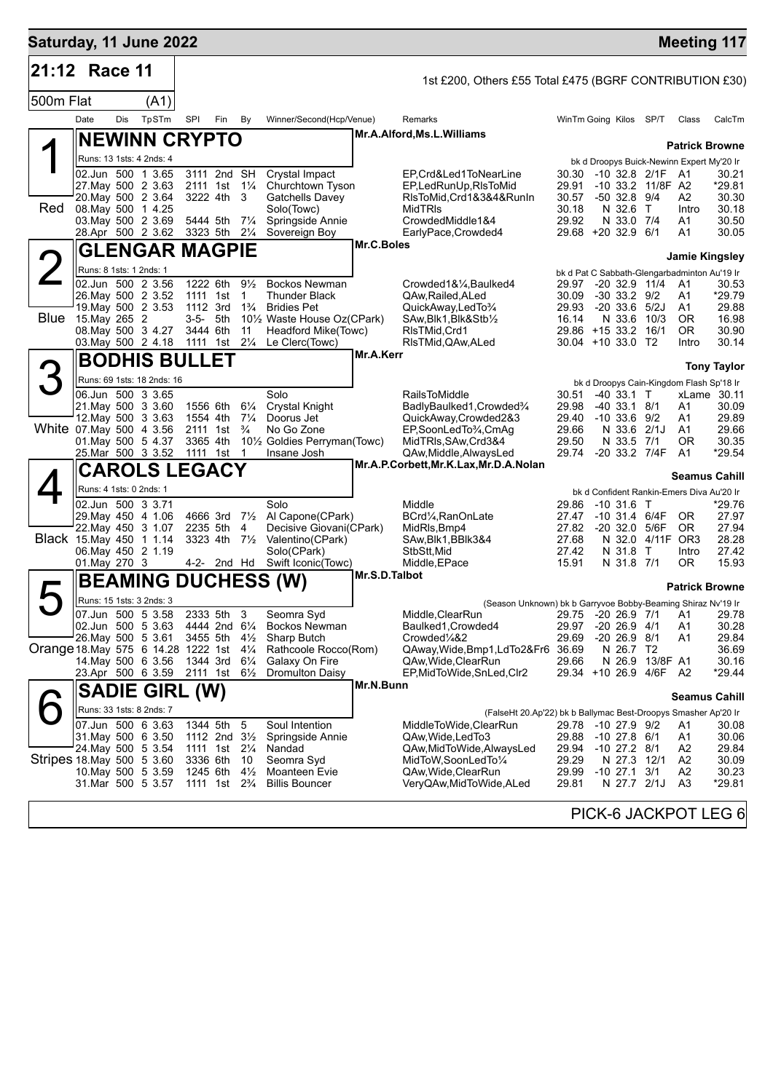| Saturday, 11 June 2022             |                                                                |     |                            |                              |     |                                  |                                                                           |               |                                                                                         |                              |                                            |                                           |                   | <b>Meeting 117</b>                           |
|------------------------------------|----------------------------------------------------------------|-----|----------------------------|------------------------------|-----|----------------------------------|---------------------------------------------------------------------------|---------------|-----------------------------------------------------------------------------------------|------------------------------|--------------------------------------------|-------------------------------------------|-------------------|----------------------------------------------|
| 21:12                              | Race 11                                                        |     |                            |                              |     |                                  |                                                                           |               | 1st £200, Others £55 Total £475 (BGRF CONTRIBUTION £30)                                 |                              |                                            |                                           |                   |                                              |
| 500m Flat                          |                                                                |     | (A1)                       |                              |     |                                  |                                                                           |               |                                                                                         |                              |                                            |                                           |                   |                                              |
|                                    | Date                                                           | Dis | TpSTm                      | <b>SPI</b>                   | Fin | By                               | Winner/Second(Hcp/Venue)                                                  |               | Remarks                                                                                 | WinTm Going Kilos            |                                            | SP/T                                      | Class             | CalcTm                                       |
|                                    | <b>NEWINN CRYPTO</b>                                           |     |                            |                              |     |                                  |                                                                           |               | Mr.A.Alford, Ms.L.Williams                                                              |                              |                                            |                                           |                   | <b>Patrick Browne</b>                        |
|                                    | Runs: 13 1sts: 4 2nds: 4                                       |     |                            |                              |     |                                  |                                                                           |               |                                                                                         |                              |                                            |                                           |                   | bk d Droopys Buick-Newinn Expert My'20 Ir    |
|                                    | 02.Jun 500 1 3.65<br>27. May 500 2 3.63                        |     |                            | 3111 2nd SH<br>2111 1st 11/4 |     |                                  | Crystal Impact<br>Churchtown Tyson                                        |               | EP,Crd&Led1ToNearLine<br>EP,LedRunUp,RIsToMid                                           | 30.30<br>29.91               |                                            | -10 32.8 2/1F<br>-10 33.2 11/8F A2        | - A1              | 30.21<br>*29.81                              |
| Red                                | 20. May 500 2 3.64<br>08. May 500 1 4.25<br>03. May 500 2 3.69 |     |                            | 3222 4th<br>5444 5th         |     | 3<br>$7\frac{1}{4}$              | Gatchells Davey<br>Solo(Towc)<br>Springside Annie                         |               | RIsToMid, Crd1&3&4&RunIn<br><b>MidTRIS</b><br>CrowdedMiddle1&4                          | 30.57<br>30.18<br>29.92      | $-50$ 32.8 $9/4$<br>N 32.6 T<br>N 33.0 7/4 |                                           | A2<br>Intro<br>A1 | 30.30<br>30.18<br>30.50                      |
|                                    | 28.Apr 500 2 3.62                                              |     |                            | 3323 5th 21/4                |     |                                  | Sovereign Boy                                                             |               | EarlyPace, Crowded4                                                                     | 29.68 +20 32.9 6/1           |                                            |                                           | A1                | 30.05                                        |
|                                    |                                                                |     | <b>GLENGAR MAGPIE</b>      |                              |     |                                  |                                                                           | Mr.C.Boles    |                                                                                         |                              |                                            |                                           |                   | <b>Jamie Kingsley</b>                        |
| $\angle$                           | Runs: 8 1sts: 1 2nds: 1                                        |     |                            |                              |     |                                  |                                                                           |               |                                                                                         |                              |                                            |                                           |                   | bk d Pat C Sabbath-Glengarbadminton Au'19 Ir |
|                                    | 02.Jun 500 2 3.56<br>26. May 500 2 3.52                        |     |                            | 1222 6th<br>1111 1st         |     | $9\frac{1}{2}$<br>1              | <b>Bockos Newman</b><br>Thunder Black                                     |               | Crowded1&1⁄4, Baulked4<br>QAw, Railed, ALed                                             | 29.97<br>30.09               | $-30$ 33.2 $9/2$                           | $-20$ 32.9 11/4                           | A1<br>A1          | 30.53<br>*29.79                              |
|                                    | 19. May 500 2 3.53                                             |     |                            | 1112 3rd                     |     | $1\frac{3}{4}$                   | <b>Bridies Pet</b>                                                        |               | QuickAway,LedTo3/4                                                                      | 29.93                        | $-20$ 33.6 $5/2J$                          |                                           | A1                | 29.88                                        |
| Blue                               | 15.May 265 2<br>08. May 500 3 4.27                             |     |                            | 3-5- 5th<br>3444 6th         |     | 11                               | 101/ <sub>2</sub> Waste House Oz(CPark)<br>Headford Mike(Towc)            |               | SAw, Blk1, Blk&Stb1/2<br>RIsTMid, Crd1                                                  | 16.14<br>29.86 +15 33.2 16/1 | N 33.6 10/3                                |                                           | OR.<br>0R         | 16.98<br>30.90                               |
|                                    | 03. May 500 2 4.18 1111 1st 21/4                               |     |                            |                              |     |                                  | Le Clerc(Towc)                                                            |               | RIsTMid, QAw, ALed                                                                      | $30.04$ +10 33.0 T2          |                                            |                                           | Intro             | 30.14                                        |
|                                    |                                                                |     | <b>BODHIS BULLET</b>       |                              |     |                                  |                                                                           | Mr.A.Kerr     |                                                                                         |                              |                                            |                                           |                   | <b>Tony Taylor</b>                           |
|                                    |                                                                |     | Runs: 69 1sts: 18 2nds: 16 |                              |     |                                  |                                                                           |               |                                                                                         |                              |                                            |                                           |                   | bk d Droopys Cain-Kingdom Flash Sp'18 Ir     |
|                                    | 06.Jun 500 3 3.65<br>21. May 500 3 3.60                        |     |                            | 1556 6th                     |     | $6\frac{1}{4}$                   | Solo<br>Crystal Knight                                                    |               | <b>RailsToMiddle</b>                                                                    | 30.51<br>29.98               | $-40$ 33.1 T<br>$-40$ 33.1 8/1             |                                           | A1                | xLame 30.11<br>30.09                         |
|                                    | 12. May 500 3 3.63                                             |     |                            | 1554 4th                     |     | $7\frac{1}{4}$                   | Doorus Jet                                                                |               | BadlyBaulked1,Crowded3/4<br>QuickAway,Crowded2&3                                        | 29.40                        | $-10$ 33.6 $9/2$                           |                                           | A1                | 29.89                                        |
| White 07 May 500 4 3.56            | 01. May 500 5 4.37                                             |     |                            | 2111 1st<br>3365 4th         |     | $\frac{3}{4}$                    | No Go Zone<br>10 <sup>1</sup> / <sub>2</sub> Goldies Perryman(Towc)       |               | EP,SoonLedTo¼,CmAg<br>MidTRIs,SAw,Crd3&4                                                | 29.66<br>29.50               | N 33.6<br>N 33.5 7/1                       | 2/1J                                      | A1<br>0R          | 29.66<br>30.35                               |
|                                    |                                                                |     | 25.Mar 500 3 3.52          | 1111 1st 1                   |     |                                  | Insane Josh                                                               |               | QAw,Middle,AlwaysLed                                                                    | 29.74                        | -20 33.2 7/4F                              |                                           | A1                | *29.54                                       |
|                                    |                                                                |     | <b>CAROLS LEGACY</b>       |                              |     |                                  |                                                                           |               | Mr.A.P.Corbett, Mr.K.Lax, Mr.D.A.Nolan                                                  |                              |                                            |                                           |                   | <b>Seamus Cahill</b>                         |
|                                    | Runs: 4 1sts: 0 2nds: 1                                        |     |                            |                              |     |                                  |                                                                           |               |                                                                                         |                              |                                            |                                           |                   | bk d Confident Rankin-Emers Diva Au'20 Ir    |
|                                    | 02.Jun 500 3 3.71                                              |     |                            |                              |     |                                  | Solo                                                                      |               | Middle                                                                                  | 29.86                        | $-10,31.6$ T                               |                                           |                   | *29.76                                       |
|                                    | 29. May 450 4 1.06<br>22. May 450 3 1.07                       |     |                            | 4666 3rd<br>2235 5th         |     | 4                                | 7 <sup>1</sup> / <sub>2</sub> Al Capone(CPark)<br>Decisive Giovani(CPark) |               | BCrd1/ <sub>4</sub> , RanOnLate<br>MidRIs, Bmp4                                         | 27.47<br>27.82               |                                            | $-10$ 31.4 $6/4F$<br>-20 32.0 5/6F        | OR.<br>OR.        | 27.97<br>27.94                               |
| Black 15. May 450 1 1.14           |                                                                |     |                            | 3323 4th                     |     | $7\frac{1}{2}$                   | Valentino(CPark)                                                          |               | SAw, Blk1, BBlk3&4                                                                      | 27.68                        |                                            | N 32.0 4/11F OR3                          |                   | 28.28                                        |
|                                    | 06. May 450 2 1.19<br>01. May 270 3                            |     |                            | 4-2- 2nd Hd                  |     |                                  | Solo(CPark)<br>Swift Iconic(Towc)                                         |               | StbStt, Mid<br>Middle, EPace                                                            | 27.42<br>15.91               | N 31.8 T<br>N 31.8 7/1                     |                                           | Intro<br>OR.      | 27.42<br>15.93                               |
|                                    |                                                                |     |                            |                              |     |                                  | <b>BEAMING DUCHESS (W)</b>                                                | Mr.S.D.Talbot |                                                                                         |                              |                                            |                                           |                   |                                              |
|                                    | Runs: 15 1sts: 3 2nds: 3                                       |     |                            |                              |     |                                  |                                                                           |               | (Season Unknown) bk b Garryvoe Bobby-Beaming Shiraz Nv'19 Ir                            |                              |                                            |                                           |                   | <b>Patrick Browne</b>                        |
|                                    | 07.Jun 500 5 3.58                                              |     |                            | 2333 5th 3                   |     |                                  | Seomra Svd                                                                |               | Middle.ClearRun                                                                         |                              |                                            |                                           |                   | 29.75 -20 26.9 7/1 A1 29.78                  |
|                                    | 02.Jun 500 5 3.63<br>26. May 500 5 3.61                        |     |                            | 4444 2nd 61⁄4<br>3455 5th    |     | $4\frac{1}{2}$                   | Bockos Newman<br>Sharp Butch                                              |               | Baulked1, Crowded4<br>Crowded¼&2                                                        | 29.97<br>29.69               | $-20$ 26.9 $4/1$<br>$-2026.98/1$           |                                           | A1<br>A1          | 30.28<br>29.84                               |
| Orange 18 May 575 6 14.28 1222 1st |                                                                |     |                            |                              |     | $4\frac{1}{4}$                   | Rathcoole Rocco(Rom)                                                      |               | QAway, Wide, Bmp1, LdTo 2& Fr6 36.69                                                    |                              | N 26.7 T2                                  |                                           |                   | 36.69                                        |
|                                    | 14. May 500 6 3.56<br>23.Apr 500 6 3.59 2111 1st               |     |                            | 1344 3rd                     |     | $6\frac{1}{4}$<br>$6\frac{1}{2}$ | Galaxy On Fire<br><b>Dromulton Daisy</b>                                  |               | QAw,Wide,ClearRun<br>EP, MidToWide, SnLed, Clr2                                         | 29.66                        |                                            | N 26.9 13/8F A1<br>29.34 +10 26.9 4/6F A2 |                   | 30.16<br>*29.44                              |
|                                    |                                                                |     | <b>SADIE GIRL (W)</b>      |                              |     |                                  |                                                                           | Mr.N.Bunn     |                                                                                         |                              |                                            |                                           |                   |                                              |
|                                    | Runs: 33 1sts: 8 2nds: 7                                       |     |                            |                              |     |                                  |                                                                           |               |                                                                                         |                              |                                            |                                           |                   | <b>Seamus Cahill</b>                         |
|                                    | 07.Jun 500 6 3.63                                              |     |                            | 1344 5th                     |     | 5                                | Soul Intention                                                            |               | (FalseHt 20.Ap'22) bk b Ballymac Best-Droopys Smasher Ap'20 Ir<br>MiddleToWide,ClearRun | 29.78 -10 27.9 9/2           |                                            |                                           | A1                | 30.08                                        |
|                                    | 31. May 500 6 3.50                                             |     |                            | 1112 2nd 31/2                |     |                                  | Springside Annie                                                          |               | QAw,Wide,LedTo3                                                                         | 29.88                        | -10 27.8 6/1                               |                                           | A1                | 30.06                                        |
| Stripes 18 May 500 5 3.60          | 24. May 500 5 3.54                                             |     |                            | 1111 1st<br>3336 6th         |     | $2\frac{1}{4}$<br>10             | Nandad<br>Seomra Syd                                                      |               | QAw,MidToWide,AlwaysLed<br>MidToW,SoonLedTo¼                                            | 29.94<br>29.29               | $-10$ 27.2 $8/1$<br>N 27.3 12/1            |                                           | A2<br>A2          | 29.84<br>30.09                               |
|                                    | 10 May 500 5 3.59                                              |     |                            | 1245 6th                     |     | $4\frac{1}{2}$                   | Moanteen Evie                                                             |               | QAw,Wide,ClearRun                                                                       | 29.99                        | $-10$ 27.1 $3/1$                           |                                           | A2                | 30.23                                        |
|                                    | 31.Mar 500 5 3.57                                              |     |                            | 1111 1st                     |     | $2\frac{3}{4}$                   | <b>Billis Bouncer</b>                                                     |               | VeryQAw,MidToWide,ALed                                                                  | 29.81                        | N 27.7 2/1J                                |                                           | A <sub>3</sub>    | *29.81                                       |
|                                    |                                                                |     |                            |                              |     |                                  |                                                                           |               |                                                                                         |                              |                                            |                                           |                   | PICK-6 JACKPOT LEG 6                         |
|                                    |                                                                |     |                            |                              |     |                                  |                                                                           |               |                                                                                         |                              |                                            |                                           |                   |                                              |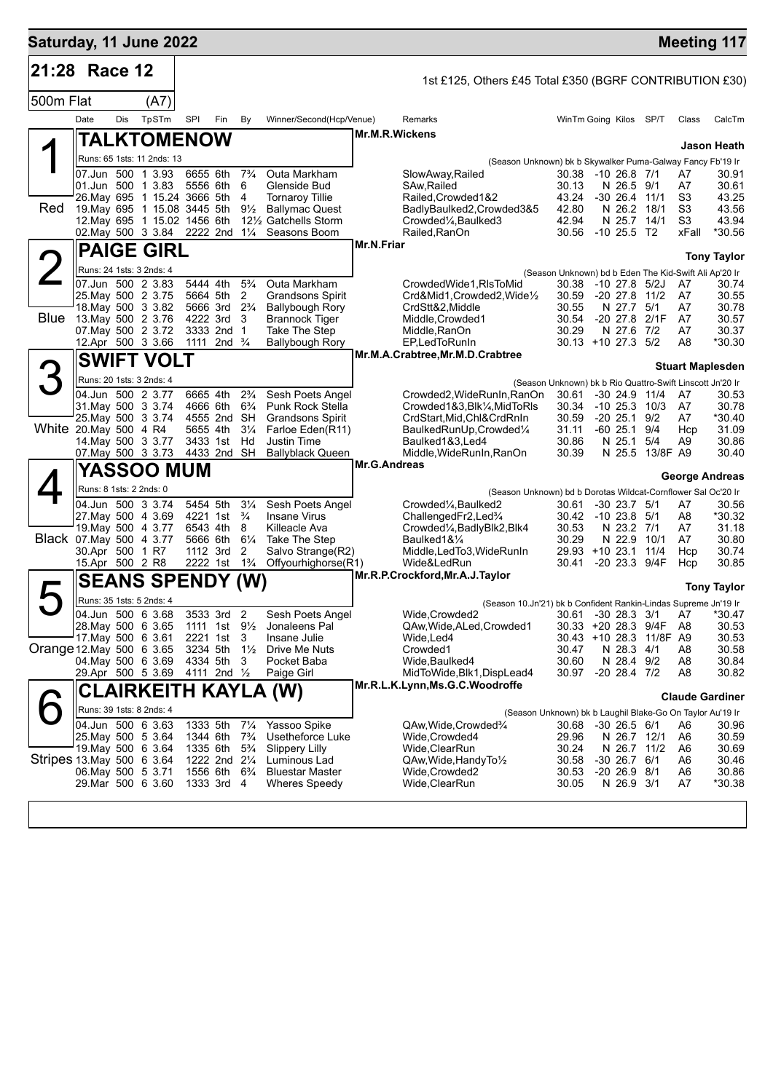| Saturday, 11 June 2022    |                         |            |                                                              |            |                                                         |                                  |                                                                      |              |                                                                                   |                                                           |                                      |                         |                                  | <b>Meeting 117</b>      |
|---------------------------|-------------------------|------------|--------------------------------------------------------------|------------|---------------------------------------------------------|----------------------------------|----------------------------------------------------------------------|--------------|-----------------------------------------------------------------------------------|-----------------------------------------------------------|--------------------------------------|-------------------------|----------------------------------|-------------------------|
| 21:28 Race 12             |                         |            |                                                              |            |                                                         |                                  |                                                                      |              | 1st £125, Others £45 Total £350 (BGRF CONTRIBUTION £30)                           |                                                           |                                      |                         |                                  |                         |
| 500m Flat                 |                         |            | (A7)                                                         |            |                                                         |                                  |                                                                      |              |                                                                                   |                                                           |                                      |                         |                                  |                         |
|                           | Date                    | <b>Dis</b> | TpSTm                                                        | <b>SPI</b> | Fin                                                     | By                               | Winner/Second(Hcp/Venue)                                             |              | Remarks                                                                           | WinTm Going Kilos SP/T                                    |                                      |                         | Class                            | CalcTm                  |
|                           |                         |            | TALKTOMENOW                                                  |            |                                                         |                                  |                                                                      |              | Mr.M.R.Wickens                                                                    |                                                           |                                      |                         |                                  |                         |
|                           |                         |            | Runs: 65 1sts: 11 2nds: 13                                   |            |                                                         |                                  |                                                                      |              |                                                                                   |                                                           |                                      |                         |                                  | <b>Jason Heath</b>      |
|                           |                         |            | 07.Jun 500 1 3.93                                            | 6655 6th   |                                                         | $7\frac{3}{4}$                   | Outa Markham                                                         |              | (Season Unknown) bk b Skywalker Puma-Galway Fancy Fb'19 Ir<br>SlowAway, Railed    | 30.38 -10 26.8 7/1                                        |                                      |                         | A7                               | 30.91                   |
|                           |                         |            | 01.Jun 500 1 3.83                                            | 5556 6th   |                                                         | 6                                | Glenside Bud                                                         |              | SAw, Railed                                                                       | 30.13                                                     | N 26.5 9/1                           |                         | A7                               | 30.61                   |
| Red                       |                         |            | 26. May 695 1 15.24 3666 5th<br>19. May 695 1 15.08 3445 5th |            |                                                         | 4<br>$9\frac{1}{2}$              | <b>Tornaroy Tillie</b><br><b>Ballymac Quest</b>                      |              | Railed, Crowded 1&2<br>BadlyBaulked2,Crowded3&5                                   | 43.24<br>42.80                                            | $-30$ 26.4 11/1<br>N 26.2 18/1       |                         | S <sub>3</sub><br>S <sub>3</sub> | 43.25<br>43.56          |
|                           |                         |            | 12. May 695 1 15.02 1456 6th                                 |            |                                                         |                                  | 12½ Gatchells Storm                                                  |              | Crowded <sup>1</sup> / <sub>4</sub> , Baulked <sup>3</sup>                        | 42.94                                                     | N 25.7                               | 14/1                    | S <sub>3</sub>                   | 43.94                   |
|                           |                         |            |                                                              |            |                                                         |                                  | 02. May 500 3 3.84 2222 2nd 11/4 Seasons Boom                        | Mr.N.Friar   | Railed, RanOn                                                                     | 30.56                                                     | $-10$ 25.5 T2                        |                         | xFall                            | *30.56                  |
|                           |                         |            | <b>PAIGE GIRL</b>                                            |            |                                                         |                                  |                                                                      |              |                                                                                   |                                                           |                                      |                         |                                  | <b>Tony Taylor</b>      |
| $\angle$                  |                         |            | Runs: 24 1sts: 3 2nds: 4                                     |            |                                                         |                                  |                                                                      |              |                                                                                   | (Season Unknown) bd b Eden The Kid-Swift Ali Ap'20 Ir     |                                      |                         |                                  |                         |
|                           |                         |            | 07.Jun 500 2 3.83<br>25. May 500 2 3.75                      |            | 5444 4th<br>5664 5th                                    | $5\frac{3}{4}$<br>2              | Outa Markham<br><b>Grandsons Spirit</b>                              |              | CrowdedWide1, RIsToMid<br>Crd&Mid1,Crowded2,Wide1/2                               | 30.38<br>30.59                                            | $-10$ 27.8 $5/2J$                    | $-20$ 27.8 $11/2$       | A7<br>A7                         | 30.74<br>30.55          |
|                           |                         |            | 18. May 500 3 3.82                                           |            | 5666 3rd                                                | $2\frac{3}{4}$                   | <b>Ballybough Rory</b>                                               |              | CrdStt&2,Middle                                                                   | 30.55                                                     | N 27.7                               | 5/1                     | A7                               | 30.78                   |
| Blue                      | 13. May 500 2 3.76      |            | 07. May 500 2 3.72                                           |            | 4222 3rd<br>3333 2nd 1                                  | 3                                | <b>Brannock Tiger</b><br>Take The Step                               |              | Middle, Crowded1<br>Middle, RanOn                                                 | 30.54<br>30.29                                            | N 27.6                               | -20 27.8 2/1F<br>7/2    | A7<br>A7                         | 30.57<br>30.37          |
|                           |                         |            | 12.Apr 500 3 3.66                                            | 1111       | 2nd $\frac{3}{4}$                                       |                                  | <b>Ballybough Rory</b>                                               |              | EP.LedToRunIn                                                                     | 30.13 +10 27.3 5/2                                        |                                      |                         | A8                               | *30.30                  |
|                           |                         |            | <b>SWIFT VOLT</b>                                            |            |                                                         |                                  |                                                                      |              | Mr.M.A.Crabtree, Mr.M.D.Crabtree                                                  |                                                           |                                      |                         |                                  |                         |
| З                         |                         |            | Runs: 20 1sts: 3 2nds: 4                                     |            |                                                         |                                  |                                                                      |              |                                                                                   | (Season Unknown) bk b Rio Quattro-Swift Linscott Jn'20 Ir |                                      |                         |                                  | <b>Stuart Maplesden</b> |
|                           |                         |            | 04.Jun 500 2 3.77                                            |            | 6665 4th                                                | $2\frac{3}{4}$                   | Sesh Poets Angel                                                     |              | Crowded2, WideRunIn, RanOn                                                        | 30.61                                                     | $-30$ 24.9 11/4                      |                         | A7                               | 30.53                   |
|                           |                         |            | 31 May 500 3 3 74                                            |            | 4666 6th                                                | $6\frac{3}{4}$                   | <b>Punk Rock Stella</b>                                              |              | Crowded1&3,Blk1/4,MidToRIs                                                        | 30.34                                                     |                                      | $-10$ 25.3 $10/3$       | A7                               | 30.78                   |
| White 20. May 500 4 R4    |                         |            | 25. May 500 3 3.74                                           |            | 4555 2nd SH<br>5655 4th                                 | $3\frac{1}{4}$                   | <b>Grandsons Spirit</b><br>Farloe Eden(R11)                          |              | CrdStart, Mid, Chl&CrdRnIn<br>BaulkedRunUp, Crowded1/4                            | 30.59<br>31.11                                            | $-20$ 25.1 $9/2$<br>-60 25.1         | 9/4                     | A7<br>Hcp                        | *30.40<br>31.09         |
|                           |                         |            | 14. May 500 3 3.77                                           |            | 3433 1st Hd                                             |                                  | <b>Justin Time</b>                                                   |              | Baulked1&3, Led4                                                                  | 30.86                                                     | N 25.1                               | 5/4                     | A9                               | 30.86                   |
|                           |                         |            | 07 May 500 3 3.73                                            |            | 4433 2nd SH                                             |                                  | <b>Ballyblack Queen</b>                                              | Mr.G.Andreas | Middle, WideRunIn, RanOn                                                          | 30.39                                                     |                                      | N 25.5 13/8F A9         |                                  | 30.40                   |
|                           |                         |            | <b>YASSOO MUM</b>                                            |            |                                                         |                                  |                                                                      |              |                                                                                   |                                                           |                                      |                         |                                  | George Andreas          |
|                           | Runs: 8 1sts: 2 2nds: 0 |            |                                                              |            |                                                         |                                  |                                                                      |              | (Season Unknown) bd b Dorotas Wildcat-Cornflower Sal Oc'20 Ir                     |                                                           |                                      |                         |                                  |                         |
|                           |                         |            | 04.Jun 500 3 3.74<br>27. May 500 4 3.69                      | 5454 5th   | 4221 1st                                                | $3\frac{1}{4}$<br>$\frac{3}{4}$  | Sesh Poets Angel<br>Insane Virus                                     |              | Crowded <sup>1</sup> / <sub>4</sub> , Baulked <sub>2</sub><br>ChallengedFr2, Led% | 30.61<br>30.42 -10 23.8 5/1                               | $-30$ 23.7 $5/1$                     |                         | A7<br>A8                         | 30.56<br>*30.32         |
|                           |                         |            | 19. May 500 4 3.77                                           |            | 6543 4th                                                | 8                                | Killeacle Ava                                                        |              | Crowded <sup>1</sup> / <sub>4</sub> , BadlyBlk2, Blk4                             | 30.53                                                     | N 23.2 7/1                           |                         | A7                               | 31.18                   |
| Black 07 May 500 4 3.77   | 30.Apr 500 1 R7         |            |                                                              |            | 5666 6th<br>1112 3rd                                    | $6\frac{1}{4}$<br>2              | Take The Step<br>Salvo Strange(R2)                                   |              | Baulked1&1/4<br>Middle, LedTo3, WideRunIn                                         | 30.29<br>29.93 +10 23.1 11/4                              | N 22.9                               | 10/1                    | A7<br>Hcp                        | 30.80<br>30.74          |
|                           | 15.Apr 500 2 R8         |            |                                                              |            | 2222 1st 1 <sup>3</sup> / <sub>4</sub>                  |                                  | Offyourhighorse(R1)                                                  |              | Wide&LedRun                                                                       | 30.41                                                     | $-2023.3$                            | 9/4F                    | Hcp                              | 30.85                   |
|                           |                         |            | <b>SEANS SPENDY (W)</b>                                      |            |                                                         |                                  |                                                                      |              | Mr.R.P.Crockford, Mr.A.J.Taylor                                                   |                                                           |                                      |                         |                                  | <b>Tony Taylor</b>      |
|                           |                         |            | Runs: 35 1sts: 5 2nds: 4                                     |            |                                                         |                                  |                                                                      |              | (Season 10.Jn'21) bk b Confident Rankin-Lindas Supreme Jn'19 Ir                   |                                                           |                                      |                         |                                  |                         |
|                           |                         |            | 04.Jun 500 6 3.68                                            |            | 3533 3rd 2                                              |                                  | Sesh Poets Angel                                                     |              | Wide.Crowded2                                                                     |                                                           |                                      | 30.61 -30 28.3 3/1 A7   |                                  | *30.47                  |
|                           |                         |            | 28. May 500 6 3.65<br>17 May 500 6 3.61                      |            | 2221 1st                                                | 3                                | 1111 1st 9 <sup>1</sup> / <sub>2</sub> Jonaleens Pal<br>Insane Julie |              | QAw, Wide, ALed, Crowded1<br>Wide,Led4                                            | 30.33 +20 28.3 9/4F                                       |                                      | 30.43 +10 28.3 11/8F A9 | A8                               | 30.53<br>30.53          |
| Orange 12 May 500 6 3.65  |                         |            |                                                              | 3234 5th   |                                                         | $1\frac{1}{2}$                   | Drive Me Nuts                                                        |              | Crowded1                                                                          | 30.47                                                     | N 28.3 4/1                           |                         | A8                               | 30.58                   |
|                           |                         |            | 04. May 500 6 3.69                                           | 4334 5th   |                                                         | 3                                | Pocket Baba                                                          |              | Wide, Baulked4                                                                    | 30.60                                                     | N 28.4 9/2                           |                         | A8                               | 30.84                   |
|                           |                         |            | 29.Apr 500 5 3.69                                            |            | 4111 2nd $\frac{1}{2}$                                  |                                  | Paige Girl                                                           |              | MidToWide,Blk1,DispLead4<br>Mr.R.L.K.Lynn,Ms.G.C.Woodroffe                        | 30.97                                                     | $-20$ 28.4 $7/2$                     |                         | A8                               | 30.82                   |
|                           |                         |            |                                                              |            |                                                         |                                  | CLAIRKEITH KAYLA (W)                                                 |              |                                                                                   |                                                           |                                      |                         |                                  | <b>Claude Gardiner</b>  |
|                           |                         |            | Runs: 39 1sts: 8 2nds: 4                                     |            |                                                         |                                  |                                                                      |              | (Season Unknown) bk b Laughil Blake-Go On Taylor Au'19 Ir                         |                                                           |                                      |                         |                                  |                         |
|                           |                         |            | 04.Jun 500 6 3.63<br>25. May 500 5 3.64                      | 1333 5th   | 1344 6th                                                | $7\frac{1}{4}$<br>$7\frac{3}{4}$ | Yassoo Spike<br>Usetheforce Luke                                     |              | QAw, Wide, Crowded 3/4<br>Wide,Crowded4                                           | 30.68<br>29.96                                            | $-30$ 26.5 6/1<br>N 26.7 12/1        |                         | A6<br>A6                         | 30.96<br>30.59          |
|                           |                         |            | 19. May 500 6 3.64                                           |            | 1335 6th                                                | $5\frac{3}{4}$                   | <b>Slippery Lilly</b>                                                |              | Wide,ClearRun                                                                     | 30.24                                                     | N 26.7 11/2                          |                         | A6                               | 30.69                   |
| Stripes 13 May 500 6 3.64 |                         |            | 06. May 500 5 3.71                                           |            | 1222 2nd 21/4<br>1556 6th 6 <sup>3</sup> / <sub>4</sub> |                                  | Luminous Lad<br><b>Bluestar Master</b>                               |              | QAw, Wide, Handy To 1/2<br>Wide,Crowded2                                          | 30.58<br>30.53                                            | $-30$ 26.7 $6/1$<br>$-20$ 26.9 $8/1$ |                         | A6<br>A6                         | 30.46<br>30.86          |
|                           |                         |            | 29.Mar 500 6 3.60                                            |            | 1333 3rd 4                                              |                                  | <b>Wheres Speedy</b>                                                 |              | Wide, ClearRun                                                                    | 30.05                                                     | N 26.9 3/1                           |                         | A7                               | *30.38                  |
|                           |                         |            |                                                              |            |                                                         |                                  |                                                                      |              |                                                                                   |                                                           |                                      |                         |                                  |                         |
|                           |                         |            |                                                              |            |                                                         |                                  |                                                                      |              |                                                                                   |                                                           |                                      |                         |                                  |                         |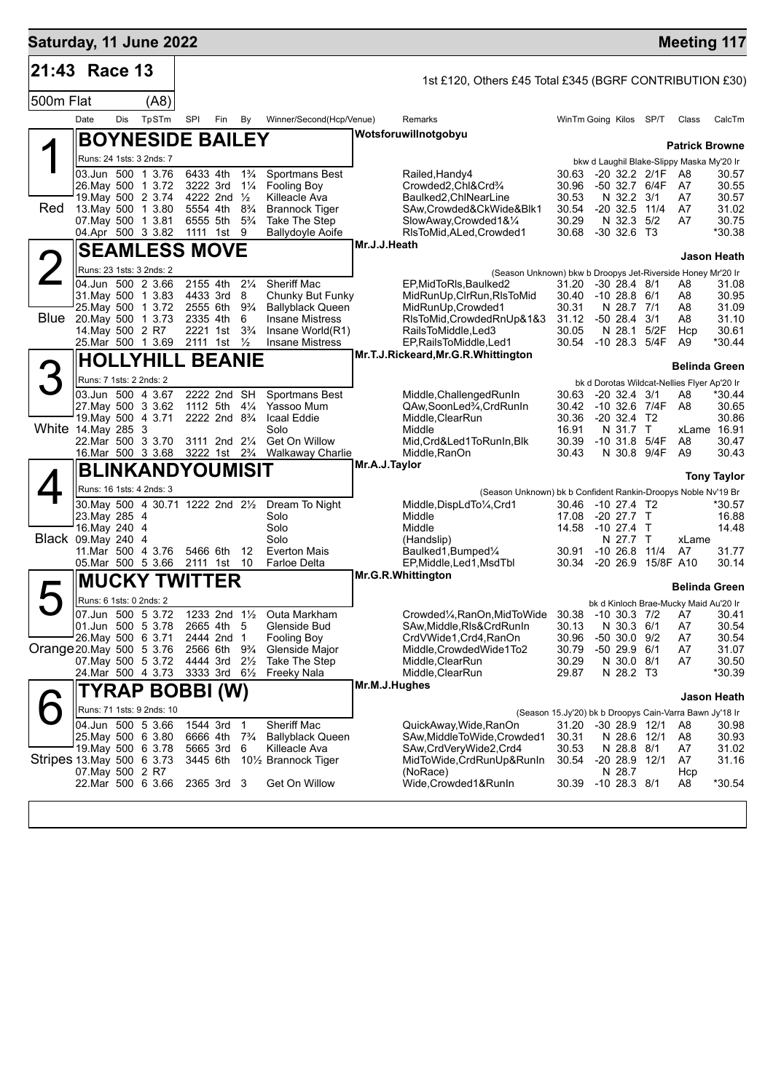| Saturday, 11 June 2022    |                                |     |                                          |                                        |                                                                                  |                |                                                                |                             |                                                                               |                                                                  |                                      |  |             |                                                   | <b>Meeting 117</b>   |
|---------------------------|--------------------------------|-----|------------------------------------------|----------------------------------------|----------------------------------------------------------------------------------|----------------|----------------------------------------------------------------|-----------------------------|-------------------------------------------------------------------------------|------------------------------------------------------------------|--------------------------------------|--|-------------|---------------------------------------------------|----------------------|
| 21:43 Race 13             |                                |     |                                          |                                        |                                                                                  |                |                                                                |                             | 1st £120, Others £45 Total £345 (BGRF CONTRIBUTION £30)                       |                                                                  |                                      |  |             |                                                   |                      |
| 500m Flat                 |                                |     | (A8)                                     |                                        |                                                                                  |                |                                                                |                             |                                                                               |                                                                  |                                      |  |             |                                                   |                      |
|                           | Date                           | Dis | TpSTm                                    | SPI                                    | Fin                                                                              | By             | Winner/Second(Hcp/Venue)                                       |                             | Remarks                                                                       |                                                                  | WinTm Going Kilos SP/T               |  |             | Class                                             | CalcTm               |
|                           |                                |     | <b>BOYNESIDE BAILEY</b>                  |                                        |                                                                                  |                |                                                                |                             | Wotsforuwillnotgobyu                                                          |                                                                  |                                      |  |             |                                                   |                      |
|                           |                                |     | Runs: 24 1sts: 3 2nds: 7                 |                                        |                                                                                  |                |                                                                |                             |                                                                               |                                                                  |                                      |  |             | <b>Patrick Browne</b>                             |                      |
|                           |                                |     | 03.Jun 500 1 3.76                        | 6433 4th                               |                                                                                  | $1\frac{3}{4}$ | Sportmans Best                                                 |                             | Railed, Handy4                                                                | 30.63                                                            | $-20$ 32.2 $2/1F$                    |  |             | bkw d Laughil Blake-Slippy Maska My'20 Ir<br>- A8 | 30.57                |
|                           |                                |     | 26. May 500 1 3.72                       | 3222 3rd                               |                                                                                  | $1\frac{1}{4}$ | Fooling Boy                                                    |                             | Crowded2,Chl&Crd3/4                                                           | 30.96                                                            | -50 32.7 6/4F                        |  |             | A7                                                | 30.55                |
|                           |                                |     | 19. May 500 2 3.74                       |                                        | 4222 2nd $\frac{1}{2}$                                                           |                | Killeacle Ava                                                  |                             | Baulked2,ChlNearLine                                                          | 30.53                                                            | N 32.2 3/1                           |  |             | A7                                                | 30.57                |
| Red                       |                                |     | 13. May 500 1 3.80<br>07. May 500 1 3.81 |                                        | 5554 4th 8 <sup>3</sup> / <sub>4</sub><br>6555 5th 5 <sup>3</sup> / <sub>4</sub> |                | <b>Brannock Tiger</b><br>Take The Step                         |                             | SAw,Crowded&CkWide&Blk1<br>SlowAway,Crowded1&1/4                              | 30.54<br>30.29                                                   | $-20$ 32.5 11/4<br>N 32.3 5/2        |  |             | A7<br>A7                                          | 31.02<br>30.75       |
|                           |                                |     | 04.Apr 500 3 3.82                        |                                        | 1111 1st 9                                                                       |                | <b>Ballydoyle Aoife</b>                                        |                             | RIsToMid, ALed, Crowded1                                                      | 30.68                                                            | $-30$ 32.6 T3                        |  |             |                                                   | *30.38               |
|                           | <b>SEAMLESS MOVE</b>           |     |                                          |                                        |                                                                                  |                |                                                                | Mr.J.J.Heath<br>Jason Heath |                                                                               |                                                                  |                                      |  |             |                                                   |                      |
|                           |                                |     | Runs: 23 1sts: 3 2nds: 2                 |                                        |                                                                                  |                |                                                                |                             | (Season Unknown) bkw b Droopys Jet-Riverside Honey Mr'20 Ir                   |                                                                  |                                      |  |             |                                                   |                      |
|                           |                                |     | 04.Jun 500 2 3.66<br>31. May 500 1 3.83  | 2155 4th<br>4433 3rd 8                 |                                                                                  | $2\frac{1}{4}$ | Sheriff Mac<br>Chunky But Funky                                |                             | EP, MidToRIs, Baulked2<br>MidRunUp, CIrRun, RIsToMid                          | 31.20<br>30.40                                                   | $-30$ 28.4 $8/1$<br>$-10$ 28.8 $6/1$ |  |             | A8<br>A8                                          | 31.08<br>30.95       |
|                           |                                |     | 25. May 500 1 3.72                       | 2555 6th 9 <sup>3</sup> / <sub>4</sub> |                                                                                  |                | <b>Ballyblack Queen</b>                                        |                             | MidRunUp, Crowded1                                                            | 30.31                                                            | N 28.7 7/1                           |  |             | A8                                                | 31.09                |
| Blue                      |                                |     | 20. May 500 1 3.73                       | 2335 4th                               |                                                                                  | 6              | <b>Insane Mistress</b>                                         |                             | RIsToMid, Crowded RnUp&1&3                                                    | 31.12                                                            | $-50$ 28.4 $3/1$                     |  |             | A8                                                | 31.10                |
|                           | 14. May 500 2 R7               |     | 25.Mar 500 1 3.69                        |                                        | 2221 1st 3 <sup>3</sup> / <sub>4</sub><br>2111 1st $\frac{1}{2}$                 |                | Insane World(R1)<br><b>Insane Mistress</b>                     |                             | RailsToMiddle, Led3<br>EP, Rails To Middle, Led1                              | 30.05                                                            | N 28.1<br>30.54 -10 28.3 5/4F        |  | 5/2F        | Hcp<br>A9                                         | 30.61<br>*30.44      |
|                           |                                |     |                                          |                                        |                                                                                  |                |                                                                |                             | Mr.T.J.Rickeard, Mr.G.R. Whittington                                          |                                                                  |                                      |  |             |                                                   |                      |
|                           |                                |     |                                          | <b>HOLLYHILL BEANIE</b>                |                                                                                  |                |                                                                |                             | Belinda Green                                                                 |                                                                  |                                      |  |             |                                                   |                      |
|                           | Runs: 7 1sts: 2 2nds: 2        |     | 03.Jun 500 4 3.67                        |                                        | 2222 2nd SH                                                                      |                | <b>Sportmans Best</b>                                          |                             | Middle, Challenged RunIn                                                      | 30.63                                                            | $-20$ 32.4 3/1                       |  |             | bk d Dorotas Wildcat-Nellies Flyer Ap'20 Ir<br>A8 | *30.44               |
|                           |                                |     | 27. May 500 3 3.62                       |                                        | 1112 5th                                                                         | $4\frac{1}{4}$ | Yassoo Mum                                                     |                             | QAw,SoonLed%,CrdRunIn                                                         | 30.42                                                            | $-10$ 32.6 7/4F                      |  |             | A8                                                | 30.65                |
|                           |                                |     | 19. May 500 4 3.71                       |                                        | 2222 2nd 8 <sup>3</sup> / <sub>4</sub>                                           |                | Icaal Eddie                                                    |                             | Middle, ClearRun                                                              | 30.36                                                            | $-20$ 32.4 T2                        |  |             |                                                   | 30.86                |
| White 14. May 285 3       |                                |     | 22.Mar 500 3 3.70                        |                                        | 3111 2nd 21/4                                                                    |                | Solo<br>Get On Willow                                          |                             | Middle<br>Mid, Crd&Led1ToRunIn, Blk                                           | 16.91<br>30.39                                                   | N 31.7 T<br>$-10$ 31.8 $5/4F$        |  |             | A8                                                | xLame 16.91<br>30.47 |
|                           |                                |     |                                          |                                        |                                                                                  |                | 16. Mar 500 3 3.68 3222 1st 2 <sup>3</sup> /4 Walkaway Charlie |                             | Middle, RanOn                                                                 | 30.43                                                            |                                      |  | N 30.8 9/4F | A9                                                | 30.43                |
|                           |                                |     | <b>BLINKANDYOUMISIT</b>                  |                                        |                                                                                  |                |                                                                | Mr.A.J.Taylor               |                                                                               |                                                                  |                                      |  |             |                                                   | <b>Tony Taylor</b>   |
|                           |                                |     | Runs: 16 1sts: 4 2nds: 3                 |                                        |                                                                                  |                |                                                                |                             | (Season Unknown) bk b Confident Rankin-Droopys Noble Nv'19 Br                 |                                                                  |                                      |  |             |                                                   |                      |
|                           |                                |     | 30. May 500 4 30.71 1222 2nd 21/2        |                                        |                                                                                  |                | Dream To Night                                                 |                             | Middle, DispLdTo1/4, Crd1                                                     |                                                                  | 30.46 -10 27.4 T2                    |  |             |                                                   | *30.57               |
|                           | 23. May 285 4<br>16. May 240 4 |     |                                          |                                        |                                                                                  |                | Solo<br>Solo                                                   |                             | Middle<br>Middle                                                              | 17.08<br>14.58                                                   | -20 27.7 T<br>-10 27.4 T             |  |             |                                                   | 16.88<br>14.48       |
| Black 09. May 240 4       |                                |     |                                          |                                        |                                                                                  |                | Solo                                                           |                             | (Handslip)                                                                    |                                                                  | N 27.7 T                             |  |             | xLame                                             |                      |
|                           |                                |     | 11. Mar 500 4 3.76                       | 5466 6th                               |                                                                                  | 12             | <b>Everton Mais</b>                                            |                             | Baulked1, Bumped1/4                                                           | 30.91                                                            | $-10$ 26.8 $11/4$                    |  |             | A7                                                | 31.77                |
|                           |                                |     | 05.Mar 500 5 3.66                        | 2111 1st                               |                                                                                  | 10             | Farloe Delta                                                   |                             | EP, Middle, Led1, MsdTbl<br>Mr.G.R.Whittington                                |                                                                  | 30.34 -20 26.9 15/8F A10             |  |             |                                                   | 30.14                |
|                           | <b>MUCKY TWITTER</b>           |     |                                          |                                        |                                                                                  |                |                                                                |                             |                                                                               |                                                                  |                                      |  |             | <b>Belinda Green</b>                              |                      |
|                           | Runs: 6 1sts: 0 2nds: 2        |     |                                          |                                        |                                                                                  |                |                                                                |                             |                                                                               |                                                                  |                                      |  |             | bk d Kinloch Brae-Mucky Maid Au'20 Ir             |                      |
|                           | 01.Jun 500 5 3.78              |     | 07.Jun 500 5 3.72                        |                                        | 2665 4th 5                                                                       |                | 1233 2nd 11/2 Outa Markham<br>Glenside Bud                     |                             | Crowded1/ <sub>4</sub> , RanOn, MidToWide 30.38<br>SAw, Middle, RIs& CrdRunIn | 30.13                                                            | -10 30.3 7/2 A7<br>N 30.3 6/1        |  |             | A7                                                | 30.41<br>30.54       |
|                           | 26. May 500 6 3.71             |     |                                          |                                        | 2444 2nd 1                                                                       |                | <b>Fooling Boy</b>                                             |                             | CrdVWide1, Crd4, RanOn                                                        | 30.96                                                            | $-50$ 30.0 $9/2$                     |  |             | A7                                                | 30.54                |
| Orange 20 May 500 5 3.76  |                                |     |                                          |                                        | 2566 6th 9%                                                                      |                | Glenside Major                                                 |                             | Middle, Crowded Wide1To2                                                      | 30.79                                                            | $-5029.96/1$                         |  |             | A7                                                | 31.07                |
|                           |                                |     | 07. May 500 5 3.72<br>24.Mar 500 4 3.73  | 4444 3rd 21/2                          | 3333 3rd $6\frac{1}{2}$                                                          |                | Take The Step<br>Freeky Nala                                   |                             | Middle, ClearRun<br>Middle, ClearRun                                          | 30.29<br>29.87                                                   | N 30.0 8/1<br>N 28.2 T3              |  |             | A7                                                | 30.50<br>*30.39      |
|                           |                                |     | TYRAP BOBBI (W)                          |                                        |                                                                                  |                |                                                                | Mr.M.J.Hughes               |                                                                               |                                                                  |                                      |  |             |                                                   |                      |
|                           |                                |     | Runs: 71 1sts: 9 2nds: 10                |                                        |                                                                                  |                |                                                                |                             |                                                                               |                                                                  |                                      |  |             |                                                   | Jason Heath          |
|                           |                                |     | 04.Jun 500 5 3.66                        | 1544 3rd                               |                                                                                  | $\overline{1}$ | Sheriff Mac                                                    |                             | QuickAway,Wide,RanOn                                                          | (Season 15.Jy'20) bk b Droopys Cain-Varra Bawn Jy'18 Ir<br>31.20 | -30 28.9 12/1                        |  |             | A8                                                | 30.98                |
|                           |                                |     | 25. May 500 6 3.80                       | 6666 4th                               |                                                                                  | $7\frac{3}{4}$ | <b>Ballyblack Queen</b>                                        |                             | SAw, Middle To Wide, Crowded 1                                                | 30.31                                                            |                                      |  | N 28.6 12/1 | A8                                                | 30.93                |
| Stripes 13 May 500 6 3.73 |                                |     | 19. May 500 6 3.78                       | 5665 3rd                               |                                                                                  | 6              | Killeacle Ava                                                  |                             | SAw,CrdVeryWide2,Crd4                                                         | 30.53                                                            | N 28.8 8/1                           |  |             | A7                                                | 31.02                |
|                           | 07. May 500 2 R7               |     |                                          | 3445 6th                               |                                                                                  |                | 10½ Brannock Tiger                                             |                             | MidToWide,CrdRunUp&RunIn<br>(NoRace)                                          | 30.54                                                            | $-20$ 28.9 $12/1$<br>N 28.7          |  |             | A7<br>Hcp                                         | 31.16                |
|                           |                                |     | 22.Mar 500 6 3.66                        |                                        | 2365 3rd 3                                                                       |                | Get On Willow                                                  |                             | Wide, Crowded 1& RunIn                                                        | 30.39                                                            | $-10$ 28.3 8/1                       |  |             | A8                                                | *30.54               |
|                           |                                |     |                                          |                                        |                                                                                  |                |                                                                |                             |                                                                               |                                                                  |                                      |  |             |                                                   |                      |
|                           |                                |     |                                          |                                        |                                                                                  |                |                                                                |                             |                                                                               |                                                                  |                                      |  |             |                                                   |                      |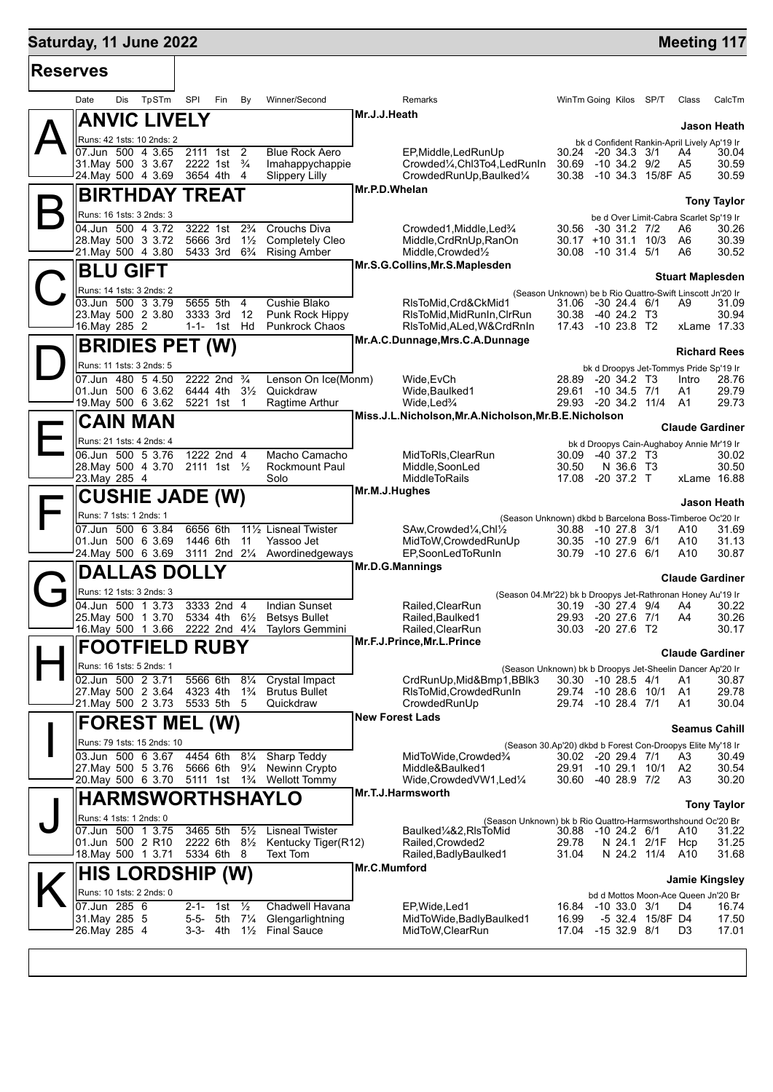## **Saturday, 11 June 2022 Meeting 117**

| <b>Reserves</b> |                                                                         |                                                    |                                                                     |                                                                             |                                                                                   |                                             |                        |  |  |  |
|-----------------|-------------------------------------------------------------------------|----------------------------------------------------|---------------------------------------------------------------------|-----------------------------------------------------------------------------|-----------------------------------------------------------------------------------|---------------------------------------------|------------------------|--|--|--|
|                 | Date<br>Dis<br>TpSTm                                                    | SPI<br>Fin                                         | Winner/Second<br>By                                                 | Remarks                                                                     | WinTm Going Kilos SP/T                                                            | Class                                       | CalcTm                 |  |  |  |
|                 | <b>ANVIC LIVELY</b>                                                     |                                                    |                                                                     | Mr.J.J.Heath                                                                |                                                                                   |                                             | Jason Heath            |  |  |  |
|                 | Runs: 42 1sts: 10 2nds: 2<br>07.Jun 500 4 3.65                          |                                                    |                                                                     |                                                                             |                                                                                   | bk d Confident Rankin-April Lively Ap'19 Ir |                        |  |  |  |
|                 | 31 May 500 3 3.67                                                       | 2111 1st 2<br>2222 1st <sup>3</sup> / <sub>4</sub> | <b>Blue Rock Aero</b><br>Imahappychappie                            | EP, Middle, LedRunUp<br>Crowded1/ <sub>4</sub> ,Chl3To4,LedRunIn            | 30.24<br>-20 34.3 3/1<br>30.69<br>$-10$ 34.2 $9/2$                                | A4<br>A <sub>5</sub>                        | 30.04<br>30.59         |  |  |  |
|                 | 24.May 500 4 3.69                                                       | 3654 4th                                           | 4<br><b>Slippery Lilly</b>                                          | CrowdedRunUp, Baulked1/4                                                    | 30.38                                                                             | -10 34.3 15/8F A5                           | 30.59                  |  |  |  |
|                 | <b>BIRTHDAY</b>                                                         | <b>TREAT</b>                                       |                                                                     | Mr.P.D.Whelan                                                               |                                                                                   |                                             |                        |  |  |  |
|                 |                                                                         |                                                    |                                                                     |                                                                             |                                                                                   |                                             | <b>Tony Taylor</b>     |  |  |  |
|                 | Runs: 16 1sts: 3 2nds: 3                                                |                                                    |                                                                     |                                                                             |                                                                                   | be d Over Limit-Cabra Scarlet Sp'19 Ir      |                        |  |  |  |
|                 | 04.Jun 500 4 3.72<br>28. May 500 3 3.72                                 | 3222 1st<br>5666 3rd                               | $2\frac{3}{4}$<br>Crouchs Diva<br>$1\frac{1}{2}$<br>Completely Cleo | Crowded1, Middle, Led <sup>3</sup> / <sub>4</sub><br>Middle, CrdRnUp, RanOn | 30.56 -30 31.2 7/2<br>$30.17 + 10.31.1$ 10/3                                      | A6<br>A6                                    | 30.26<br>30.39         |  |  |  |
|                 | 21. May 500 4 3.80                                                      | 5433 3rd                                           | $6\frac{3}{4}$<br><b>Rising Amber</b>                               | Middle, Crowded <sup>1</sup> / <sub>2</sub>                                 | 30.08 -10 31.4 5/1                                                                | A6                                          | 30.52                  |  |  |  |
|                 | <b>BLU GIFT</b>                                                         |                                                    |                                                                     | Mr.S.G.Collins, Mr.S.Maplesden                                              |                                                                                   |                                             |                        |  |  |  |
|                 |                                                                         |                                                    |                                                                     |                                                                             |                                                                                   | <b>Stuart Maplesden</b>                     |                        |  |  |  |
|                 | Runs: 14 1sts: 3 2nds: 2                                                |                                                    |                                                                     |                                                                             | (Season Unknown) be b Rio Quattro-Swift Linscott Jn'20 Ir                         |                                             |                        |  |  |  |
|                 | 03.Jun 500 3 3.79                                                       | 5655 5th<br>3333 3rd                               | Cushie Blako<br>4                                                   | RIsToMid, Crd&CkMid1                                                        | 31.06 -30 24.4 6/1                                                                | A9                                          | 31.09                  |  |  |  |
|                 | 23. May 500 2 3.80<br>16. May 285 2                                     | $1 - 1 - 1$ st                                     | 12<br>Punk Rock Hippy<br>Hd<br><b>Punkrock Chaos</b>                | RIsToMid, MidRunIn, CIrRun<br>RIsToMid, ALed, W&CrdRnIn                     | 30.38 -40 24.2 T3<br>17.43 -10 23.8 T2                                            |                                             | 30.94<br>xLame 17.33   |  |  |  |
|                 |                                                                         |                                                    |                                                                     | Mr.A.C.Dunnage, Mrs.C.A.Dunnage                                             |                                                                                   |                                             |                        |  |  |  |
|                 | <b>BRIDIES PET (W)</b>                                                  |                                                    |                                                                     |                                                                             |                                                                                   |                                             | <b>Richard Rees</b>    |  |  |  |
|                 | Runs: 11 1sts: 3 2nds: 5                                                |                                                    |                                                                     |                                                                             |                                                                                   | bk d Droopys Jet-Tommys Pride Sp'19 Ir      |                        |  |  |  |
|                 | 07.Jun 480 5 4.50                                                       | 2222 2nd                                           | $\frac{3}{4}$<br>Lenson On Ice(Monm)                                | Wide, EvCh                                                                  | 28.89 -20 34.2 T3                                                                 | Intro                                       | 28.76                  |  |  |  |
|                 | 01.Jun 500 6 3.62                                                       | 6444 4th                                           | $3\frac{1}{2}$<br>Quickdraw                                         | Wide, Baulked1                                                              | 29.61 -10 34.5 7/1                                                                | A1                                          | 29.79                  |  |  |  |
|                 | 19. May 500 6 3.62                                                      | 5221 1st                                           | Ragtime Arthur<br>$\overline{1}$                                    | Wide, Led <sup>3</sup> / <sub>4</sub>                                       | 29.93 -20 34.2 11/4                                                               | A1                                          | 29.73                  |  |  |  |
|                 | <b>CAIN MAN</b>                                                         |                                                    |                                                                     | Miss.J.L.Nicholson, Mr.A.Nicholson, Mr.B.E.Nicholson                        |                                                                                   |                                             | <b>Claude Gardiner</b> |  |  |  |
|                 | Runs: 21 1sts: 4 2nds: 4                                                |                                                    |                                                                     |                                                                             | bk d Droopys Cain-Aughaboy Annie Mr'19 Ir                                         |                                             |                        |  |  |  |
|                 | 06.Jun 500 5 3.76                                                       | 1222 2nd 4                                         | Macho Camacho                                                       | MidToRIs, ClearRun                                                          | 30.09<br>$-40$ 37.2 T3                                                            |                                             | 30.02                  |  |  |  |
|                 | 28. May 500 4 3.70                                                      | 2111 1st $\frac{1}{2}$                             | <b>Rockmount Paul</b>                                               | Middle, SoonLed                                                             | N 36.6 T3<br>30.50                                                                |                                             | 30.50                  |  |  |  |
|                 | 23. May 285 4                                                           |                                                    | Solo                                                                | <b>MiddleToRails</b>                                                        | 17.08 -20 37.2 T                                                                  |                                             | xLame 16.88            |  |  |  |
|                 | <b>CUSHIE JADE (W)</b>                                                  |                                                    |                                                                     | Mr.M.J.Hughes                                                               |                                                                                   |                                             |                        |  |  |  |
|                 | Runs: 7 1sts: 1 2nds: 1                                                 |                                                    |                                                                     |                                                                             | Jason Heath                                                                       |                                             |                        |  |  |  |
|                 | 07.Jun 500 6 3.84                                                       | 6656 6th                                           | 111/ <sub>2</sub> Lisneal Twister                                   | SAw, Crowded <sup>1</sup> / <sub>4</sub> , Chl <sup>1</sup> / <sub>2</sub>  | (Season Unknown) dkbd b Barcelona Boss-Timberoe Oc'20 Ir<br>30.88 -10 27.8 3/1    | A10                                         | 31.69                  |  |  |  |
|                 | 01.Jun 500 6 3.69                                                       | 1446 6th                                           | 11<br>Yassoo Jet                                                    | MidToW, Crowded RunUp                                                       | 30.35<br>-10 27.9 6/1                                                             | A10                                         | 31.13                  |  |  |  |
|                 | 24. May 500 6 3.69                                                      | 3111 2nd 21/4                                      | Awordinedgeways                                                     | EP,SoonLedToRunIn                                                           | 30.79<br>$-10$ 27.6 6/1                                                           | A10                                         | 30.87                  |  |  |  |
|                 | <b>DALLAS D</b>                                                         |                                                    |                                                                     | Mr.D.G.Mannings                                                             |                                                                                   |                                             |                        |  |  |  |
|                 |                                                                         |                                                    |                                                                     | <b>Claude Gardiner</b>                                                      |                                                                                   |                                             |                        |  |  |  |
|                 | Runs: 12 1sts: 3 2nds: 3                                                |                                                    |                                                                     |                                                                             | (Season 04.Mr'22) bk b Droopys Jet-Rathronan Honey Au'19 Ir                       |                                             |                        |  |  |  |
|                 | 04.Jun 500 1 3.73<br>25. May 500 1 3.70                                 | 3333 2nd 4<br>5334 4th 61/ <sub>2</sub>            | <b>Indian Sunset</b><br><b>Betsys Bullet</b>                        | Railed, ClearRun<br>Railed, Baulked1                                        | 30.19 -30 27.4 9/4<br>-20 27.6 7/1<br>29.93                                       | A4<br>A4                                    | 30.22<br>30.26         |  |  |  |
|                 | 16.May 500 1 3.66                                                       |                                                    | 2222 2nd 4 <sup>1</sup> / <sub>4</sub> Taylors Gemmini              | Railed, ClearRun                                                            | 30.03 -20 27.6 T2                                                                 |                                             | 30.17                  |  |  |  |
|                 | <b>FOOTFIELD RUBY</b>                                                   |                                                    |                                                                     | Mr.F.J.Prince, Mr.L.Prince                                                  |                                                                                   |                                             |                        |  |  |  |
|                 |                                                                         |                                                    |                                                                     |                                                                             | <b>Claude Gardiner</b>                                                            |                                             |                        |  |  |  |
|                 | Runs: 16 1sts: 5 2nds: 1                                                |                                                    |                                                                     |                                                                             | (Season Unknown) bk b Droopys Jet-Sheelin Dancer Ap'20 Ir                         |                                             |                        |  |  |  |
|                 | 02.Jun 500 2 3.71                                                       |                                                    | 5566 6th 81/4 Crystal Impact                                        | CrdRunUp, Mid&Bmp1, BBlk3                                                   | 30.30 -10 28.5 4/1                                                                | A1                                          | 30.87                  |  |  |  |
|                 | 27.May 500 2 3.64<br>21. May 500 2 3.73 5533 5th 5                      |                                                    | 4323 4th 1 <sup>3</sup> / <sub>4</sub> Brutus Bullet<br>Quickdraw   | RIsToMid.CrowdedRunIn<br>CrowdedRunUp                                       | 29.74 -10 28.6 10/1<br>29.74 -10 28.4 7/1                                         | A1<br>A1                                    | 29.78<br>30.04         |  |  |  |
|                 |                                                                         |                                                    |                                                                     | <b>New Forest Lads</b>                                                      |                                                                                   |                                             |                        |  |  |  |
|                 | <b>FOREST MEL (W)</b>                                                   |                                                    |                                                                     |                                                                             | <b>Seamus Cahill</b>                                                              |                                             |                        |  |  |  |
|                 | Runs: 79 1sts: 15 2nds: 10                                              |                                                    |                                                                     |                                                                             | (Season 30.Ap'20) dkbd b Forest Con-Droopys Elite My'18 Ir                        |                                             |                        |  |  |  |
|                 | 03.Jun 500 6 3.67 4454 6th 81/4 Sharp Teddy                             |                                                    |                                                                     | MidToWide.Crowded%                                                          | 30.02 -20 29.4 7/1                                                                | A3                                          | 30.49                  |  |  |  |
|                 | 27. May 500 5 3.76                                                      |                                                    | 5666 6th 91/4 Newinn Crypto                                         | Middle&Baulked1                                                             | 29.91 -10 29.1 10/1                                                               | A2                                          | 30.54                  |  |  |  |
|                 | 20. May 500 6 3.70 5111 1st 1 <sup>3</sup> / <sub>4</sub> Wellott Tommy |                                                    |                                                                     | Wide, Crowded VW1, Led <sup>1/4</sup>                                       | 30.60 -40 28.9 7/2                                                                | A3                                          | 30.20                  |  |  |  |
|                 | <b>HARMSWORTHSHAYLO</b>                                                 |                                                    |                                                                     | Mr.T.J.Harmsworth<br><b>Tony Taylor</b>                                     |                                                                                   |                                             |                        |  |  |  |
|                 | Runs: 4 1sts: 1 2nds: 0                                                 |                                                    |                                                                     |                                                                             |                                                                                   |                                             |                        |  |  |  |
|                 | 07.Jun 500 1 3.75                                                       | 3465 5th                                           | 5 <sup>1</sup> / <sub>2</sub> Lisneal Twister                       | Baulked¼&2,RIsToMid                                                         | (Season Unknown) bk b Rio Quattro-Harmsworthshound Oc'20 Br<br>30.88 -10 24.2 6/1 | A10                                         | 31.22                  |  |  |  |
|                 | 01.Jun 500 2 R10                                                        |                                                    | 2222 6th 8 <sup>1</sup> / <sub>2</sub> Kentucky Tiger(R12)          | Railed, Crowded2                                                            | 29.78                                                                             | N 24.1 2/1F<br>Hcp                          | 31.25                  |  |  |  |
|                 | 18. May 500 1 3.71                                                      | 5334 6th 8                                         | Text Tom                                                            | Railed, Badly Baulked 1                                                     | N 24.2 11/4<br>31.04                                                              | A10                                         | 31.68                  |  |  |  |
|                 | <b>HIS LORDSHIP (W)</b>                                                 |                                                    |                                                                     | Mr.C.Mumford                                                                |                                                                                   |                                             |                        |  |  |  |
|                 |                                                                         |                                                    |                                                                     |                                                                             |                                                                                   |                                             | <b>Jamie Kingsley</b>  |  |  |  |
|                 | Runs: 10 1sts: 2 2nds: 0                                                |                                                    |                                                                     |                                                                             |                                                                                   | bd d Mottos Moon-Ace Queen Jn'20 Br         |                        |  |  |  |
|                 | 07.Jun 285 6<br>31. May 285 5                                           | $2 - 1 - 1$ st<br>5-5- 5th 71/4                    | $\frac{1}{2}$<br>Chadwell Havana<br>Glengarlightning                | EP, Wide, Led 1<br>MidToWide, Badly Baulked1                                | 16.84 -10 33.0 3/1<br>16.99                                                       | D4<br>-5 32.4 15/8F D4                      | 16.74<br>17.50         |  |  |  |
|                 | 26.May 285 4                                                            |                                                    | $3-3$ - 4th $1\frac{1}{2}$ Final Sauce                              | MidToW, ClearRun                                                            | -15 32.9 8/1<br>17.04                                                             | D3                                          | 17.01                  |  |  |  |
|                 |                                                                         |                                                    |                                                                     |                                                                             |                                                                                   |                                             |                        |  |  |  |
|                 |                                                                         |                                                    |                                                                     |                                                                             |                                                                                   |                                             |                        |  |  |  |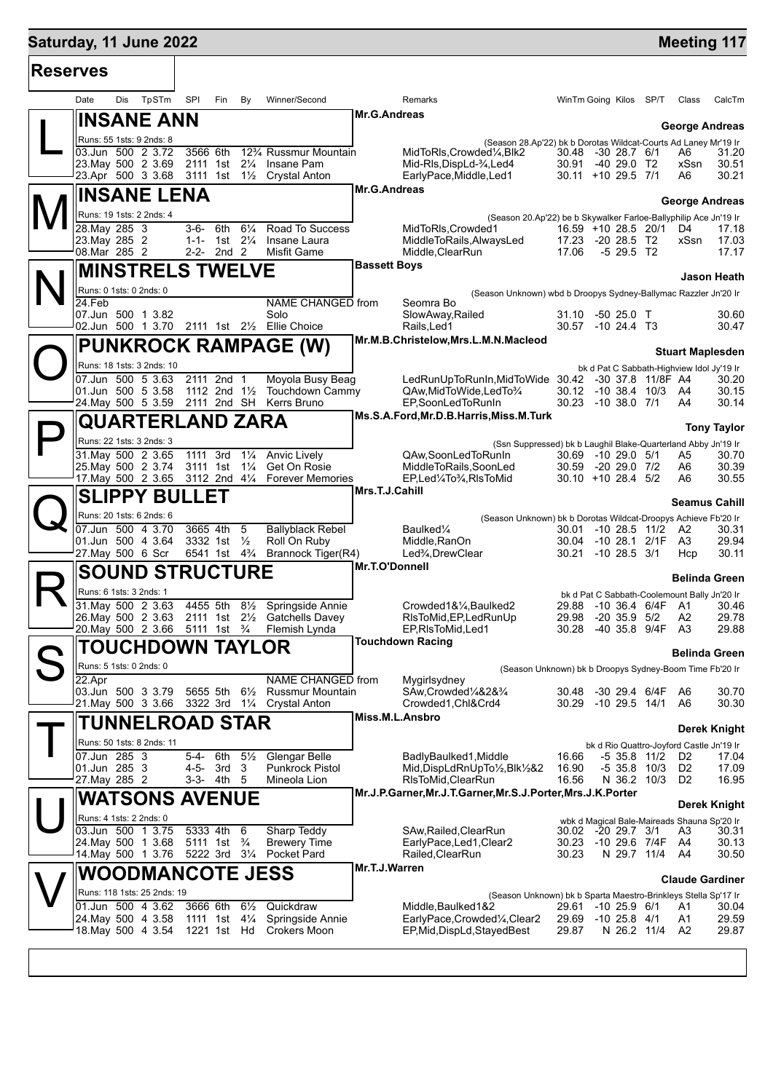## **Saturday, 11 June 2022 Meeting 117 Reserves** Date Dis TpSTm SPI Fin By Winner/Second Remarks WinTm Going Kilos SP/T Class CalcTm L **INSANE ANN** Runs: 55 1sts: 9 2nds: 8 **George Andreas** (Season 28.Ap'22) bk b Dorotas Wildcat-Courts Ad Laney Mr'19 Ir **Mr.G.Andreas** 03.Jun 500 2 3.72 3566 6th 12<sup>3</sup>/4 Russmur Mountain MidToRls,Crowded¼,Blk2 30.48 -30 28.7 6/1 A6 31.20<br>23.May 500 2 3.69 2111 1st 2¼ Insane Pam Mid-Rls,DispLd-¾,Led4 30.91 -40 29.0 T2 xSsn 30.51 23.May 500 2 3.69 2111 1st 2¼ Insane Pam Mid-Rls,DispLd-¾,Led4 30.91 -40 29.0 T2 xSsn 30.51 EarlyPace,Middle,Led1  $\mathbf{M}^{\parallel}_{\frac{8}{28}}$ **INSANE LENA** Runs: 19 1sts: 2 2nds: 4 **George Andreas** (Season 20.Ap'22) be b Skywalker Farloe-Ballyphilip Ace Jn'19 Ir **Mr.G.Andreas** 28.May 285 3 3-6- 6th 6¼ Road To Success MidToRls,Crowded1 16.59 +10 28.5 20/1 D4 17.18 23.May 285 2 1-1- 1st 2¼ Insane Laura MiddleToRails,AlwaysLed 17.23 -20 28.5 T2 xSsn 17.03<br>08.Mar 285 2 2-2- 2nd 2 Misfit Game Middle.ClearRun 17.06 -5 29.5 T2 17.17 Middle,ClearRun N **MINSTRELS TWELVE** Runs: 0 1sts: 0 2nds: 0 **Jason Heath** (Season Unknown) wbd b Droopys Sydney-Ballymac Razzler Jn'20 Ir **Bassett Boys** 24.Feb NAME CHANGED from Seomra Bo 07.Jun 500 1 3.82 Solo SlowAway,Railed 31.10 -50 25.0 T 30.60 02.Jun 500 1 3.70 2111 1st 2½ Ellie Choice Rails,Led1 30.57 -10 24.4 T3 30.47  $\bigcirc$ **PUNKROCK RAMPAGE (W)** Runs: 18 1sts: 3 2nds: 10 **Stuart Maplesden** bk d Pat C Sabbath-Highview Idol Jy'19 Ir<br>I2 -30 37.8 11/8F A4 30.20 **Mr.M.B.Christelow,Mrs.L.M.N.Macleod** 07.Jun 500 5 3.63 2111 2nd 1 Moyola Busy Beag LedRunUpToRunIn,MidToWide 30.42 -30 37.8 11/8F A4 30.20 01.Jun 500 5 3.58 1112 2nd 1½ Touchdown Cammy QAw,MidToWide,LedTo¾ 30.12 -10 38.4 10/3 A4 30.15 24.May 500 5 3.59 2111 2nd SH Kerrs Bruno EP,SoonLedToRunIn 30.23 -10 38.0 7/1 A4 30.14  $\mathsf{P}\Vert$ **QUARTERLAND ZARA** Runs: 22 1sts: 3 2nds: 3 **Tony Taylor** (Ssn Suppressed) bk b Laughil Blake-Quarterland Abby Jn'19 Ir<br>GAw,SoonLedToRunIn 30.69 -10 29.0 5/1 A5 30.7( **Ms.S.A.Ford,Mr.D.B.Harris,Miss.M.Turk** 31.May 500 2 3.65 1111 3rd 1¼ Anvic Lively QAw,SoonLedToRunIn 30.69 -10 29.0 5/1 A5 30.70 25.May 500 2 3.74 3111 1st 1¼ Get On Rosie MiddleToRails,SoonLed 30.59 -20 29.0 7/2<br>17.May 500 2 3.65 3112 2nd 4¼ Forever Memories EP,Led¼To¾,RlsToMid 30.10 +10 28.4 5/2 17.May 500 2 3.65 3112 2nd 4¼ Forever Memories EP,Led¼To¾,RlsToMid 30.10 +10 28.4 5/2 A6 30.55  $\mathbf{Q}$ **SLIPPY BULLET** Runs: 20 1sts: 6 2nds: 6 **Seamus Cahill** (Season Unknown) bk b Dorotas Wildcat-Droopys Achieve Fb'20 Ir **Mrs.T.J.Cahill** 07.Jun 500 4 3.70 3665 4th 5 Ballyblack Rebel Baulked¼ 30.01 -10 28.5 11/2 A2 30.31 01.Jun 500 4 3.64 3332 1st ½ Roll On Ruby Middle,RanOn 30.04 -10 28.1 2/1F A3 29.94<br>1.27.May 500 6 Scr 6541 1st 4¾ Brannock Tiger(R4) Led¾,DrewClear 30.21 -10 28.5 3/1 Hcp 30.11 27.May 500 6 Scr 6541 1st 4¾ Brannock Tiger(R4) Led¾,DrewClear 30.21 -10 28.5 3/1 Hcp 30.11 R **SOUND STRUCTURE** Runs: 6 1sts: 3 2nds: 1 **Belinda Green** bk d Pat C Sabbath-Coolemount Bally Jn'20 Ir **Mr.T.O'Donnell** 31.May 500 2 3.63 4455 5th 8½ Springside Annie Crowded1&¼,Baulked2 29.88 -10 36.4 6/4F A1 30.46 26.May 500 2 3.63 2111 1st 2½ Gatchells Davey RlsToMid,EP,LedRunUp 29.98 -20 35.9 5/2 A2 29.78 Flemish Lynda EP,RlsToMid,Led1 30.28 -40 35.8 9/4F S **TOUCHDOWN TAYLOR** Runs: 5 1sts: 0 2nds: 0 **Belinda Green** (Season Unknown) bk b Droopys Sydney-Boom Time Fb'20 Ir **Touchdown Racing** 22.Apr **NAME CHANGED** from Mygirlsydney<br>
23.Jun 500 3 3.79 5655 5th 6<sup>1/</sup><sub>2</sub> Russmur Mountain SAw.Crowded<sup>1</sup>/4828<sup>3</sup>/<sub>4</sub> 03.Jun 500 3 3.79 5655 5th 6½ Russmur Mountain SAw,Crowded¼&2&¾ 30.48 -30 29.4 6/4F A6 30.70 21.May 500 3 3.66 3322 3rd 1¼ Crystal Anton Crowded1,Chl&Crd4 30.29 -10 29.5 14/1 A6 30.30  $\mathsf{T}\vert$ **TUNNELROAD STAR** Runs: 50 1sts: 8 2nds: 11 **Derek Knight** bk d Rio Quattro-Joyford Castle Jn'19 Ir **Miss.M.L.Ansbro** 07.Jun 285 3 5-4- 6th 5½ Glengar Belle BadlyBaulked1, Middle 16.66 -5 35.8 11/2 D2<br>01.Jun 285 3 4-5- 3rd 3 Punkrock Pistol Mid, DispLd RnUp To 1/2, Blk 1/2 42 16.90 -5 35.8 10/3 D2 01.Jun 285 3 4-5- 3rd 3 Punkrock Pistol Mid,DispLdRnUpTo½,Blk½&2 16.90 -5 35.8 10/3 D2 17.09 27.May 285 2 3-3- 4th 5 Mineola Lion RlsToMid,ClearRun 16.56 N 36.2 10/3 D2 16.95  $\bigcup \left\lbrack \cdot \right\rbrack$ **WATSONS AVENUE** Runs: 4 1sts: 2 2nds: 0 **Derek Knight** wbk d Magical Bale-Maireads Shauna Sp'20 Ir **Mr.J.P.Garner,Mr.J.T.Garner,Mr.S.J.Porter,Mrs.J.K.Porter** 03.Jun 500 1 3.75 5333 4th 6 Sharp Teddy SAw,Railed,ClearRun 30.02 -20 29.7 3/1 A3 30.31 24.May 500 1 3.68 5111 1st ¾ Brewery Time EarlyPace,Led1,Clear2 30.23 -10 29.6 7/4F A4 30.13 14.May 500 1 3.76 5222 3rd 3¼ Pocket Pard Railed,ClearRun 30.23 N 29.7 11/4 A4 30.50  $\bm{\nabla} \|$ **WOODMANCOTE JESS** Runs: 118 1sts: 25 2nds: 19 **Claude Gardiner** (Season Unknown) bk b Sparta Maestro-Brinkleys Stella Sp'17 Ir **Mr.T.J.Warren** 01.Jun 500 4 3.62 3666 6th 6½ Quickdraw Middle,Baulked1&2 29.61 -10 25.9 6/1 A1 30.04 24.May 500 4 3.58 1111 1st 4¼ Springside Annie EarlyPace,Crowded¼,Clear2 29.69 -10 25.8 4/1 A1 29.59 18.May 500 4 3.54 1221 1st Hd Crokers Moon EP,Mid,DispLd,StayedBest 29.87 N 26.2 11/4 A2 29.87